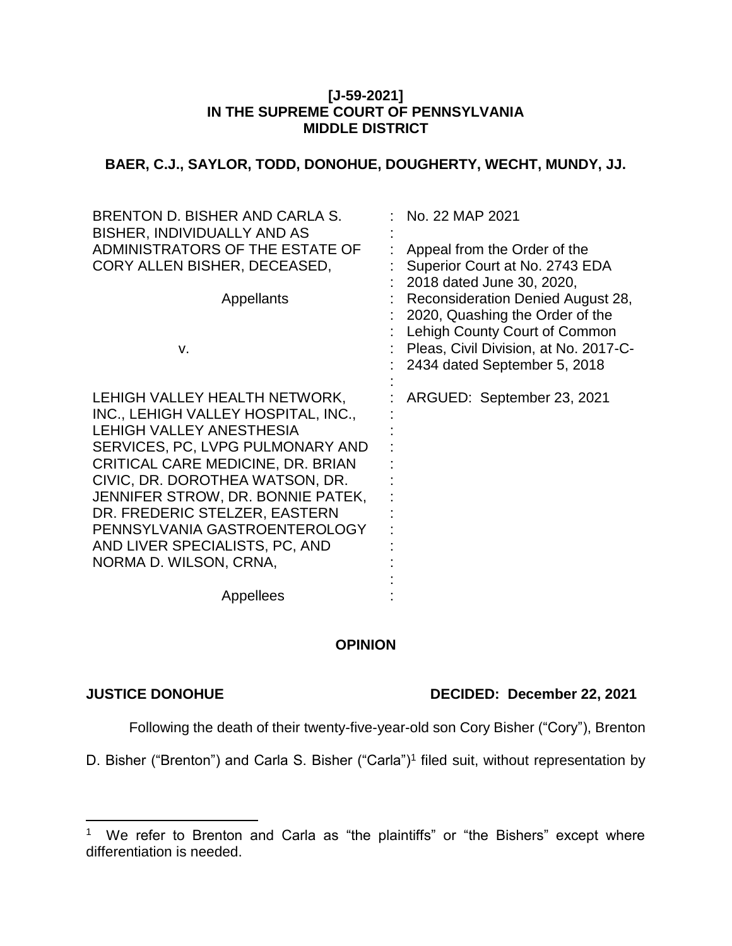## **[J-59-2021] IN THE SUPREME COURT OF PENNSYLVANIA MIDDLE DISTRICT**

# **BAER, C.J., SAYLOR, TODD, DONOHUE, DOUGHERTY, WECHT, MUNDY, JJ.**

| Appeal from the Order of the<br>Superior Court at No. 2743 EDA<br>2018 dated June 30, 2020,<br>Reconsideration Denied August 28,<br>2020, Quashing the Order of the<br>Lehigh County Court of Common<br>Pleas, Civil Division, at No. 2017-C-<br>2434 dated September 5, 2018 |
|-------------------------------------------------------------------------------------------------------------------------------------------------------------------------------------------------------------------------------------------------------------------------------|
| ARGUED: September 23, 2021                                                                                                                                                                                                                                                    |
|                                                                                                                                                                                                                                                                               |

# **OPINION**

 $\overline{a}$ 

## **JUSTICE DONOHUE DECIDED: December 22, 2021**

Following the death of their twenty-five-year-old son Cory Bisher ("Cory"), Brenton

D. Bisher ("Brenton") and Carla S. Bisher ("Carla")<sup>1</sup> filed suit, without representation by

<sup>&</sup>lt;sup>1</sup> We refer to Brenton and Carla as "the plaintiffs" or "the Bishers" except where differentiation is needed.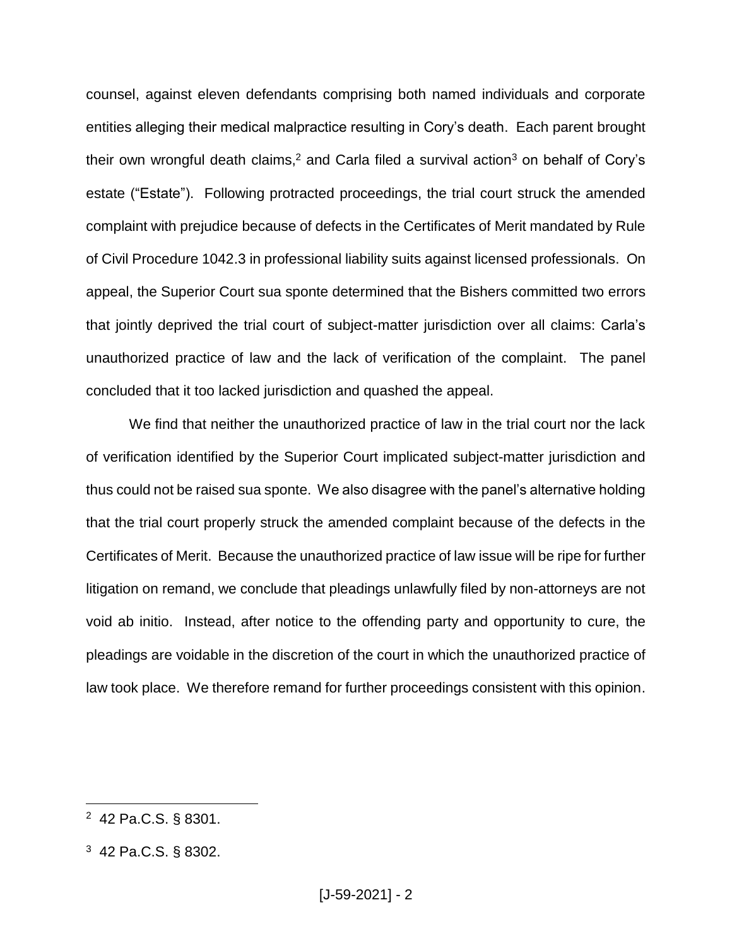counsel, against eleven defendants comprising both named individuals and corporate entities alleging their medical malpractice resulting in Cory's death. Each parent brought their own wrongful death claims,<sup>2</sup> and Carla filed a survival action<sup>3</sup> on behalf of Cory's estate ("Estate"). Following protracted proceedings, the trial court struck the amended complaint with prejudice because of defects in the Certificates of Merit mandated by Rule of Civil Procedure 1042.3 in professional liability suits against licensed professionals. On appeal, the Superior Court sua sponte determined that the Bishers committed two errors that jointly deprived the trial court of subject-matter jurisdiction over all claims: Carla's unauthorized practice of law and the lack of verification of the complaint. The panel concluded that it too lacked jurisdiction and quashed the appeal.

We find that neither the unauthorized practice of law in the trial court nor the lack of verification identified by the Superior Court implicated subject-matter jurisdiction and thus could not be raised sua sponte. We also disagree with the panel's alternative holding that the trial court properly struck the amended complaint because of the defects in the Certificates of Merit. Because the unauthorized practice of law issue will be ripe for further litigation on remand, we conclude that pleadings unlawfully filed by non-attorneys are not void ab initio. Instead, after notice to the offending party and opportunity to cure, the pleadings are voidable in the discretion of the court in which the unauthorized practice of law took place. We therefore remand for further proceedings consistent with this opinion.

<sup>2</sup> 42 Pa.C.S. § 8301.

<sup>3</sup> 42 Pa.C.S. § 8302.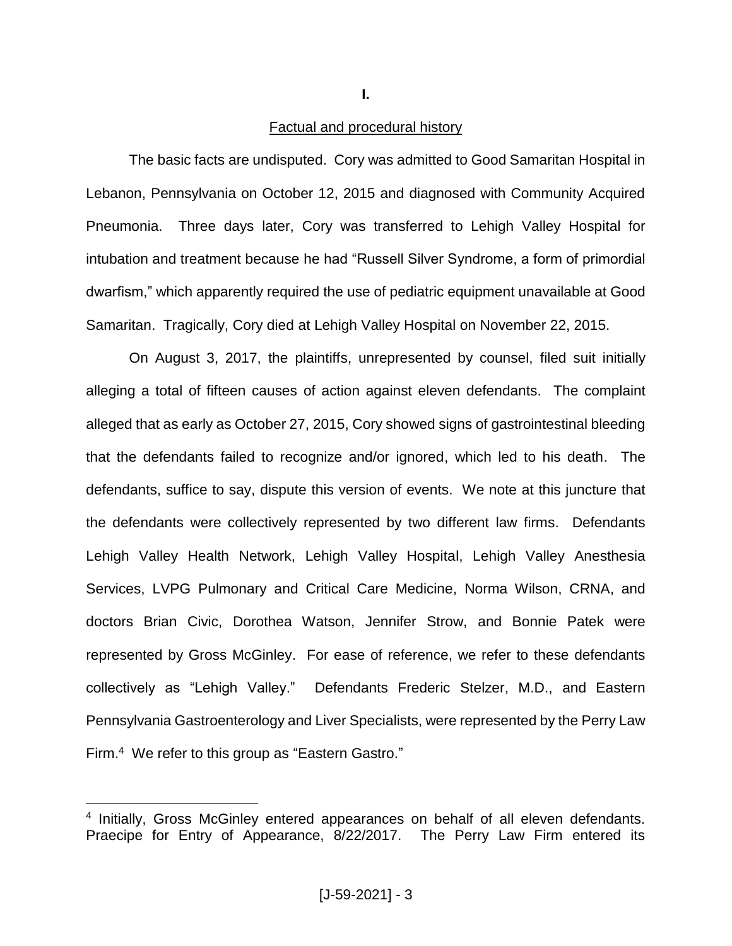**I.**

## Factual and procedural history

The basic facts are undisputed. Cory was admitted to Good Samaritan Hospital in Lebanon, Pennsylvania on October 12, 2015 and diagnosed with Community Acquired Pneumonia. Three days later, Cory was transferred to Lehigh Valley Hospital for intubation and treatment because he had "Russell Silver Syndrome, a form of primordial dwarfism," which apparently required the use of pediatric equipment unavailable at Good Samaritan. Tragically, Cory died at Lehigh Valley Hospital on November 22, 2015.

On August 3, 2017, the plaintiffs, unrepresented by counsel, filed suit initially alleging a total of fifteen causes of action against eleven defendants. The complaint alleged that as early as October 27, 2015, Cory showed signs of gastrointestinal bleeding that the defendants failed to recognize and/or ignored, which led to his death. The defendants, suffice to say, dispute this version of events. We note at this juncture that the defendants were collectively represented by two different law firms. Defendants Lehigh Valley Health Network, Lehigh Valley Hospital, Lehigh Valley Anesthesia Services, LVPG Pulmonary and Critical Care Medicine, Norma Wilson, CRNA, and doctors Brian Civic, Dorothea Watson, Jennifer Strow, and Bonnie Patek were represented by Gross McGinley. For ease of reference, we refer to these defendants collectively as "Lehigh Valley." Defendants Frederic Stelzer, M.D., and Eastern Pennsylvania Gastroenterology and Liver Specialists, were represented by the Perry Law Firm.<sup>4</sup> We refer to this group as "Eastern Gastro."

<sup>4</sup> Initially, Gross McGinley entered appearances on behalf of all eleven defendants. Praecipe for Entry of Appearance, 8/22/2017. The Perry Law Firm entered its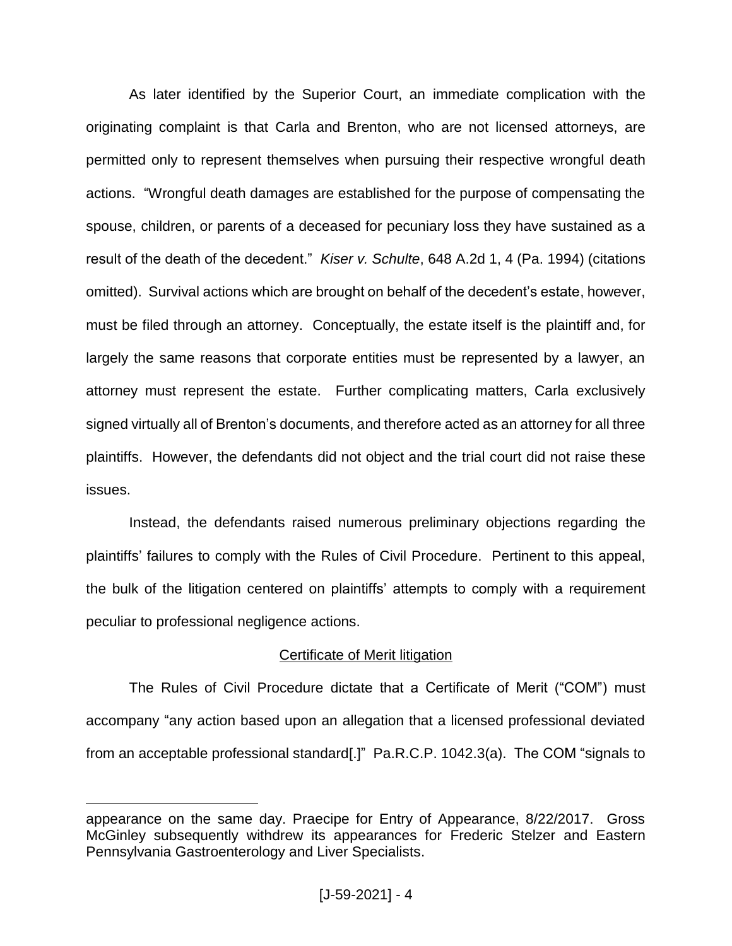As later identified by the Superior Court, an immediate complication with the originating complaint is that Carla and Brenton, who are not licensed attorneys, are permitted only to represent themselves when pursuing their respective wrongful death actions. "Wrongful death damages are established for the purpose of compensating the spouse, children, or parents of a deceased for pecuniary loss they have sustained as a result of the death of the decedent." *Kiser v. Schulte*, 648 A.2d 1, 4 (Pa. 1994) (citations omitted). Survival actions which are brought on behalf of the decedent's estate, however, must be filed through an attorney. Conceptually, the estate itself is the plaintiff and, for largely the same reasons that corporate entities must be represented by a lawyer, an attorney must represent the estate. Further complicating matters, Carla exclusively signed virtually all of Brenton's documents, and therefore acted as an attorney for all three plaintiffs. However, the defendants did not object and the trial court did not raise these issues.

Instead, the defendants raised numerous preliminary objections regarding the plaintiffs' failures to comply with the Rules of Civil Procedure. Pertinent to this appeal, the bulk of the litigation centered on plaintiffs' attempts to comply with a requirement peculiar to professional negligence actions.

# Certificate of Merit litigation

The Rules of Civil Procedure dictate that a Certificate of Merit ("COM") must accompany "any action based upon an allegation that a licensed professional deviated from an acceptable professional standard[.]" Pa.R.C.P. 1042.3(a). The COM "signals to

appearance on the same day. Praecipe for Entry of Appearance, 8/22/2017. Gross McGinley subsequently withdrew its appearances for Frederic Stelzer and Eastern Pennsylvania Gastroenterology and Liver Specialists.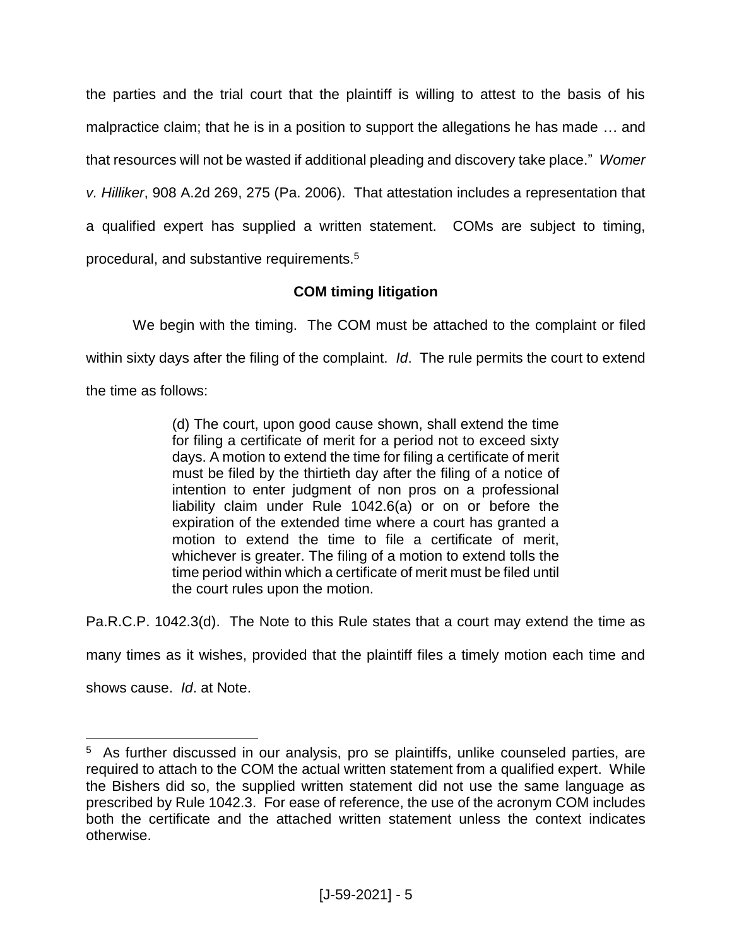the parties and the trial court that the plaintiff is willing to attest to the basis of his malpractice claim; that he is in a position to support the allegations he has made … and that resources will not be wasted if additional pleading and discovery take place." *Womer v. Hilliker*, 908 A.2d 269, 275 (Pa. 2006). That attestation includes a representation that a qualified expert has supplied a written statement. COMs are subject to timing, procedural, and substantive requirements.<sup>5</sup>

# **COM timing litigation**

We begin with the timing. The COM must be attached to the complaint or filed within sixty days after the filing of the complaint. *Id*. The rule permits the court to extend the time as follows:

> (d) The court, upon good cause shown, shall extend the time for filing a certificate of merit for a period not to exceed sixty days. A motion to extend the time for filing a certificate of merit must be filed by the thirtieth day after the filing of a notice of intention to enter judgment of non pros on a professional liability claim under Rule 1042.6(a) or on or before the expiration of the extended time where a court has granted a motion to extend the time to file a certificate of merit, whichever is greater. The filing of a motion to extend tolls the time period within which a certificate of merit must be filed until the court rules upon the motion.

Pa.R.C.P. 1042.3(d). The Note to this Rule states that a court may extend the time as

many times as it wishes, provided that the plaintiff files a timely motion each time and

shows cause. *Id*. at Note.

<sup>&</sup>lt;sup>5</sup> As further discussed in our analysis, pro se plaintiffs, unlike counseled parties, are required to attach to the COM the actual written statement from a qualified expert. While the Bishers did so, the supplied written statement did not use the same language as prescribed by Rule 1042.3. For ease of reference, the use of the acronym COM includes both the certificate and the attached written statement unless the context indicates otherwise.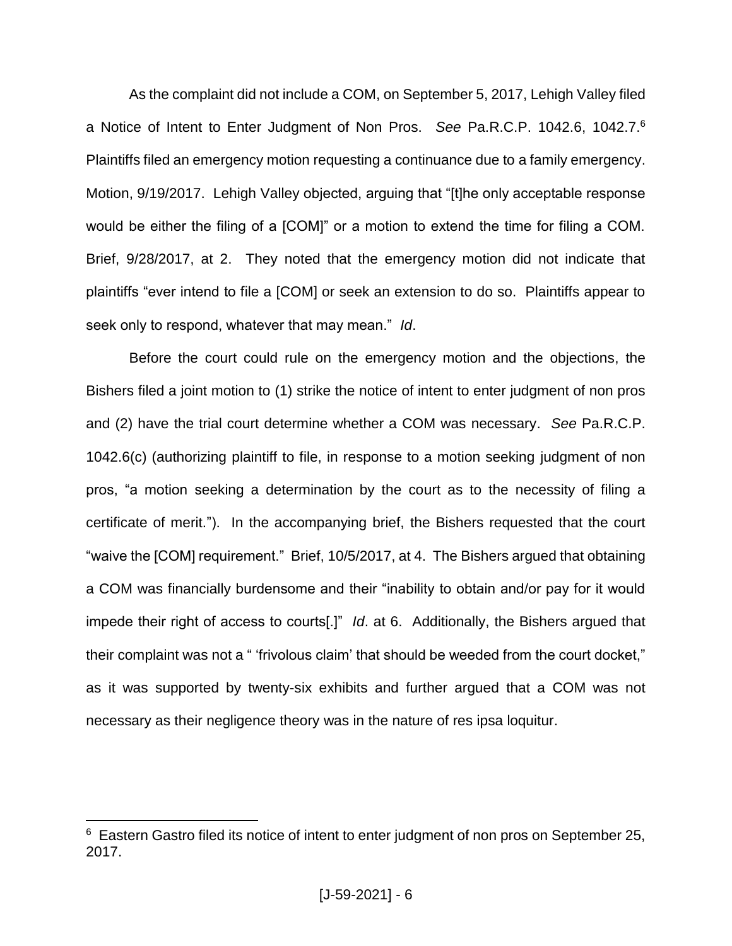As the complaint did not include a COM, on September 5, 2017, Lehigh Valley filed a Notice of Intent to Enter Judgment of Non Pros. *See* Pa.R.C.P. 1042.6, 1042.7. 6 Plaintiffs filed an emergency motion requesting a continuance due to a family emergency. Motion, 9/19/2017. Lehigh Valley objected, arguing that "[t]he only acceptable response would be either the filing of a [COM]" or a motion to extend the time for filing a COM. Brief, 9/28/2017, at 2. They noted that the emergency motion did not indicate that plaintiffs "ever intend to file a [COM] or seek an extension to do so. Plaintiffs appear to seek only to respond, whatever that may mean." *Id*.

Before the court could rule on the emergency motion and the objections, the Bishers filed a joint motion to (1) strike the notice of intent to enter judgment of non pros and (2) have the trial court determine whether a COM was necessary. *See* Pa.R.C.P. 1042.6(c) (authorizing plaintiff to file, in response to a motion seeking judgment of non pros, "a motion seeking a determination by the court as to the necessity of filing a certificate of merit."). In the accompanying brief, the Bishers requested that the court "waive the [COM] requirement." Brief, 10/5/2017, at 4. The Bishers argued that obtaining a COM was financially burdensome and their "inability to obtain and/or pay for it would impede their right of access to courts[.]" *Id*. at 6. Additionally, the Bishers argued that their complaint was not a " 'frivolous claim' that should be weeded from the court docket," as it was supported by twenty-six exhibits and further argued that a COM was not necessary as their negligence theory was in the nature of res ipsa loquitur.

<sup>&</sup>lt;sup>6</sup> Eastern Gastro filed its notice of intent to enter judgment of non pros on September 25, 2017.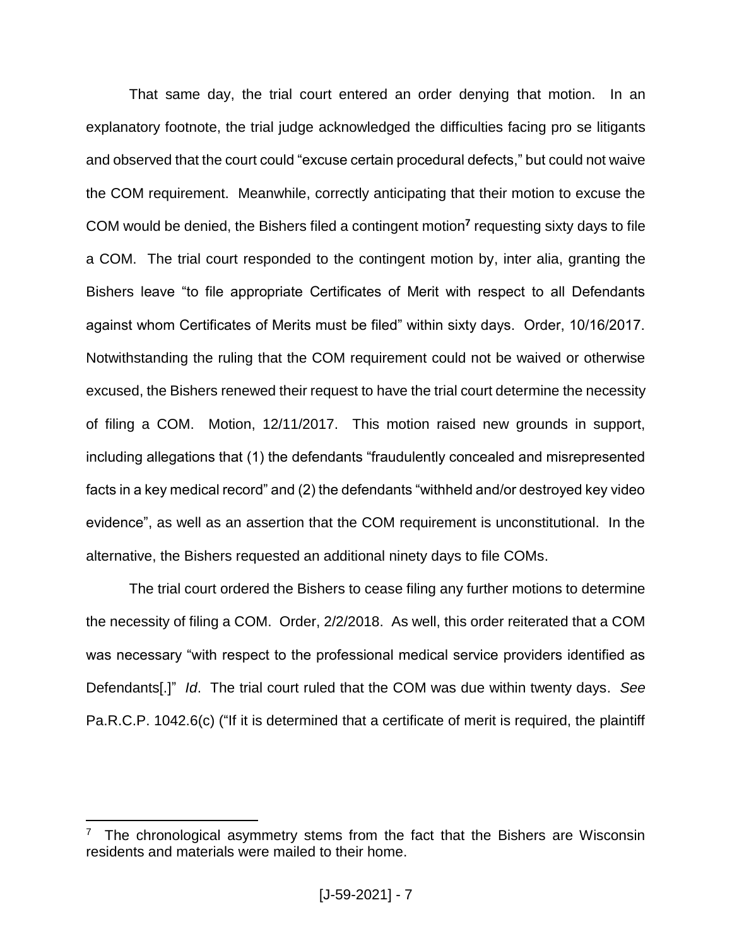That same day, the trial court entered an order denying that motion. In an explanatory footnote, the trial judge acknowledged the difficulties facing pro se litigants and observed that the court could "excuse certain procedural defects," but could not waive the COM requirement. Meanwhile, correctly anticipating that their motion to excuse the COM would be denied, the Bishers filed a contingent motion**<sup>7</sup>** requesting sixty days to file a COM. The trial court responded to the contingent motion by, inter alia, granting the Bishers leave "to file appropriate Certificates of Merit with respect to all Defendants against whom Certificates of Merits must be filed" within sixty days. Order, 10/16/2017. Notwithstanding the ruling that the COM requirement could not be waived or otherwise excused, the Bishers renewed their request to have the trial court determine the necessity of filing a COM. Motion, 12/11/2017. This motion raised new grounds in support, including allegations that (1) the defendants "fraudulently concealed and misrepresented facts in a key medical record" and (2) the defendants "withheld and/or destroyed key video evidence", as well as an assertion that the COM requirement is unconstitutional. In the alternative, the Bishers requested an additional ninety days to file COMs.

The trial court ordered the Bishers to cease filing any further motions to determine the necessity of filing a COM. Order, 2/2/2018. As well, this order reiterated that a COM was necessary "with respect to the professional medical service providers identified as Defendants[.]" *Id*. The trial court ruled that the COM was due within twenty days. *See* Pa.R.C.P. 1042.6(c) ("If it is determined that a certificate of merit is required, the plaintiff

 $7$  The chronological asymmetry stems from the fact that the Bishers are Wisconsin residents and materials were mailed to their home.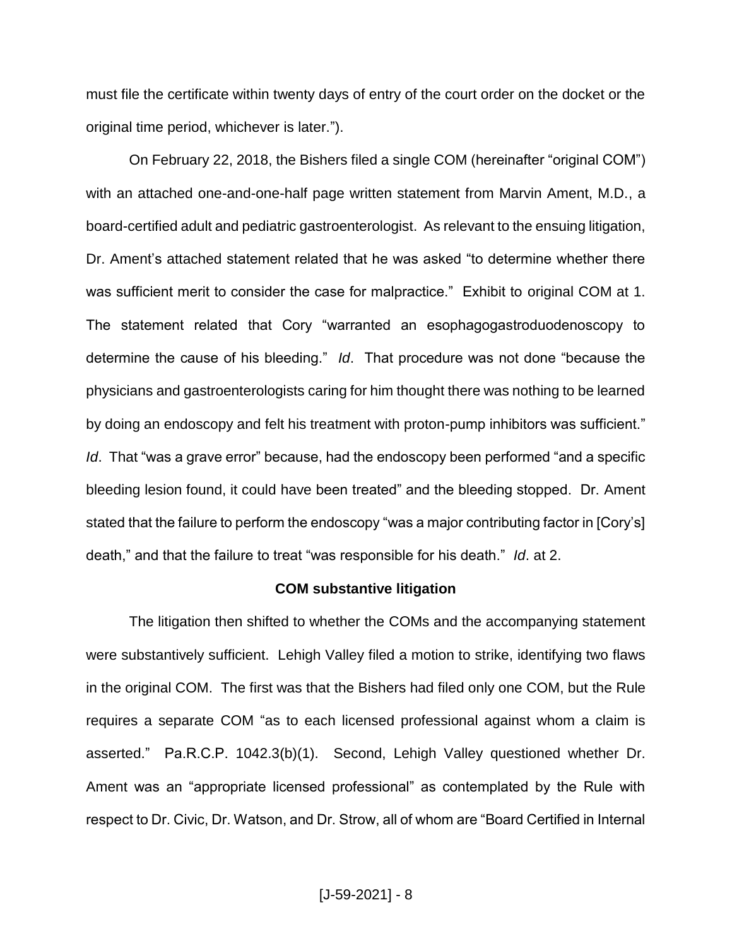must file the certificate within twenty days of entry of the court order on the docket or the original time period, whichever is later.").

On February 22, 2018, the Bishers filed a single COM (hereinafter "original COM") with an attached one-and-one-half page written statement from Marvin Ament, M.D., a board-certified adult and pediatric gastroenterologist. As relevant to the ensuing litigation, Dr. Ament's attached statement related that he was asked "to determine whether there was sufficient merit to consider the case for malpractice." Exhibit to original COM at 1. The statement related that Cory "warranted an esophagogastroduodenoscopy to determine the cause of his bleeding." *Id*. That procedure was not done "because the physicians and gastroenterologists caring for him thought there was nothing to be learned by doing an endoscopy and felt his treatment with proton-pump inhibitors was sufficient." *Id*. That "was a grave error" because, had the endoscopy been performed "and a specific bleeding lesion found, it could have been treated" and the bleeding stopped. Dr. Ament stated that the failure to perform the endoscopy "was a major contributing factor in [Cory's] death," and that the failure to treat "was responsible for his death." *Id*. at 2.

#### **COM substantive litigation**

The litigation then shifted to whether the COMs and the accompanying statement were substantively sufficient. Lehigh Valley filed a motion to strike, identifying two flaws in the original COM. The first was that the Bishers had filed only one COM, but the Rule requires a separate COM "as to each licensed professional against whom a claim is asserted." Pa.R.C.P. 1042.3(b)(1). Second, Lehigh Valley questioned whether Dr. Ament was an "appropriate licensed professional" as contemplated by the Rule with respect to Dr. Civic, Dr. Watson, and Dr. Strow, all of whom are "Board Certified in Internal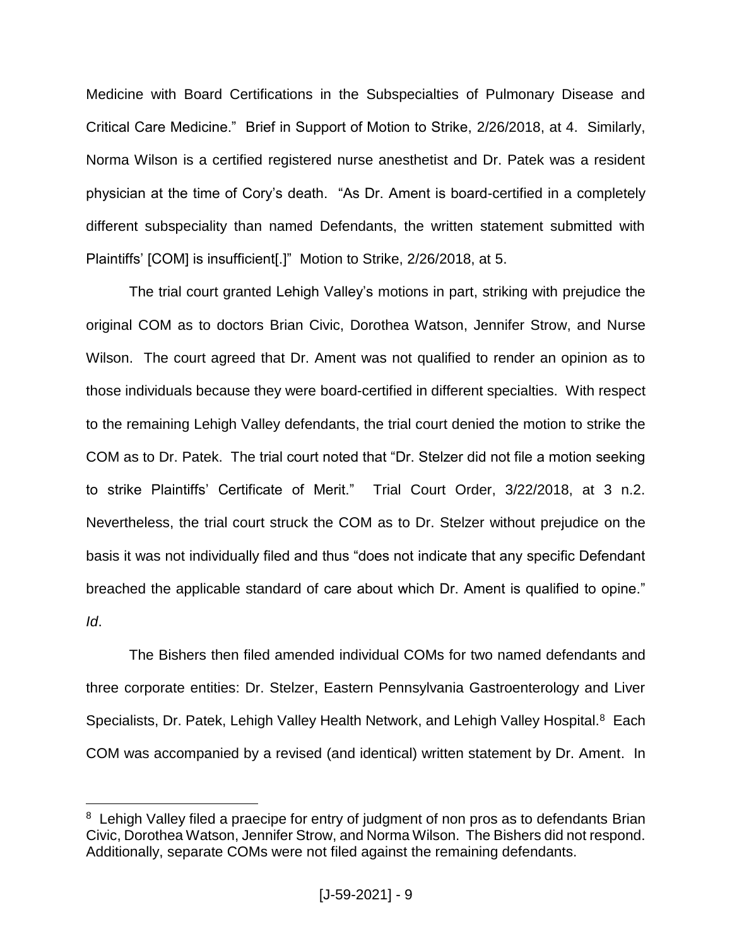Medicine with Board Certifications in the Subspecialties of Pulmonary Disease and Critical Care Medicine." Brief in Support of Motion to Strike, 2/26/2018, at 4. Similarly, Norma Wilson is a certified registered nurse anesthetist and Dr. Patek was a resident physician at the time of Cory's death. "As Dr. Ament is board-certified in a completely different subspeciality than named Defendants, the written statement submitted with Plaintiffs' [COM] is insufficient[.]" Motion to Strike, 2/26/2018, at 5.

The trial court granted Lehigh Valley's motions in part, striking with prejudice the original COM as to doctors Brian Civic, Dorothea Watson, Jennifer Strow, and Nurse Wilson. The court agreed that Dr. Ament was not qualified to render an opinion as to those individuals because they were board-certified in different specialties. With respect to the remaining Lehigh Valley defendants, the trial court denied the motion to strike the COM as to Dr. Patek. The trial court noted that "Dr. Stelzer did not file a motion seeking to strike Plaintiffs' Certificate of Merit." Trial Court Order, 3/22/2018, at 3 n.2. Nevertheless, the trial court struck the COM as to Dr. Stelzer without prejudice on the basis it was not individually filed and thus "does not indicate that any specific Defendant breached the applicable standard of care about which Dr. Ament is qualified to opine." *Id*.

The Bishers then filed amended individual COMs for two named defendants and three corporate entities: Dr. Stelzer, Eastern Pennsylvania Gastroenterology and Liver Specialists, Dr. Patek, Lehigh Valley Health Network, and Lehigh Valley Hospital.<sup>8</sup> Each COM was accompanied by a revised (and identical) written statement by Dr. Ament. In

<sup>&</sup>lt;sup>8</sup> Lehigh Valley filed a praecipe for entry of judgment of non pros as to defendants Brian Civic, Dorothea Watson, Jennifer Strow, and Norma Wilson. The Bishers did not respond. Additionally, separate COMs were not filed against the remaining defendants.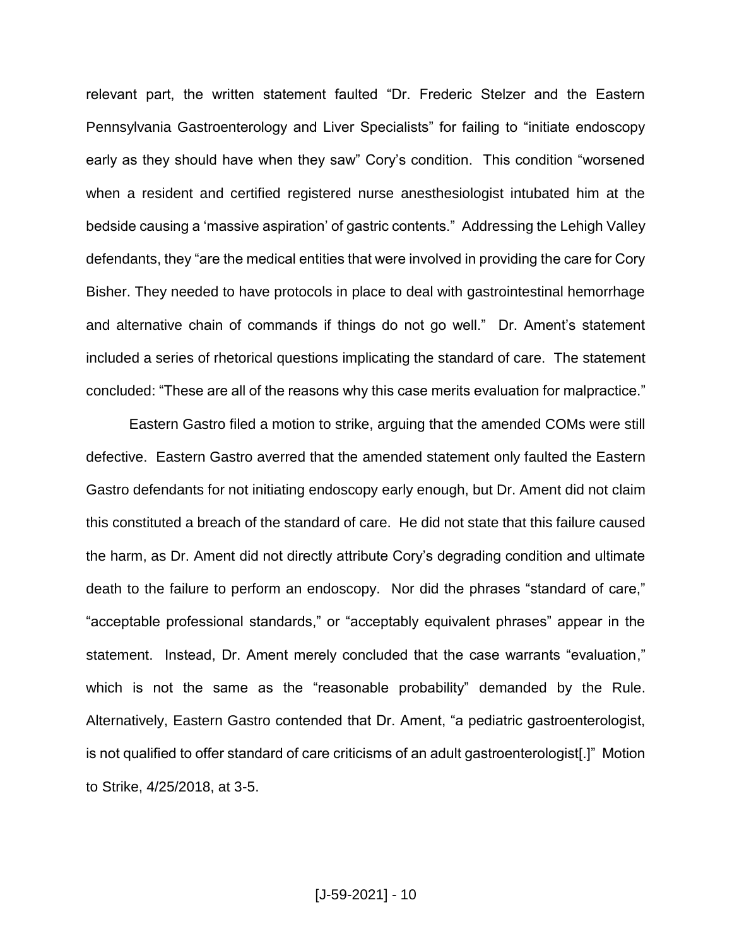relevant part, the written statement faulted "Dr. Frederic Stelzer and the Eastern Pennsylvania Gastroenterology and Liver Specialists" for failing to "initiate endoscopy early as they should have when they saw" Cory's condition. This condition "worsened when a resident and certified registered nurse anesthesiologist intubated him at the bedside causing a 'massive aspiration' of gastric contents." Addressing the Lehigh Valley defendants, they "are the medical entities that were involved in providing the care for Cory Bisher. They needed to have protocols in place to deal with gastrointestinal hemorrhage and alternative chain of commands if things do not go well." Dr. Ament's statement included a series of rhetorical questions implicating the standard of care. The statement concluded: "These are all of the reasons why this case merits evaluation for malpractice."

Eastern Gastro filed a motion to strike, arguing that the amended COMs were still defective. Eastern Gastro averred that the amended statement only faulted the Eastern Gastro defendants for not initiating endoscopy early enough, but Dr. Ament did not claim this constituted a breach of the standard of care. He did not state that this failure caused the harm, as Dr. Ament did not directly attribute Cory's degrading condition and ultimate death to the failure to perform an endoscopy. Nor did the phrases "standard of care," "acceptable professional standards," or "acceptably equivalent phrases" appear in the statement. Instead, Dr. Ament merely concluded that the case warrants "evaluation," which is not the same as the "reasonable probability" demanded by the Rule. Alternatively, Eastern Gastro contended that Dr. Ament, "a pediatric gastroenterologist, is not qualified to offer standard of care criticisms of an adult gastroenterologist[.]" Motion to Strike, 4/25/2018, at 3-5.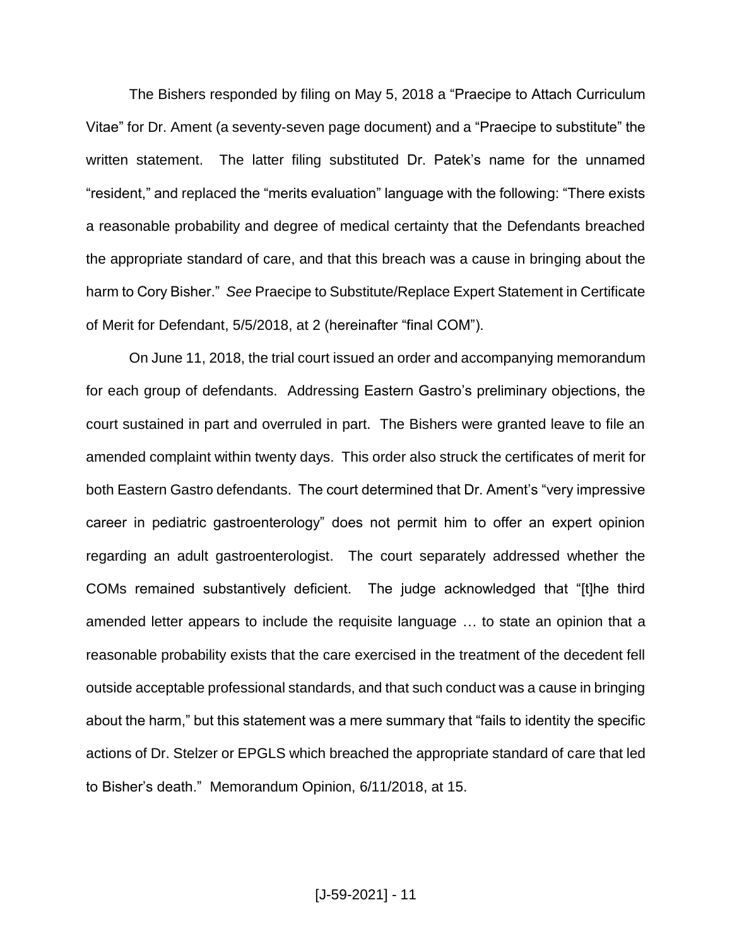The Bishers responded by filing on May 5, 2018 a "Praecipe to Attach Curriculum Vitae" for Dr. Ament (a seventy-seven page document) and a "Praecipe to substitute" the written statement. The latter filing substituted Dr. Patek's name for the unnamed "resident," and replaced the "merits evaluation" language with the following: "There exists a reasonable probability and degree of medical certainty that the Defendants breached the appropriate standard of care, and that this breach was a cause in bringing about the harm to Cory Bisher." *See* Praecipe to Substitute/Replace Expert Statement in Certificate of Merit for Defendant, 5/5/2018, at 2 (hereinafter "final COM").

On June 11, 2018, the trial court issued an order and accompanying memorandum for each group of defendants. Addressing Eastern Gastro's preliminary objections, the court sustained in part and overruled in part. The Bishers were granted leave to file an amended complaint within twenty days. This order also struck the certificates of merit for both Eastern Gastro defendants. The court determined that Dr. Ament's "very impressive career in pediatric gastroenterology" does not permit him to offer an expert opinion regarding an adult gastroenterologist. The court separately addressed whether the COMs remained substantively deficient. The judge acknowledged that "[t]he third amended letter appears to include the requisite language … to state an opinion that a reasonable probability exists that the care exercised in the treatment of the decedent fell outside acceptable professional standards, and that such conduct was a cause in bringing about the harm," but this statement was a mere summary that "fails to identity the specific actions of Dr. Stelzer or EPGLS which breached the appropriate standard of care that led to Bisher's death." Memorandum Opinion, 6/11/2018, at 15.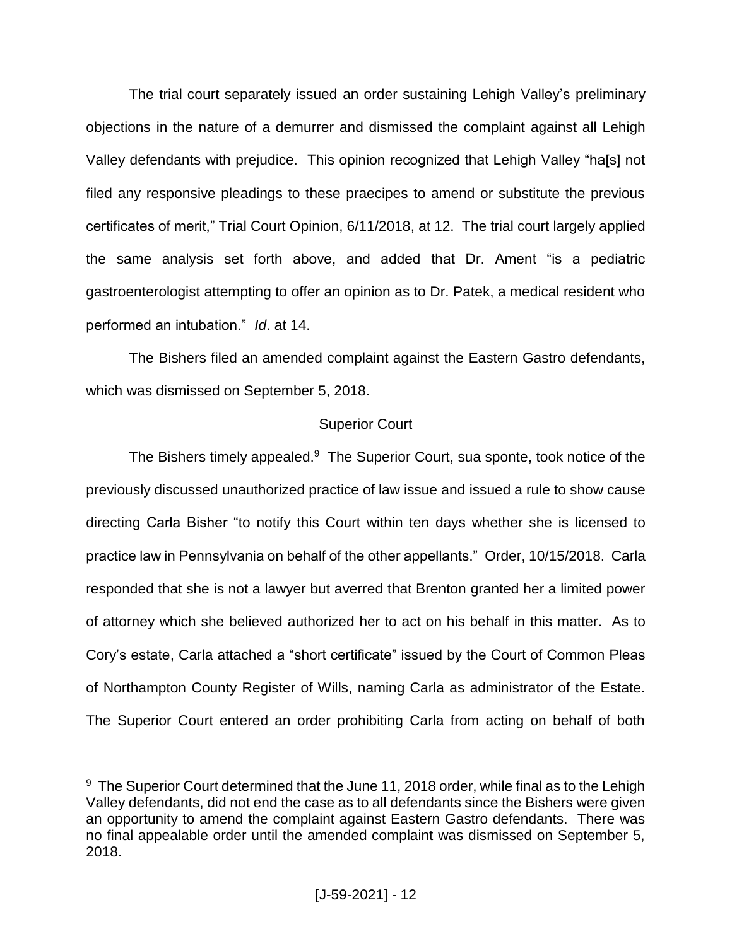The trial court separately issued an order sustaining Lehigh Valley's preliminary objections in the nature of a demurrer and dismissed the complaint against all Lehigh Valley defendants with prejudice. This opinion recognized that Lehigh Valley "ha[s] not filed any responsive pleadings to these praecipes to amend or substitute the previous certificates of merit," Trial Court Opinion, 6/11/2018, at 12. The trial court largely applied the same analysis set forth above, and added that Dr. Ament "is a pediatric gastroenterologist attempting to offer an opinion as to Dr. Patek, a medical resident who performed an intubation." *Id*. at 14.

The Bishers filed an amended complaint against the Eastern Gastro defendants, which was dismissed on September 5, 2018.

# Superior Court

The Bishers timely appealed.<sup>9</sup> The Superior Court, sua sponte, took notice of the previously discussed unauthorized practice of law issue and issued a rule to show cause directing Carla Bisher "to notify this Court within ten days whether she is licensed to practice law in Pennsylvania on behalf of the other appellants." Order, 10/15/2018. Carla responded that she is not a lawyer but averred that Brenton granted her a limited power of attorney which she believed authorized her to act on his behalf in this matter. As to Cory's estate, Carla attached a "short certificate" issued by the Court of Common Pleas of Northampton County Register of Wills, naming Carla as administrator of the Estate. The Superior Court entered an order prohibiting Carla from acting on behalf of both

 $9$  The Superior Court determined that the June 11, 2018 order, while final as to the Lehigh Valley defendants, did not end the case as to all defendants since the Bishers were given an opportunity to amend the complaint against Eastern Gastro defendants. There was no final appealable order until the amended complaint was dismissed on September 5, 2018.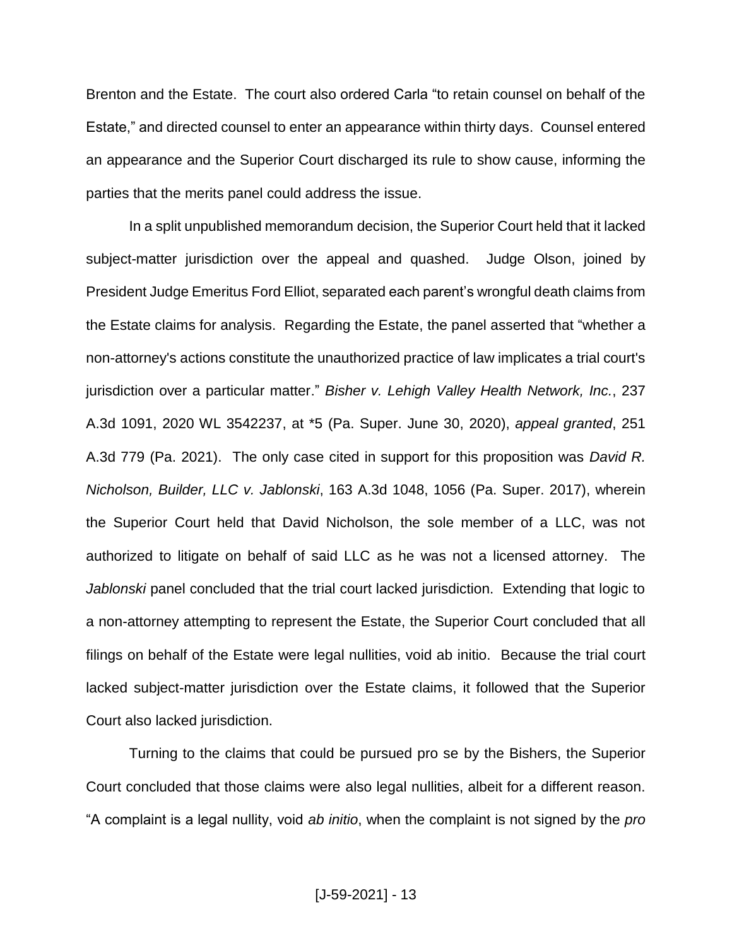Brenton and the Estate. The court also ordered Carla "to retain counsel on behalf of the Estate," and directed counsel to enter an appearance within thirty days. Counsel entered an appearance and the Superior Court discharged its rule to show cause, informing the parties that the merits panel could address the issue.

In a split unpublished memorandum decision, the Superior Court held that it lacked subject-matter jurisdiction over the appeal and quashed. Judge Olson, joined by President Judge Emeritus Ford Elliot, separated each parent's wrongful death claims from the Estate claims for analysis. Regarding the Estate, the panel asserted that "whether a non-attorney's actions constitute the unauthorized practice of law implicates a trial court's jurisdiction over a particular matter." *Bisher v. Lehigh Valley Health Network, Inc.*, 237 A.3d 1091, 2020 WL 3542237, at \*5 (Pa. Super. June 30, 2020), *appeal granted*, 251 A.3d 779 (Pa. 2021). The only case cited in support for this proposition was *David R. Nicholson, Builder, LLC v. Jablonski*, 163 A.3d 1048, 1056 (Pa. Super. 2017), wherein the Superior Court held that David Nicholson, the sole member of a LLC, was not authorized to litigate on behalf of said LLC as he was not a licensed attorney. The *Jablonski* panel concluded that the trial court lacked jurisdiction. Extending that logic to a non-attorney attempting to represent the Estate, the Superior Court concluded that all filings on behalf of the Estate were legal nullities, void ab initio. Because the trial court lacked subject-matter jurisdiction over the Estate claims, it followed that the Superior Court also lacked jurisdiction.

Turning to the claims that could be pursued pro se by the Bishers, the Superior Court concluded that those claims were also legal nullities, albeit for a different reason. "A complaint is a legal nullity, void *ab initio*, when the complaint is not signed by the *pro*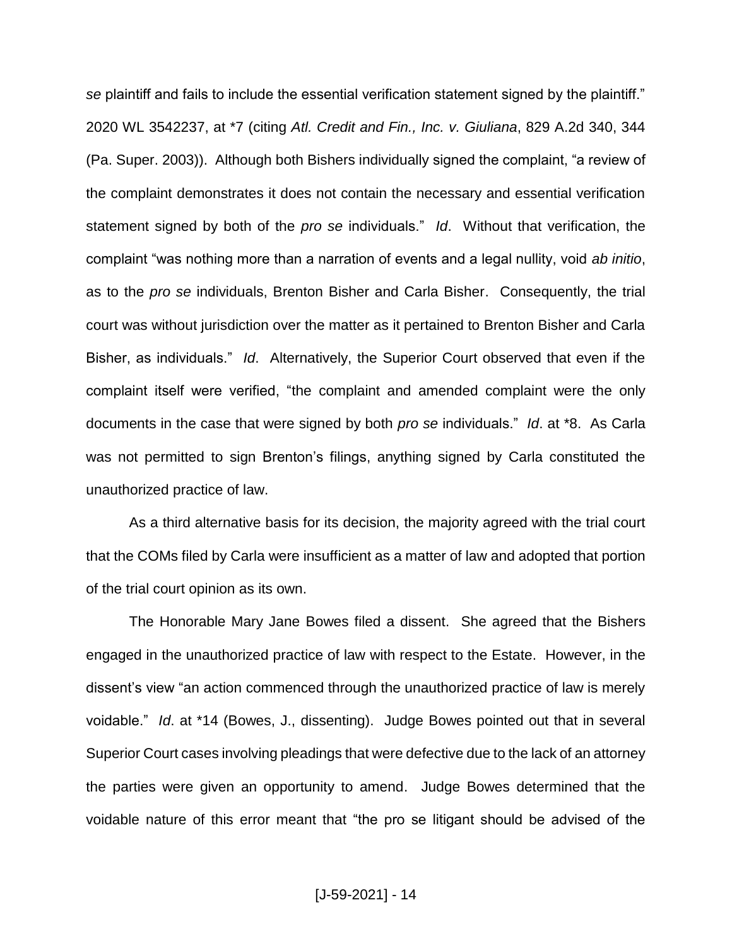*se* plaintiff and fails to include the essential verification statement signed by the plaintiff." 2020 WL 3542237, at \*7 (citing *Atl. Credit and Fin., Inc. v. Giuliana*, 829 A.2d 340, 344 (Pa. Super. 2003)). Although both Bishers individually signed the complaint, "a review of the complaint demonstrates it does not contain the necessary and essential verification statement signed by both of the *pro se* individuals." *Id*. Without that verification, the complaint "was nothing more than a narration of events and a legal nullity, void *ab initio*, as to the *pro se* individuals, Brenton Bisher and Carla Bisher. Consequently, the trial court was without jurisdiction over the matter as it pertained to Brenton Bisher and Carla Bisher, as individuals." *Id*. Alternatively, the Superior Court observed that even if the complaint itself were verified, "the complaint and amended complaint were the only documents in the case that were signed by both *pro se* individuals." *Id*. at \*8. As Carla was not permitted to sign Brenton's filings, anything signed by Carla constituted the unauthorized practice of law.

As a third alternative basis for its decision, the majority agreed with the trial court that the COMs filed by Carla were insufficient as a matter of law and adopted that portion of the trial court opinion as its own.

The Honorable Mary Jane Bowes filed a dissent. She agreed that the Bishers engaged in the unauthorized practice of law with respect to the Estate. However, in the dissent's view "an action commenced through the unauthorized practice of law is merely voidable." *Id*. at \*14 (Bowes, J., dissenting). Judge Bowes pointed out that in several Superior Court cases involving pleadings that were defective due to the lack of an attorney the parties were given an opportunity to amend. Judge Bowes determined that the voidable nature of this error meant that "the pro se litigant should be advised of the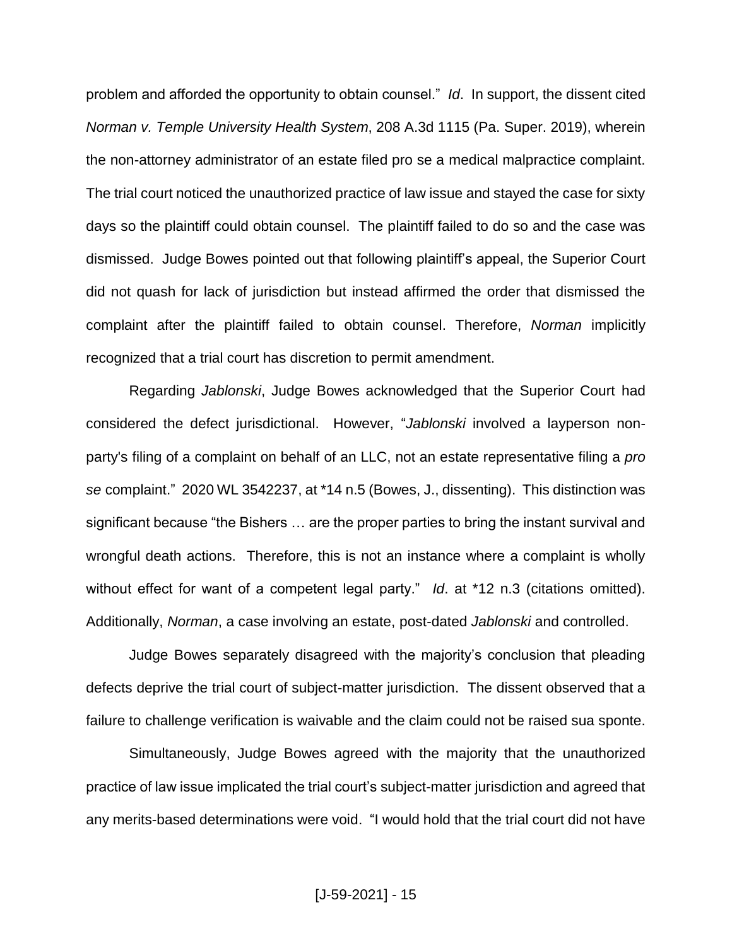problem and afforded the opportunity to obtain counsel." *Id*. In support, the dissent cited *Norman v. Temple University Health System*, 208 A.3d 1115 (Pa. Super. 2019), wherein the non-attorney administrator of an estate filed pro se a medical malpractice complaint. The trial court noticed the unauthorized practice of law issue and stayed the case for sixty days so the plaintiff could obtain counsel. The plaintiff failed to do so and the case was dismissed. Judge Bowes pointed out that following plaintiff's appeal, the Superior Court did not quash for lack of jurisdiction but instead affirmed the order that dismissed the complaint after the plaintiff failed to obtain counsel. Therefore, *Norman* implicitly recognized that a trial court has discretion to permit amendment.

Regarding *Jablonski*, Judge Bowes acknowledged that the Superior Court had considered the defect jurisdictional. However, "*Jablonski* involved a layperson nonparty's filing of a complaint on behalf of an LLC, not an estate representative filing a *pro se* complaint." 2020 WL 3542237, at \*14 n.5 (Bowes, J., dissenting).This distinction was significant because "the Bishers … are the proper parties to bring the instant survival and wrongful death actions. Therefore, this is not an instance where a complaint is wholly without effect for want of a competent legal party." *Id*. at \*12 n.3 (citations omitted). Additionally, *Norman*, a case involving an estate, post-dated *Jablonski* and controlled.

Judge Bowes separately disagreed with the majority's conclusion that pleading defects deprive the trial court of subject-matter jurisdiction. The dissent observed that a failure to challenge verification is waivable and the claim could not be raised sua sponte.

Simultaneously, Judge Bowes agreed with the majority that the unauthorized practice of law issue implicated the trial court's subject-matter jurisdiction and agreed that any merits-based determinations were void. "I would hold that the trial court did not have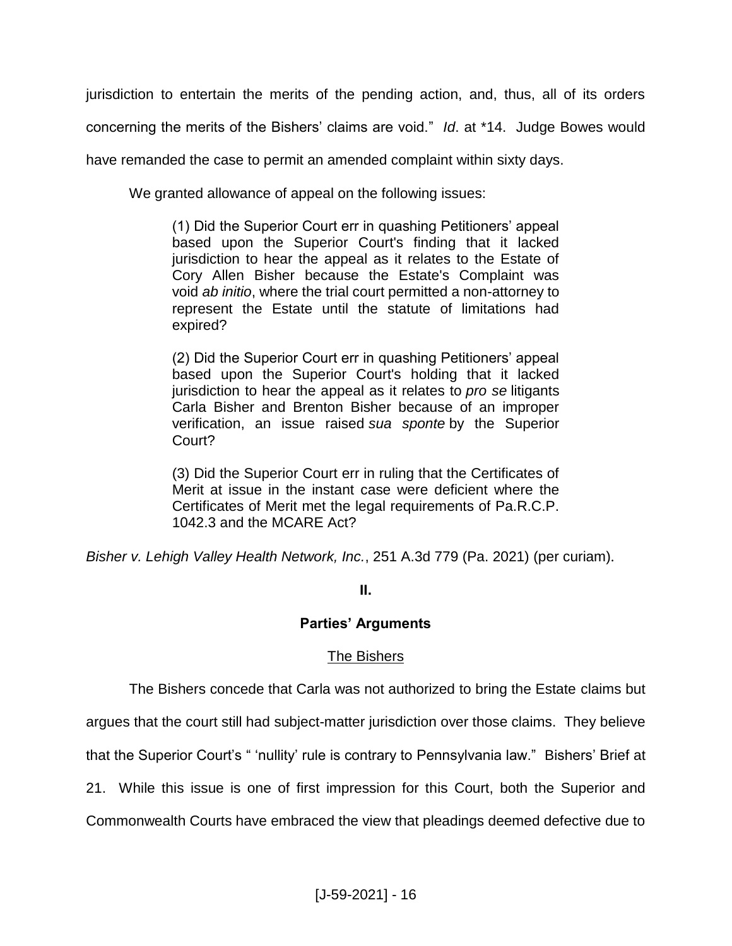jurisdiction to entertain the merits of the pending action, and, thus, all of its orders concerning the merits of the Bishers' claims are void." *Id*. at \*14. Judge Bowes would

have remanded the case to permit an amended complaint within sixty days.

We granted allowance of appeal on the following issues:

(1) Did the Superior Court err in quashing Petitioners' appeal based upon the Superior Court's finding that it lacked jurisdiction to hear the appeal as it relates to the Estate of Cory Allen Bisher because the Estate's Complaint was void *ab initio*, where the trial court permitted a non-attorney to represent the Estate until the statute of limitations had expired?

(2) Did the Superior Court err in quashing Petitioners' appeal based upon the Superior Court's holding that it lacked jurisdiction to hear the appeal as it relates to *pro se* litigants Carla Bisher and Brenton Bisher because of an improper verification, an issue raised *sua sponte* by the Superior Court?

(3) Did the Superior Court err in ruling that the Certificates of Merit at issue in the instant case were deficient where the Certificates of Merit met the legal requirements of Pa.R.C.P. 1042.3 and the MCARE Act?

*Bisher v. Lehigh Valley Health Network, Inc.*, 251 A.3d 779 (Pa. 2021) (per curiam).

# **II.**

# **Parties' Arguments**

# The Bishers

The Bishers concede that Carla was not authorized to bring the Estate claims but

argues that the court still had subject-matter jurisdiction over those claims. They believe

that the Superior Court's " 'nullity' rule is contrary to Pennsylvania law." Bishers' Brief at

21.While this issue is one of first impression for this Court, both the Superior and

Commonwealth Courts have embraced the view that pleadings deemed defective due to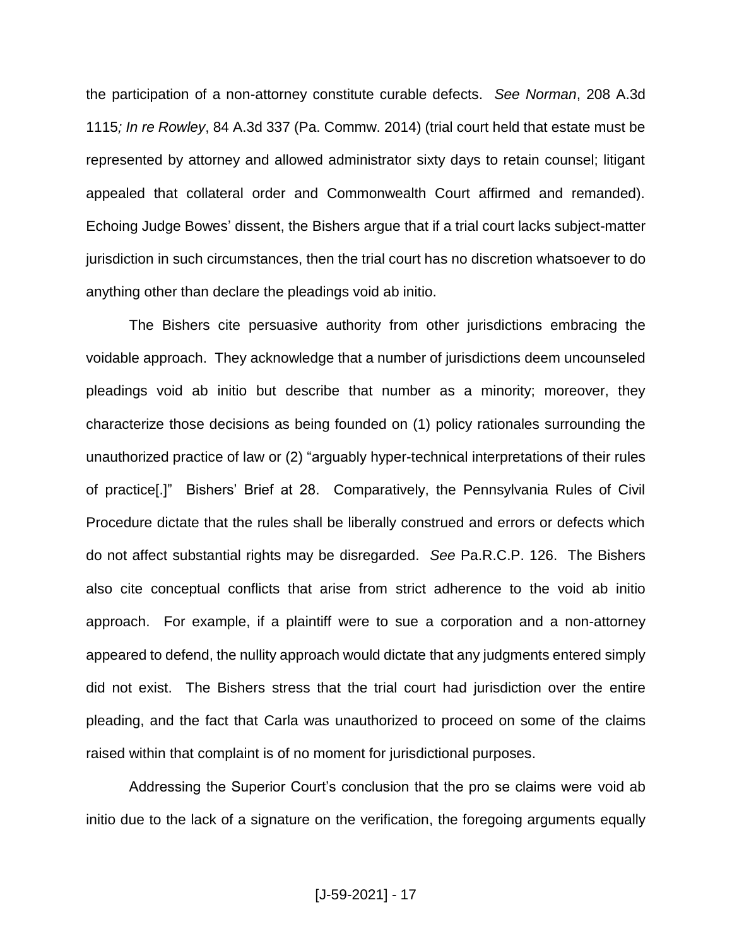the participation of a non-attorney constitute curable defects. *See Norman*, 208 A.3d 1115*; In re Rowley*, 84 A.3d 337 (Pa. Commw. 2014) (trial court held that estate must be represented by attorney and allowed administrator sixty days to retain counsel; litigant appealed that collateral order and Commonwealth Court affirmed and remanded). Echoing Judge Bowes' dissent, the Bishers argue that if a trial court lacks subject-matter jurisdiction in such circumstances, then the trial court has no discretion whatsoever to do anything other than declare the pleadings void ab initio.

The Bishers cite persuasive authority from other jurisdictions embracing the voidable approach. They acknowledge that a number of jurisdictions deem uncounseled pleadings void ab initio but describe that number as a minority; moreover, they characterize those decisions as being founded on (1) policy rationales surrounding the unauthorized practice of law or (2) "arguably hyper-technical interpretations of their rules of practice[.]" Bishers' Brief at 28. Comparatively, the Pennsylvania Rules of Civil Procedure dictate that the rules shall be liberally construed and errors or defects which do not affect substantial rights may be disregarded. *See* Pa.R.C.P. 126. The Bishers also cite conceptual conflicts that arise from strict adherence to the void ab initio approach. For example, if a plaintiff were to sue a corporation and a non-attorney appeared to defend, the nullity approach would dictate that any judgments entered simply did not exist.The Bishers stress that the trial court had jurisdiction over the entire pleading, and the fact that Carla was unauthorized to proceed on some of the claims raised within that complaint is of no moment for jurisdictional purposes.

Addressing the Superior Court's conclusion that the pro se claims were void ab initio due to the lack of a signature on the verification, the foregoing arguments equally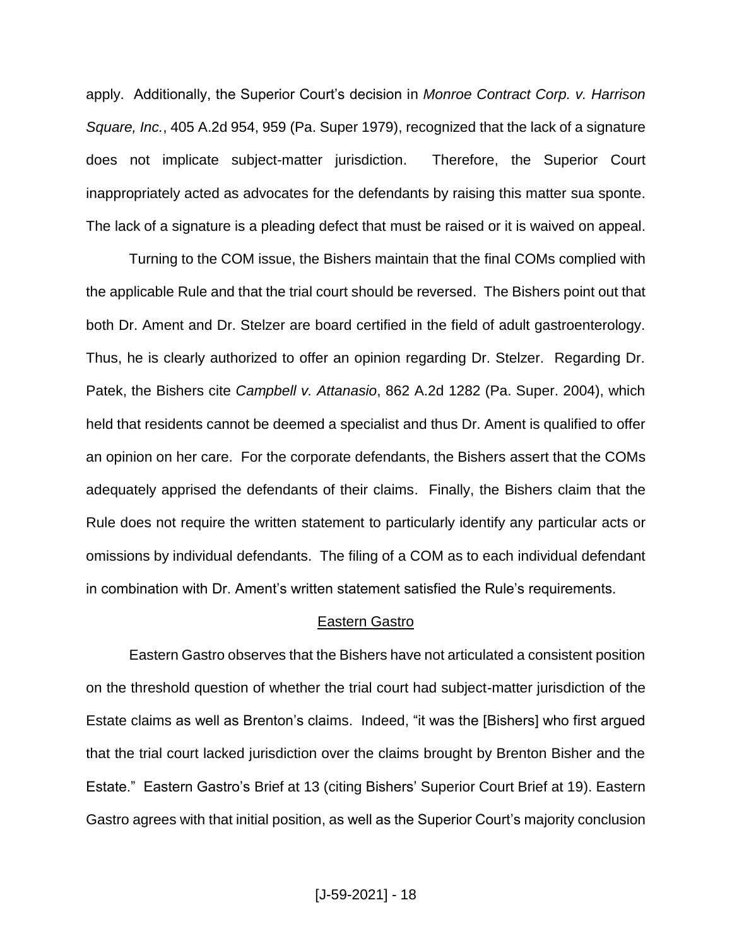apply. Additionally, the Superior Court's decision in *Monroe Contract Corp. v. Harrison Square, Inc.*, 405 A.2d 954, 959 (Pa. Super 1979), recognized that the lack of a signature does not implicate subject-matter jurisdiction. Therefore, the Superior Court inappropriately acted as advocates for the defendants by raising this matter sua sponte. The lack of a signature is a pleading defect that must be raised or it is waived on appeal.

Turning to the COM issue, the Bishers maintain that the final COMs complied with the applicable Rule and that the trial court should be reversed. The Bishers point out that both Dr. Ament and Dr. Stelzer are board certified in the field of adult gastroenterology. Thus, he is clearly authorized to offer an opinion regarding Dr. Stelzer. Regarding Dr. Patek, the Bishers cite *Campbell v. Attanasio*, 862 A.2d 1282 (Pa. Super. 2004), which held that residents cannot be deemed a specialist and thus Dr. Ament is qualified to offer an opinion on her care. For the corporate defendants, the Bishers assert that the COMs adequately apprised the defendants of their claims. Finally, the Bishers claim that the Rule does not require the written statement to particularly identify any particular acts or omissions by individual defendants. The filing of a COM as to each individual defendant in combination with Dr. Ament's written statement satisfied the Rule's requirements.

#### Eastern Gastro

Eastern Gastro observes that the Bishers have not articulated a consistent position on the threshold question of whether the trial court had subject-matter jurisdiction of the Estate claims as well as Brenton's claims. Indeed, "it was the [Bishers] who first argued that the trial court lacked jurisdiction over the claims brought by Brenton Bisher and the Estate." Eastern Gastro's Brief at 13 (citing Bishers' Superior Court Brief at 19). Eastern Gastro agrees with that initial position, as well as the Superior Court's majority conclusion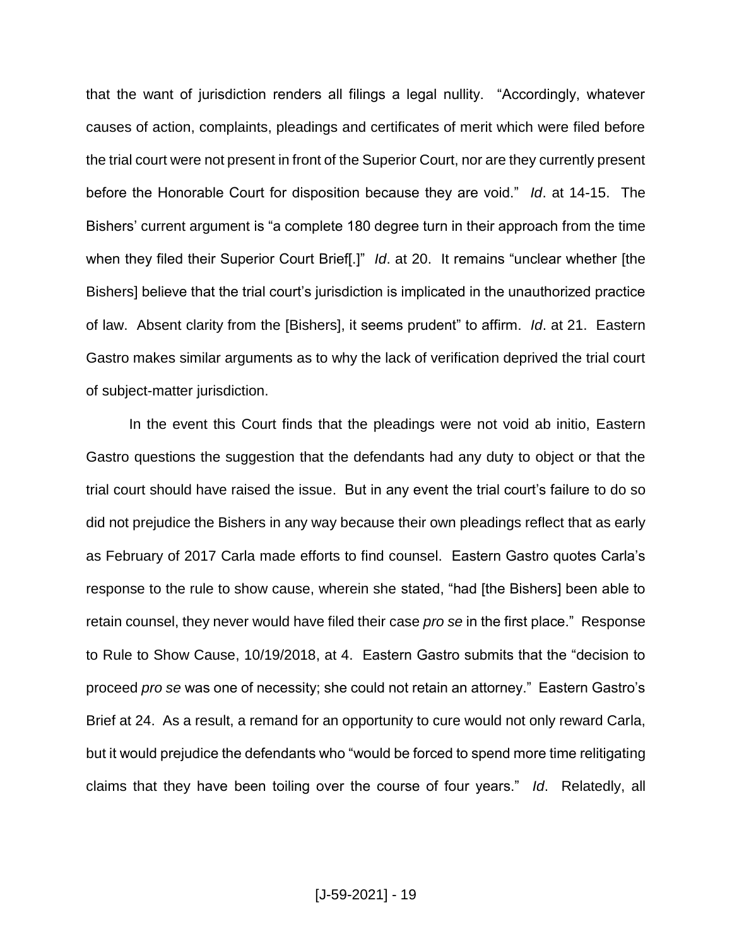that the want of jurisdiction renders all filings a legal nullity. "Accordingly, whatever causes of action, complaints, pleadings and certificates of merit which were filed before the trial court were not present in front of the Superior Court, nor are they currently present before the Honorable Court for disposition because they are void." *Id*. at 14-15. The Bishers' current argument is "a complete 180 degree turn in their approach from the time when they filed their Superior Court Brief[.]" *Id*. at 20. It remains "unclear whether [the Bishers] believe that the trial court's jurisdiction is implicated in the unauthorized practice of law. Absent clarity from the [Bishers], it seems prudent" to affirm. *Id*. at 21. Eastern Gastro makes similar arguments as to why the lack of verification deprived the trial court of subject-matter jurisdiction.

In the event this Court finds that the pleadings were not void ab initio, Eastern Gastro questions the suggestion that the defendants had any duty to object or that the trial court should have raised the issue. But in any event the trial court's failure to do so did not prejudice the Bishers in any way because their own pleadings reflect that as early as February of 2017 Carla made efforts to find counsel. Eastern Gastro quotes Carla's response to the rule to show cause, wherein she stated, "had [the Bishers] been able to retain counsel, they never would have filed their case *pro se* in the first place." Response to Rule to Show Cause, 10/19/2018, at 4. Eastern Gastro submits that the "decision to proceed *pro se* was one of necessity; she could not retain an attorney." Eastern Gastro's Brief at 24. As a result, a remand for an opportunity to cure would not only reward Carla, but it would prejudice the defendants who "would be forced to spend more time relitigating claims that they have been toiling over the course of four years." *Id*. Relatedly, all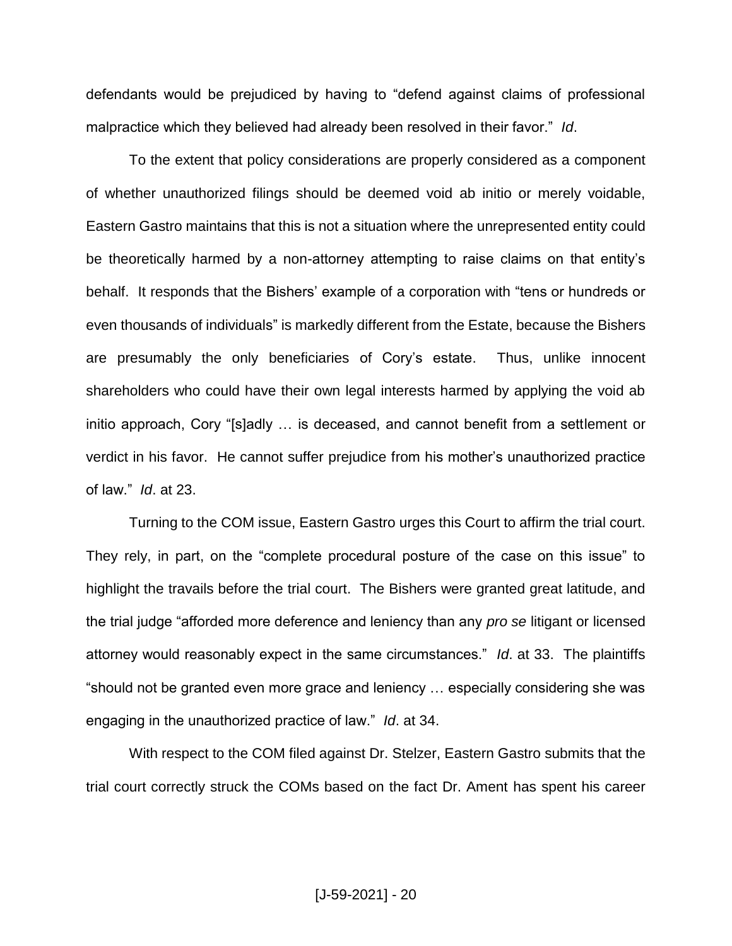defendants would be prejudiced by having to "defend against claims of professional malpractice which they believed had already been resolved in their favor." *Id*.

To the extent that policy considerations are properly considered as a component of whether unauthorized filings should be deemed void ab initio or merely voidable, Eastern Gastro maintains that this is not a situation where the unrepresented entity could be theoretically harmed by a non-attorney attempting to raise claims on that entity's behalf. It responds that the Bishers' example of a corporation with "tens or hundreds or even thousands of individuals" is markedly different from the Estate, because the Bishers are presumably the only beneficiaries of Cory's estate. Thus, unlike innocent shareholders who could have their own legal interests harmed by applying the void ab initio approach, Cory "[s]adly … is deceased, and cannot benefit from a settlement or verdict in his favor. He cannot suffer prejudice from his mother's unauthorized practice of law." *Id*. at 23.

Turning to the COM issue, Eastern Gastro urges this Court to affirm the trial court. They rely, in part, on the "complete procedural posture of the case on this issue" to highlight the travails before the trial court. The Bishers were granted great latitude, and the trial judge "afforded more deference and leniency than any *pro se* litigant or licensed attorney would reasonably expect in the same circumstances." *Id*. at 33. The plaintiffs "should not be granted even more grace and leniency … especially considering she was engaging in the unauthorized practice of law." *Id*. at 34.

With respect to the COM filed against Dr. Stelzer, Eastern Gastro submits that the trial court correctly struck the COMs based on the fact Dr. Ament has spent his career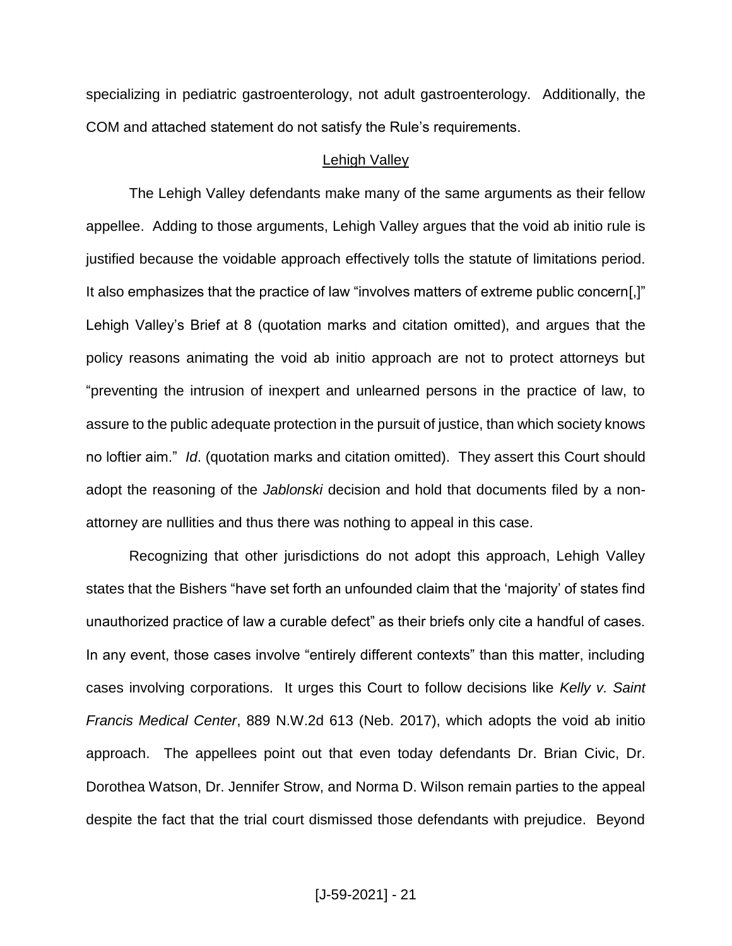specializing in pediatric gastroenterology, not adult gastroenterology. Additionally, the COM and attached statement do not satisfy the Rule's requirements.

## Lehigh Valley

The Lehigh Valley defendants make many of the same arguments as their fellow appellee. Adding to those arguments, Lehigh Valley argues that the void ab initio rule is justified because the voidable approach effectively tolls the statute of limitations period. It also emphasizes that the practice of law "involves matters of extreme public concern[,]" Lehigh Valley's Brief at 8 (quotation marks and citation omitted), and argues that the policy reasons animating the void ab initio approach are not to protect attorneys but "preventing the intrusion of inexpert and unlearned persons in the practice of law, to assure to the public adequate protection in the pursuit of justice, than which society knows no loftier aim." *Id*. (quotation marks and citation omitted). They assert this Court should adopt the reasoning of the *Jablonski* decision and hold that documents filed by a nonattorney are nullities and thus there was nothing to appeal in this case.

Recognizing that other jurisdictions do not adopt this approach, Lehigh Valley states that the Bishers "have set forth an unfounded claim that the 'majority' of states find unauthorized practice of law a curable defect" as their briefs only cite a handful of cases. In any event, those cases involve "entirely different contexts" than this matter, including cases involving corporations. It urges this Court to follow decisions like *Kelly v. Saint Francis Medical Center*, 889 N.W.2d 613 (Neb. 2017), which adopts the void ab initio approach. The appellees point out that even today defendants Dr. Brian Civic, Dr. Dorothea Watson, Dr. Jennifer Strow, and Norma D. Wilson remain parties to the appeal despite the fact that the trial court dismissed those defendants with prejudice. Beyond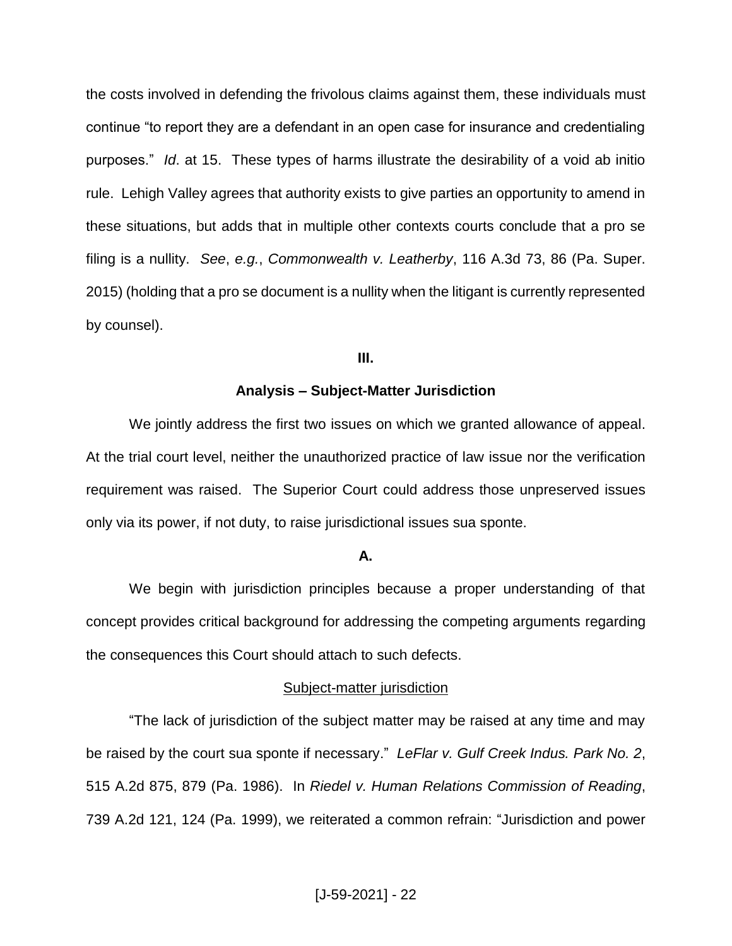the costs involved in defending the frivolous claims against them, these individuals must continue "to report they are a defendant in an open case for insurance and credentialing purposes." *Id*. at 15. These types of harms illustrate the desirability of a void ab initio rule. Lehigh Valley agrees that authority exists to give parties an opportunity to amend in these situations, but adds that in multiple other contexts courts conclude that a pro se filing is a nullity. *See*, *e.g.*, *Commonwealth v. Leatherby*, 116 A.3d 73, 86 (Pa. Super. 2015) (holding that a pro se document is a nullity when the litigant is currently represented by counsel).

## **III.**

## **Analysis – Subject-Matter Jurisdiction**

We jointly address the first two issues on which we granted allowance of appeal. At the trial court level, neither the unauthorized practice of law issue nor the verification requirement was raised. The Superior Court could address those unpreserved issues only via its power, if not duty, to raise jurisdictional issues sua sponte.

#### **A.**

We begin with jurisdiction principles because a proper understanding of that concept provides critical background for addressing the competing arguments regarding the consequences this Court should attach to such defects.

#### Subject-matter jurisdiction

"The lack of jurisdiction of the subject matter may be raised at any time and may be raised by the court sua sponte if necessary." *LeFlar v. Gulf Creek Indus. Park No. 2*, 515 A.2d 875, 879 (Pa. 1986). In *Riedel v. Human Relations Commission of Reading*, 739 A.2d 121, 124 (Pa. 1999), we reiterated a common refrain: "Jurisdiction and power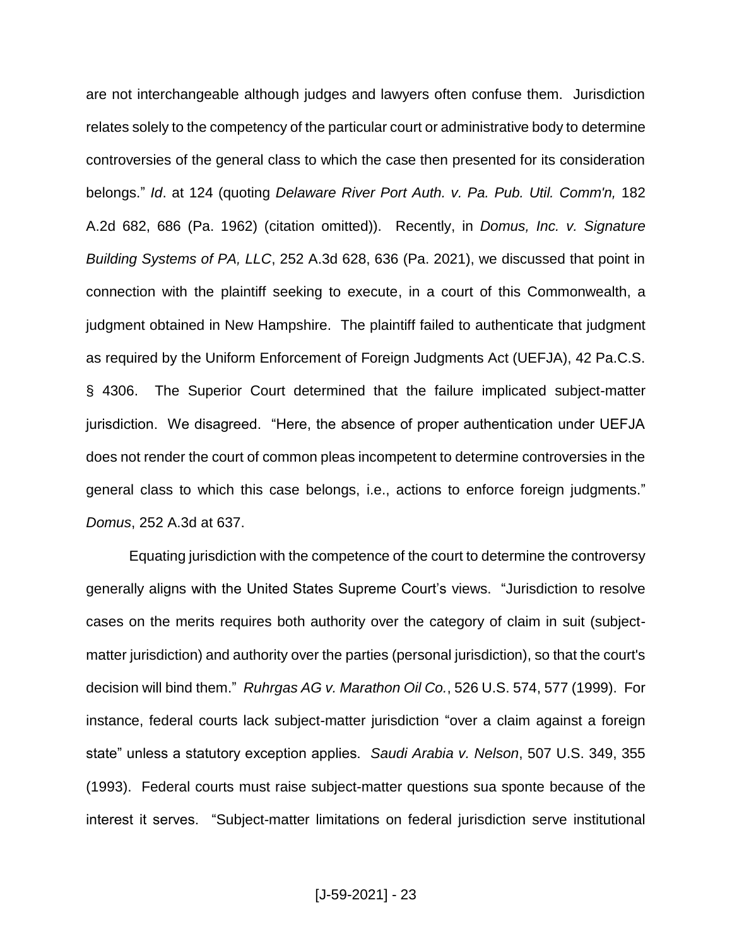are not interchangeable although judges and lawyers often confuse them. Jurisdiction relates solely to the competency of the particular court or administrative body to determine controversies of the general class to which the case then presented for its consideration belongs." *Id*. at 124 (quoting *Delaware River Port Auth. v. Pa. Pub. Util. Comm'n,* 182 A.2d 682, 686 (Pa. 1962) (citation omitted)). Recently, in *Domus, Inc. v. Signature Building Systems of PA, LLC*, 252 A.3d 628, 636 (Pa. 2021), we discussed that point in connection with the plaintiff seeking to execute, in a court of this Commonwealth, a judgment obtained in New Hampshire. The plaintiff failed to authenticate that judgment as required by the Uniform Enforcement of Foreign Judgments Act (UEFJA), 42 Pa.C.S. § 4306. The Superior Court determined that the failure implicated subject-matter jurisdiction. We disagreed. "Here, the absence of proper authentication under UEFJA does not render the court of common pleas incompetent to determine controversies in the general class to which this case belongs, i.e., actions to enforce foreign judgments." *Domus*, 252 A.3d at 637.

Equating jurisdiction with the competence of the court to determine the controversy generally aligns with the United States Supreme Court's views. "Jurisdiction to resolve cases on the merits requires both authority over the category of claim in suit (subjectmatter jurisdiction) and authority over the parties (personal jurisdiction), so that the court's decision will bind them." *Ruhrgas AG v. Marathon Oil Co.*, 526 U.S. 574, 577 (1999). For instance, federal courts lack subject-matter jurisdiction "over a claim against a foreign state" unless a statutory exception applies. *Saudi Arabia v. Nelson*, 507 U.S. 349, 355 (1993). Federal courts must raise subject-matter questions sua sponte because of the interest it serves. "Subject-matter limitations on federal jurisdiction serve institutional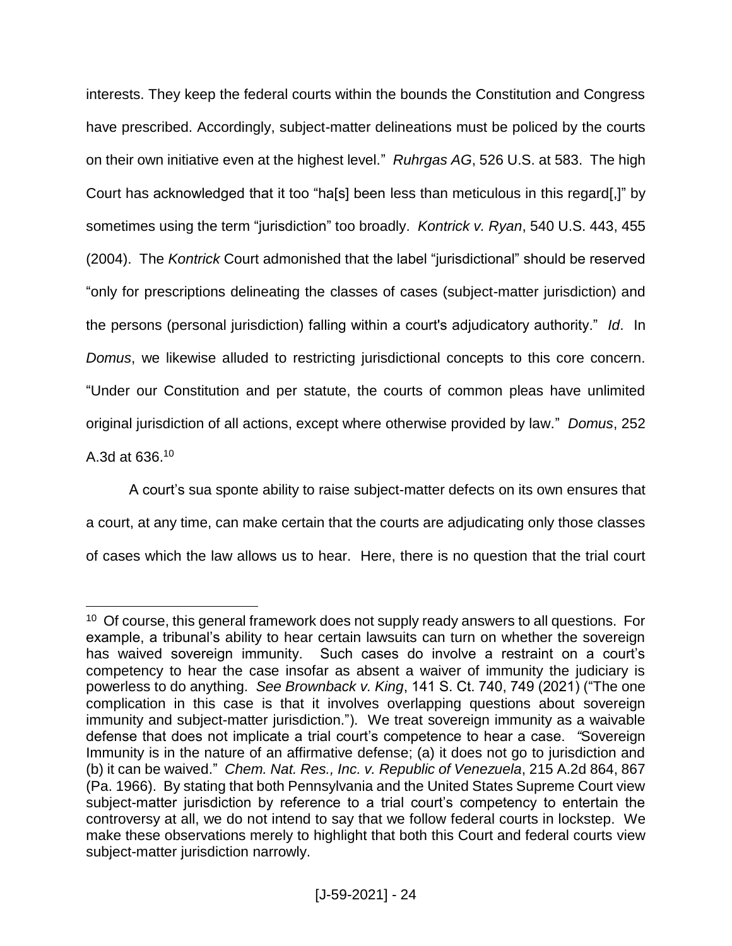interests. They keep the federal courts within the bounds the Constitution and Congress have prescribed. Accordingly, subject-matter delineations must be policed by the courts on their own initiative even at the highest level." *Ruhrgas AG*, 526 U.S. at 583. The high Court has acknowledged that it too "ha[s] been less than meticulous in this regard[,]" by sometimes using the term "jurisdiction" too broadly. *Kontrick v. Ryan*, 540 U.S. 443, 455 (2004). The *Kontrick* Court admonished that the label "jurisdictional" should be reserved "only for prescriptions delineating the classes of cases (subject-matter jurisdiction) and the persons (personal jurisdiction) falling within a court's adjudicatory authority." *Id*. In *Domus*, we likewise alluded to restricting jurisdictional concepts to this core concern. "Under our Constitution and per statute, the courts of common pleas have unlimited original jurisdiction of all actions, except where otherwise provided by law." *Domus*, 252 A.3d at 636. 10

A court's sua sponte ability to raise subject-matter defects on its own ensures that a court, at any time, can make certain that the courts are adjudicating only those classes of cases which the law allows us to hear. Here, there is no question that the trial court

<sup>&</sup>lt;sup>10</sup> Of course, this general framework does not supply ready answers to all questions. For example, a tribunal's ability to hear certain lawsuits can turn on whether the sovereign has waived sovereign immunity. Such cases do involve a restraint on a court's competency to hear the case insofar as absent a waiver of immunity the judiciary is powerless to do anything. *See Brownback v. King*, 141 S. Ct. 740, 749 (2021) ("The one complication in this case is that it involves overlapping questions about sovereign immunity and subject-matter jurisdiction."). We treat sovereign immunity as a waivable defense that does not implicate a trial court's competence to hear a case. *"*Sovereign Immunity is in the nature of an affirmative defense; (a) it does not go to jurisdiction and (b) it can be waived." *Chem. Nat. Res., Inc. v. Republic of Venezuela*, 215 A.2d 864, 867 (Pa. 1966). By stating that both Pennsylvania and the United States Supreme Court view subject-matter jurisdiction by reference to a trial court's competency to entertain the controversy at all, we do not intend to say that we follow federal courts in lockstep. We make these observations merely to highlight that both this Court and federal courts view subject-matter jurisdiction narrowly.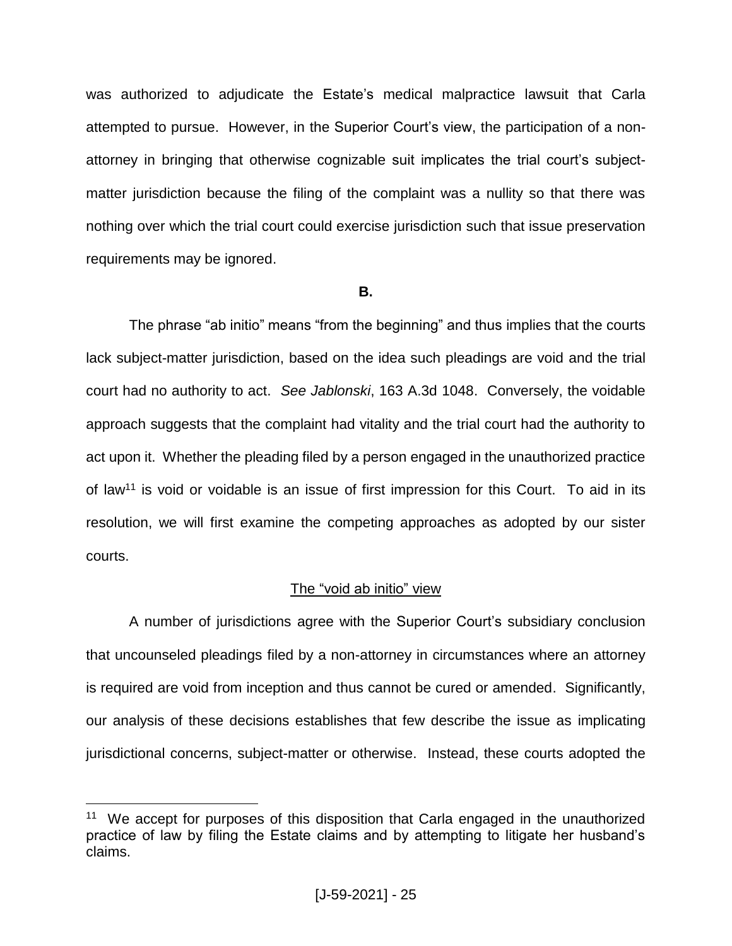was authorized to adjudicate the Estate's medical malpractice lawsuit that Carla attempted to pursue. However, in the Superior Court's view, the participation of a nonattorney in bringing that otherwise cognizable suit implicates the trial court's subjectmatter jurisdiction because the filing of the complaint was a nullity so that there was nothing over which the trial court could exercise jurisdiction such that issue preservation requirements may be ignored.

## **B.**

The phrase "ab initio" means "from the beginning" and thus implies that the courts lack subject-matter jurisdiction, based on the idea such pleadings are void and the trial court had no authority to act. *See Jablonski*, 163 A.3d 1048. Conversely, the voidable approach suggests that the complaint had vitality and the trial court had the authority to act upon it. Whether the pleading filed by a person engaged in the unauthorized practice of law<sup>11</sup> is void or voidable is an issue of first impression for this Court. To aid in its resolution, we will first examine the competing approaches as adopted by our sister courts.

# The "void ab initio" view

A number of jurisdictions agree with the Superior Court's subsidiary conclusion that uncounseled pleadings filed by a non-attorney in circumstances where an attorney is required are void from inception and thus cannot be cured or amended. Significantly, our analysis of these decisions establishes that few describe the issue as implicating jurisdictional concerns, subject-matter or otherwise. Instead, these courts adopted the

<sup>&</sup>lt;sup>11</sup> We accept for purposes of this disposition that Carla engaged in the unauthorized practice of law by filing the Estate claims and by attempting to litigate her husband's claims.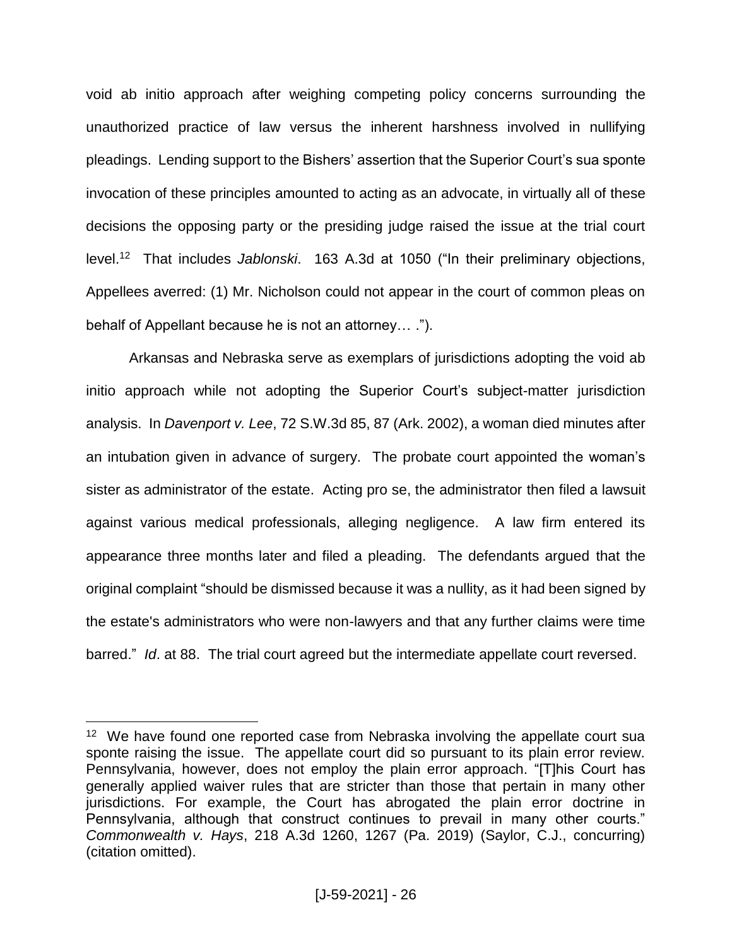void ab initio approach after weighing competing policy concerns surrounding the unauthorized practice of law versus the inherent harshness involved in nullifying pleadings.Lending support to the Bishers' assertion that the Superior Court's sua sponte invocation of these principles amounted to acting as an advocate, in virtually all of these decisions the opposing party or the presiding judge raised the issue at the trial court level.<sup>12</sup> That includes *Jablonski*. 163 A.3d at 1050 ("In their preliminary objections, Appellees averred: (1) Mr. Nicholson could not appear in the court of common pleas on behalf of Appellant because he is not an attorney… .").

Arkansas and Nebraska serve as exemplars of jurisdictions adopting the void ab initio approach while not adopting the Superior Court's subject-matter jurisdiction analysis. In *Davenport v. Lee*, 72 S.W.3d 85, 87 (Ark. 2002), a woman died minutes after an intubation given in advance of surgery. The probate court appointed the woman's sister as administrator of the estate. Acting pro se, the administrator then filed a lawsuit against various medical professionals, alleging negligence. A law firm entered its appearance three months later and filed a pleading. The defendants argued that the original complaint "should be dismissed because it was a nullity, as it had been signed by the estate's administrators who were non-lawyers and that any further claims were time barred." *Id*. at 88. The trial court agreed but the intermediate appellate court reversed.

<sup>&</sup>lt;sup>12</sup> We have found one reported case from Nebraska involving the appellate court sua sponte raising the issue. The appellate court did so pursuant to its plain error review. Pennsylvania, however, does not employ the plain error approach. "[T]his Court has generally applied waiver rules that are stricter than those that pertain in many other jurisdictions. For example, the Court has abrogated the plain error doctrine in Pennsylvania, although that construct continues to prevail in many other courts." *Commonwealth v. Hays*, 218 A.3d 1260, 1267 (Pa. 2019) (Saylor, C.J., concurring) (citation omitted).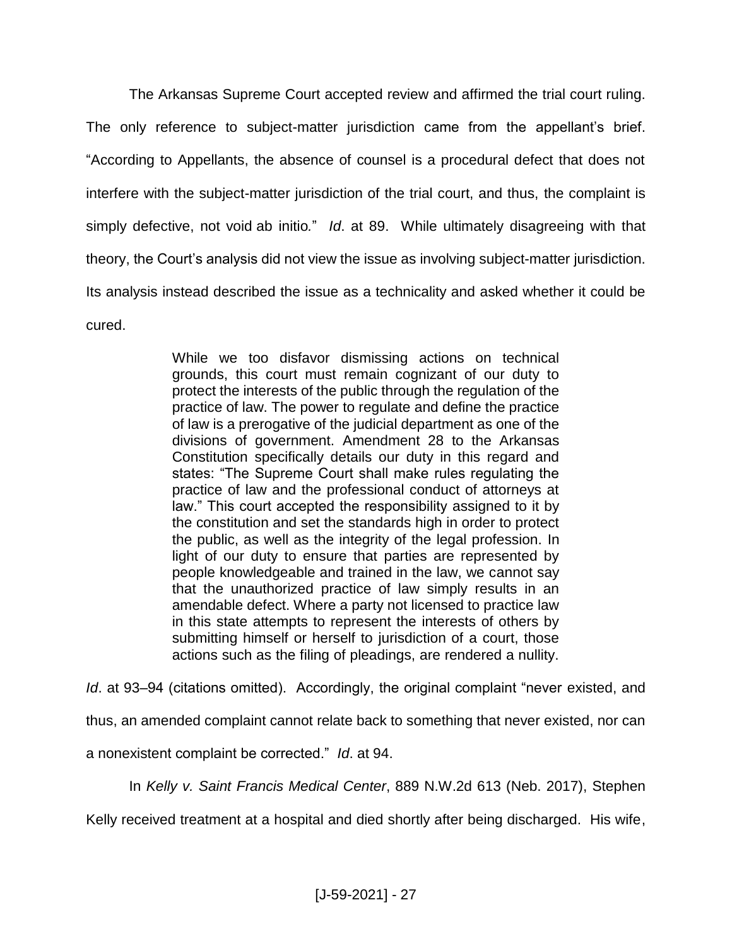The Arkansas Supreme Court accepted review and affirmed the trial court ruling. The only reference to subject-matter jurisdiction came from the appellant's brief. "According to Appellants, the absence of counsel is a procedural defect that does not interfere with the subject-matter jurisdiction of the trial court, and thus, the complaint is simply defective, not void ab initio*.*" *Id*. at 89. While ultimately disagreeing with that theory, the Court's analysis did not view the issue as involving subject-matter jurisdiction. Its analysis instead described the issue as a technicality and asked whether it could be cured.

> While we too disfavor dismissing actions on technical grounds, this court must remain cognizant of our duty to protect the interests of the public through the regulation of the practice of law. The power to regulate and define the practice of law is a prerogative of the judicial department as one of the divisions of government. Amendment 28 to the Arkansas Constitution specifically details our duty in this regard and states: "The Supreme Court shall make rules regulating the practice of law and the professional conduct of attorneys at law." This court accepted the responsibility assigned to it by the constitution and set the standards high in order to protect the public, as well as the integrity of the legal profession. In light of our duty to ensure that parties are represented by people knowledgeable and trained in the law, we cannot say that the unauthorized practice of law simply results in an amendable defect. Where a party not licensed to practice law in this state attempts to represent the interests of others by submitting himself or herself to jurisdiction of a court, those actions such as the filing of pleadings, are rendered a nullity.

*Id*. at 93–94 (citations omitted). Accordingly, the original complaint "never existed, and

thus, an amended complaint cannot relate back to something that never existed, nor can

a nonexistent complaint be corrected." *Id*. at 94.

In *Kelly v. Saint Francis Medical Center*, 889 N.W.2d 613 (Neb. 2017), Stephen

Kelly received treatment at a hospital and died shortly after being discharged. His wife,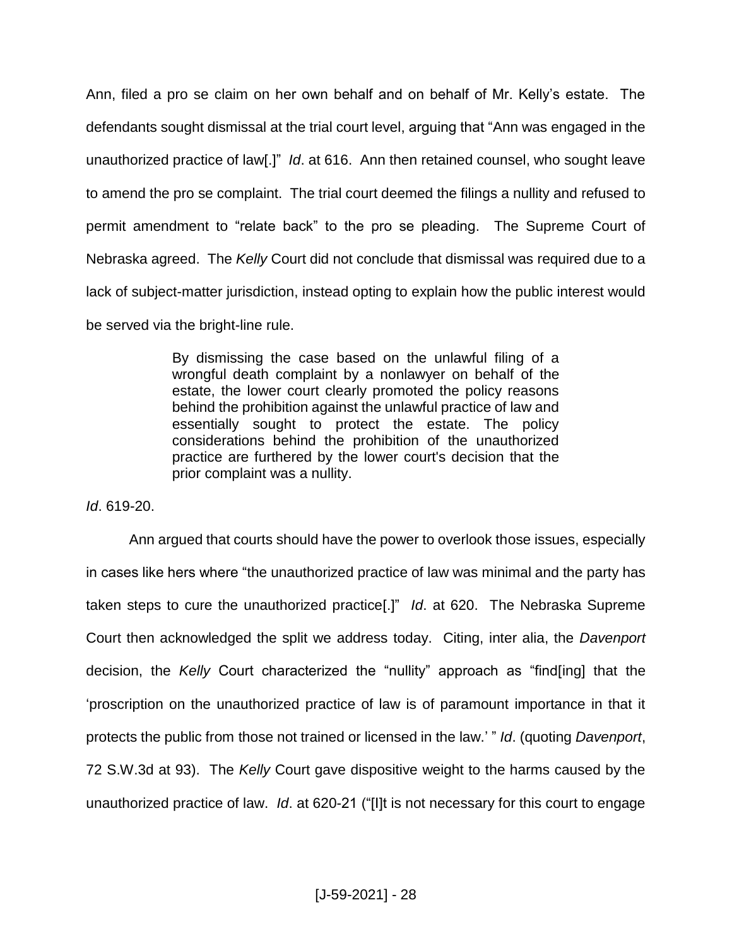Ann, filed a pro se claim on her own behalf and on behalf of Mr. Kelly's estate. The defendants sought dismissal at the trial court level, arguing that "Ann was engaged in the unauthorized practice of law[.]" *Id*. at 616. Ann then retained counsel, who sought leave to amend the pro se complaint. The trial court deemed the filings a nullity and refused to permit amendment to "relate back" to the pro se pleading. The Supreme Court of Nebraska agreed. The *Kelly* Court did not conclude that dismissal was required due to a lack of subject-matter jurisdiction, instead opting to explain how the public interest would be served via the bright-line rule.

> By dismissing the case based on the unlawful filing of a wrongful death complaint by a nonlawyer on behalf of the estate, the lower court clearly promoted the policy reasons behind the prohibition against the unlawful practice of law and essentially sought to protect the estate. The policy considerations behind the prohibition of the unauthorized practice are furthered by the lower court's decision that the prior complaint was a nullity.

*Id*. 619-20.

Ann argued that courts should have the power to overlook those issues, especially in cases like hers where "the unauthorized practice of law was minimal and the party has taken steps to cure the unauthorized practice[.]" *Id*. at 620. The Nebraska Supreme Court then acknowledged the split we address today. Citing, inter alia, the *Davenport* decision, the *Kelly* Court characterized the "nullity" approach as "find[ing] that the 'proscription on the unauthorized practice of law is of paramount importance in that it protects the public from those not trained or licensed in the law.' " *Id*. (quoting *Davenport*, 72 S.W.3d at 93). The *Kelly* Court gave dispositive weight to the harms caused by the unauthorized practice of law. *Id*. at 620-21 ("[I]t is not necessary for this court to engage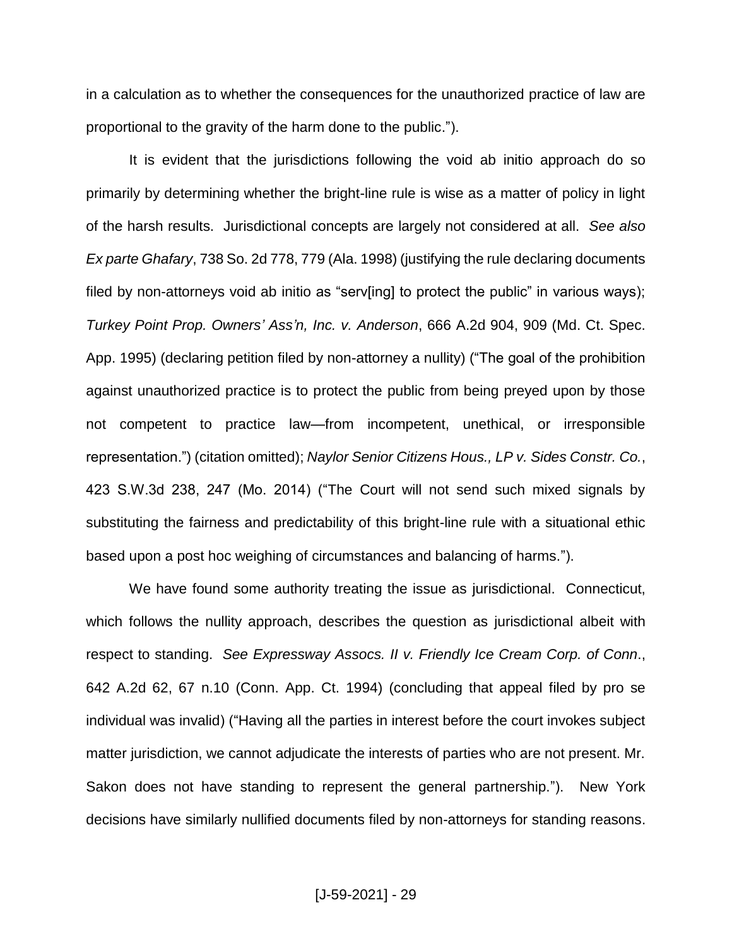in a calculation as to whether the consequences for the unauthorized practice of law are proportional to the gravity of the harm done to the public.").

It is evident that the jurisdictions following the void ab initio approach do so primarily by determining whether the bright-line rule is wise as a matter of policy in light of the harsh results.Jurisdictional concepts are largely not considered at all. *See also Ex parte Ghafary*, 738 So. 2d 778, 779 (Ala. 1998) (justifying the rule declaring documents filed by non-attorneys void ab initio as "serv[ing] to protect the public" in various ways); *Turkey Point Prop. Owners' Ass'n, Inc. v. Anderson*, 666 A.2d 904, 909 (Md. Ct. Spec. App. 1995) (declaring petition filed by non-attorney a nullity) ("The goal of the prohibition against unauthorized practice is to protect the public from being preyed upon by those not competent to practice law—from incompetent, unethical, or irresponsible representation.") (citation omitted); *Naylor Senior Citizens Hous., LP v. Sides Constr. Co.*, 423 S.W.3d 238, 247 (Mo. 2014) ("The Court will not send such mixed signals by substituting the fairness and predictability of this bright-line rule with a situational ethic based upon a post hoc weighing of circumstances and balancing of harms.").

We have found some authority treating the issue as jurisdictional. Connecticut, which follows the nullity approach, describes the question as jurisdictional albeit with respect to standing. *See Expressway Assocs. II v. Friendly Ice Cream Corp. of Conn*., 642 A.2d 62, 67 n.10 (Conn. App. Ct. 1994) (concluding that appeal filed by pro se individual was invalid) ("Having all the parties in interest before the court invokes subject matter jurisdiction, we cannot adjudicate the interests of parties who are not present. Mr. Sakon does not have standing to represent the general partnership."). New York decisions have similarly nullified documents filed by non-attorneys for standing reasons.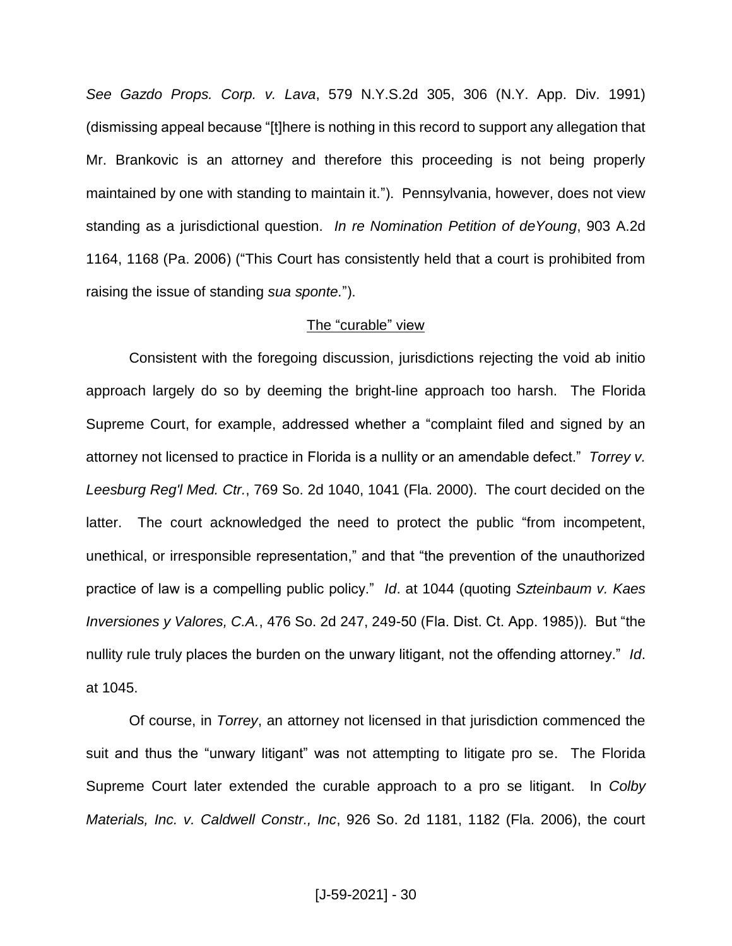*See Gazdo Props. Corp. v. Lava*, 579 N.Y.S.2d 305, 306 (N.Y. App. Div. 1991) (dismissing appeal because "[t]here is nothing in this record to support any allegation that Mr. Brankovic is an attorney and therefore this proceeding is not being properly maintained by one with standing to maintain it."). Pennsylvania, however, does not view standing as a jurisdictional question.*In re Nomination Petition of deYoung*, 903 A.2d 1164, 1168 (Pa. 2006) ("This Court has consistently held that a court is prohibited from raising the issue of standing *sua sponte.*").

#### The "curable" view

Consistent with the foregoing discussion, jurisdictions rejecting the void ab initio approach largely do so by deeming the bright-line approach too harsh. The Florida Supreme Court, for example, addressed whether a "complaint filed and signed by an attorney not licensed to practice in Florida is a nullity or an amendable defect." *Torrey v. Leesburg Reg'l Med. Ctr.*, 769 So. 2d 1040, 1041 (Fla. 2000). The court decided on the latter. The court acknowledged the need to protect the public "from incompetent, unethical, or irresponsible representation," and that "the prevention of the unauthorized practice of law is a compelling public policy." *Id*. at 1044 (quoting *Szteinbaum v. Kaes Inversiones y Valores, C.A.*, 476 So. 2d 247, 249-50 (Fla. Dist. Ct. App. 1985)). But "the nullity rule truly places the burden on the unwary litigant, not the offending attorney." *Id*. at 1045.

Of course, in *Torrey*, an attorney not licensed in that jurisdiction commenced the suit and thus the "unwary litigant" was not attempting to litigate pro se. The Florida Supreme Court later extended the curable approach to a pro se litigant. In *Colby Materials, Inc. v. Caldwell Constr., Inc*, 926 So. 2d 1181, 1182 (Fla. 2006), the court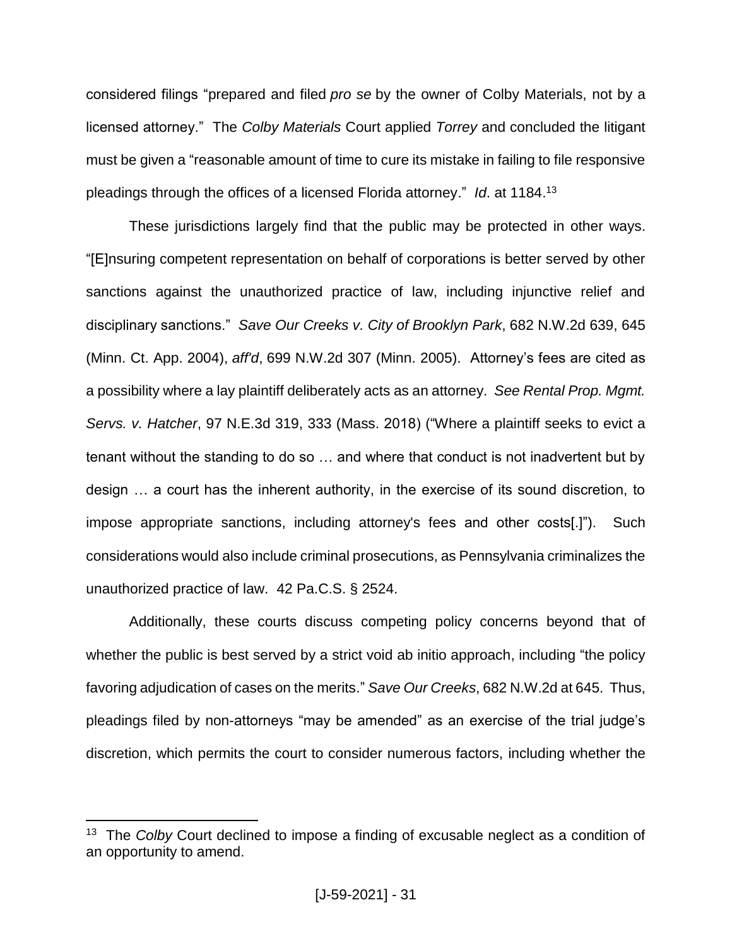considered filings "prepared and filed *pro se* by the owner of Colby Materials, not by a licensed attorney." The *Colby Materials* Court applied *Torrey* and concluded the litigant must be given a "reasonable amount of time to cure its mistake in failing to file responsive pleadings through the offices of a licensed Florida attorney." *Id*. at 1184. 13

These jurisdictions largely find that the public may be protected in other ways. "[E]nsuring competent representation on behalf of corporations is better served by other sanctions against the unauthorized practice of law, including injunctive relief and disciplinary sanctions." *Save Our Creeks v. City of Brooklyn Park*, 682 N.W.2d 639, 645 (Minn. Ct. App. 2004), *aff'd*, 699 N.W.2d 307 (Minn. 2005). Attorney's fees are cited as a possibility where a lay plaintiff deliberately acts as an attorney. *See Rental Prop. Mgmt. Servs. v. Hatcher*, 97 N.E.3d 319, 333 (Mass. 2018) ("Where a plaintiff seeks to evict a tenant without the standing to do so … and where that conduct is not inadvertent but by design … a court has the inherent authority, in the exercise of its sound discretion, to impose appropriate sanctions, including attorney's fees and other costs[.]"). Such considerations would also include criminal prosecutions, as Pennsylvania criminalizes the unauthorized practice of law. 42 Pa.C.S. § 2524.

Additionally, these courts discuss competing policy concerns beyond that of whether the public is best served by a strict void ab initio approach, including "the policy favoring adjudication of cases on the merits." *Save Our Creeks*, 682 N.W.2d at 645. Thus, pleadings filed by non-attorneys "may be amended" as an exercise of the trial judge's discretion, which permits the court to consider numerous factors, including whether the

<sup>&</sup>lt;sup>13</sup> The *Colby* Court declined to impose a finding of excusable neglect as a condition of an opportunity to amend.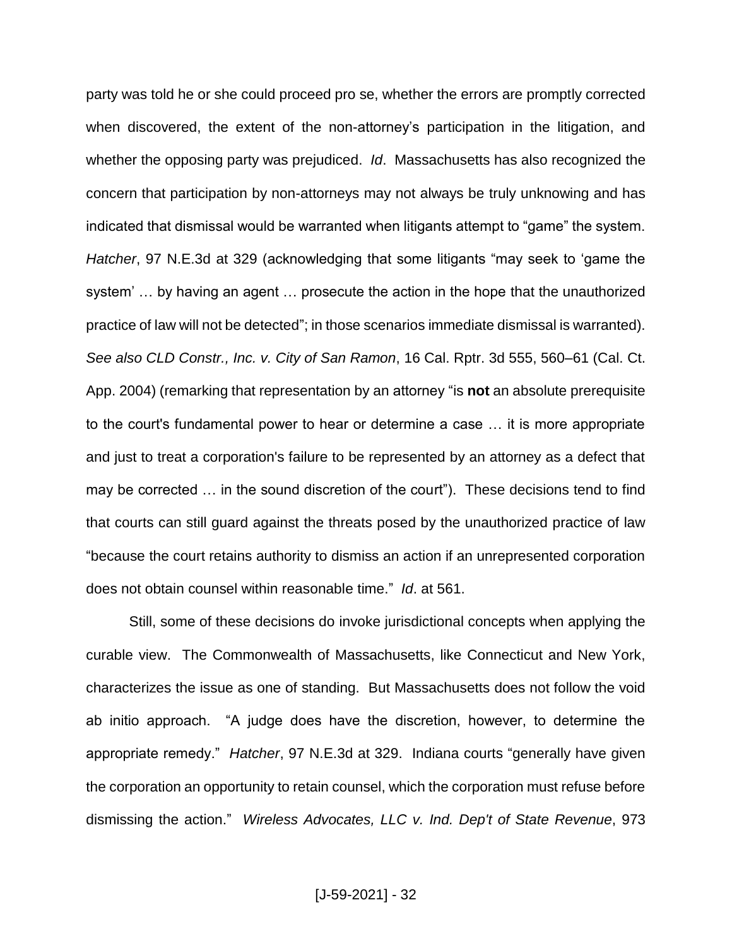party was told he or she could proceed pro se, whether the errors are promptly corrected when discovered, the extent of the non-attorney's participation in the litigation, and whether the opposing party was prejudiced. *Id*. Massachusetts has also recognized the concern that participation by non-attorneys may not always be truly unknowing and has indicated that dismissal would be warranted when litigants attempt to "game" the system. *Hatcher*, 97 N.E.3d at 329 (acknowledging that some litigants "may seek to 'game the system' … by having an agent … prosecute the action in the hope that the unauthorized practice of law will not be detected"; in those scenarios immediate dismissal is warranted). *See also CLD Constr., Inc. v. City of San Ramon*, 16 Cal. Rptr. 3d 555, 560–61 (Cal. Ct. App. 2004) (remarking that representation by an attorney "is **not** an absolute prerequisite to the court's fundamental power to hear or determine a case … it is more appropriate and just to treat a corporation's failure to be represented by an attorney as a defect that may be corrected … in the sound discretion of the court"). These decisions tend to find that courts can still guard against the threats posed by the unauthorized practice of law "because the court retains authority to dismiss an action if an unrepresented corporation does not obtain counsel within reasonable time." *Id*. at 561.

Still, some of these decisions do invoke jurisdictional concepts when applying the curable view. The Commonwealth of Massachusetts, like Connecticut and New York, characterizes the issue as one of standing. But Massachusetts does not follow the void ab initio approach. "A judge does have the discretion, however, to determine the appropriate remedy." *Hatcher*, 97 N.E.3d at 329. Indiana courts "generally have given the corporation an opportunity to retain counsel, which the corporation must refuse before dismissing the action." *Wireless Advocates, LLC v. Ind. Dep't of State Revenue*, 973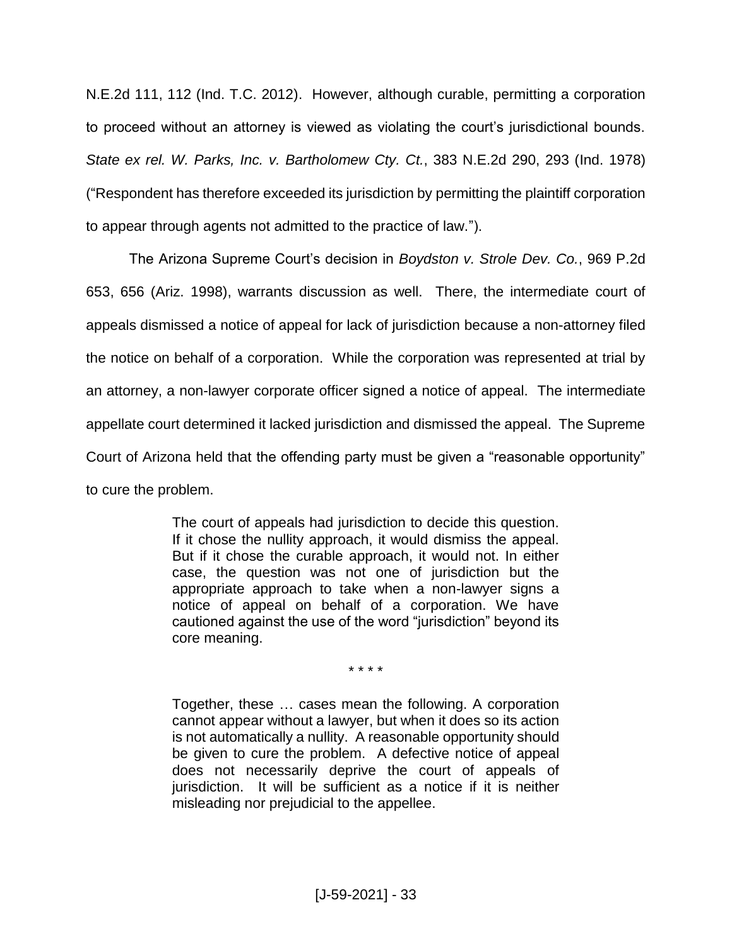N.E.2d 111, 112 (Ind. T.C. 2012). However, although curable, permitting a corporation to proceed without an attorney is viewed as violating the court's jurisdictional bounds. *State ex rel. W. Parks, Inc. v. Bartholomew Cty. Ct.*, 383 N.E.2d 290, 293 (Ind. 1978) ("Respondent has therefore exceeded its jurisdiction by permitting the plaintiff corporation to appear through agents not admitted to the practice of law.").

The Arizona Supreme Court's decision in *Boydston v. Strole Dev. Co.*, 969 P.2d 653, 656 (Ariz. 1998), warrants discussion as well. There, the intermediate court of appeals dismissed a notice of appeal for lack of jurisdiction because a non-attorney filed the notice on behalf of a corporation. While the corporation was represented at trial by an attorney, a non-lawyer corporate officer signed a notice of appeal. The intermediate appellate court determined it lacked jurisdiction and dismissed the appeal. The Supreme Court of Arizona held that the offending party must be given a "reasonable opportunity" to cure the problem.

> The court of appeals had jurisdiction to decide this question. If it chose the nullity approach, it would dismiss the appeal. But if it chose the curable approach, it would not. In either case, the question was not one of jurisdiction but the appropriate approach to take when a non-lawyer signs a notice of appeal on behalf of a corporation. We have cautioned against the use of the word "jurisdiction" beyond its core meaning.

> > \* \* \* \*

Together, these … cases mean the following. A corporation cannot appear without a lawyer, but when it does so its action is not automatically a nullity. A reasonable opportunity should be given to cure the problem. A defective notice of appeal does not necessarily deprive the court of appeals of jurisdiction. It will be sufficient as a notice if it is neither misleading nor prejudicial to the appellee.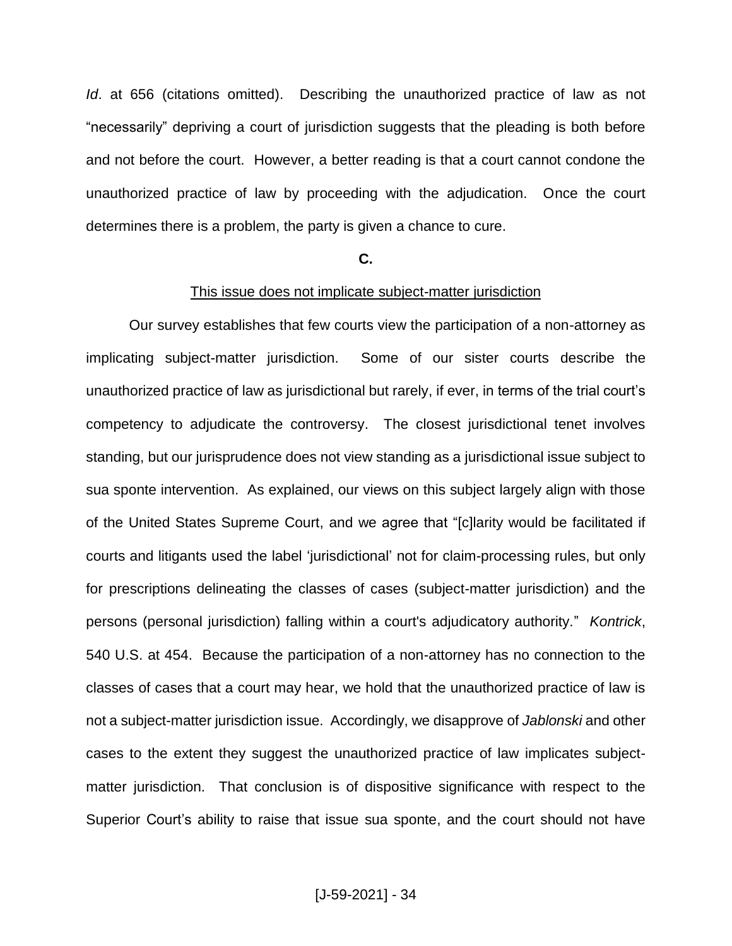*Id*. at 656 (citations omitted). Describing the unauthorized practice of law as not "necessarily" depriving a court of jurisdiction suggests that the pleading is both before and not before the court. However, a better reading is that a court cannot condone the unauthorized practice of law by proceeding with the adjudication. Once the court determines there is a problem, the party is given a chance to cure.

#### **C.**

#### This issue does not implicate subject-matter jurisdiction

Our survey establishes that few courts view the participation of a non-attorney as implicating subject-matter jurisdiction. Some of our sister courts describe the unauthorized practice of law as jurisdictional but rarely, if ever, in terms of the trial court's competency to adjudicate the controversy. The closest jurisdictional tenet involves standing, but our jurisprudence does not view standing as a jurisdictional issue subject to sua sponte intervention. As explained, our views on this subject largely align with those of the United States Supreme Court, and we agree that "[c]larity would be facilitated if courts and litigants used the label 'jurisdictional' not for claim-processing rules, but only for prescriptions delineating the classes of cases (subject-matter jurisdiction) and the persons (personal jurisdiction) falling within a court's adjudicatory authority." *Kontrick*, 540 U.S. at 454. Because the participation of a non-attorney has no connection to the classes of cases that a court may hear, we hold that the unauthorized practice of law is not a subject-matter jurisdiction issue. Accordingly, we disapprove of *Jablonski* and other cases to the extent they suggest the unauthorized practice of law implicates subjectmatter jurisdiction. That conclusion is of dispositive significance with respect to the Superior Court's ability to raise that issue sua sponte, and the court should not have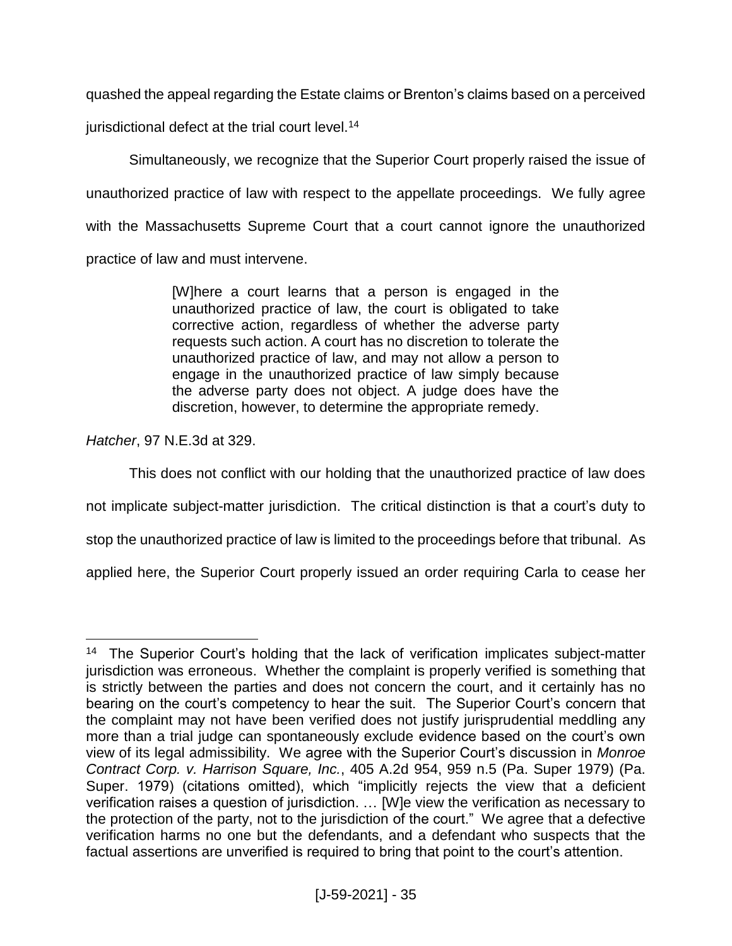quashed the appeal regarding the Estate claims or Brenton's claims based on a perceived

jurisdictional defect at the trial court level.<sup>14</sup>

Simultaneously, we recognize that the Superior Court properly raised the issue of unauthorized practice of law with respect to the appellate proceedings.We fully agree with the Massachusetts Supreme Court that a court cannot ignore the unauthorized practice of law and must intervene.

> [W]here a court learns that a person is engaged in the unauthorized practice of law, the court is obligated to take corrective action, regardless of whether the adverse party requests such action. A court has no discretion to tolerate the unauthorized practice of law, and may not allow a person to engage in the unauthorized practice of law simply because the adverse party does not object. A judge does have the discretion, however, to determine the appropriate remedy.

*Hatcher*, 97 N.E.3d at 329.

This does not conflict with our holding that the unauthorized practice of law does

not implicate subject-matter jurisdiction. The critical distinction is that a court's duty to

stop the unauthorized practice of law is limited to the proceedings before that tribunal. As

applied here, the Superior Court properly issued an order requiring Carla to cease her

 $\overline{a}$ <sup>14</sup> The Superior Court's holding that the lack of verification implicates subject-matter jurisdiction was erroneous. Whether the complaint is properly verified is something that is strictly between the parties and does not concern the court, and it certainly has no bearing on the court's competency to hear the suit. The Superior Court's concern that the complaint may not have been verified does not justify jurisprudential meddling any more than a trial judge can spontaneously exclude evidence based on the court's own view of its legal admissibility. We agree with the Superior Court's discussion in *Monroe Contract Corp. v. Harrison Square, Inc.*, 405 A.2d 954, 959 n.5 (Pa. Super 1979) (Pa. Super. 1979) (citations omitted), which "implicitly rejects the view that a deficient verification raises a question of jurisdiction. … [W]e view the verification as necessary to the protection of the party, not to the jurisdiction of the court." We agree that a defective verification harms no one but the defendants, and a defendant who suspects that the factual assertions are unverified is required to bring that point to the court's attention.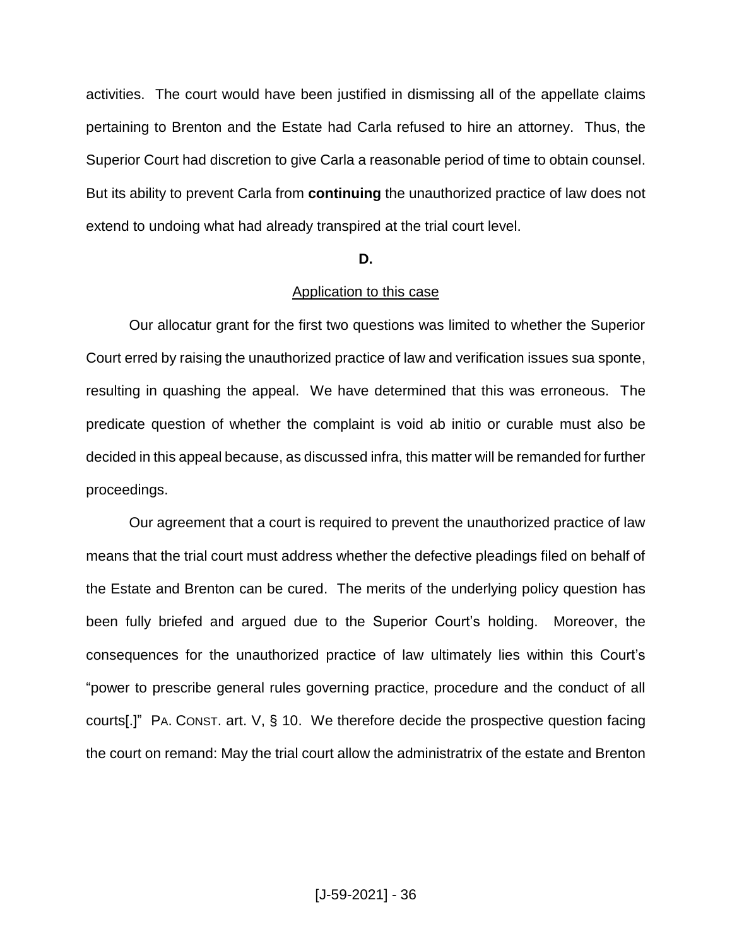activities. The court would have been justified in dismissing all of the appellate claims pertaining to Brenton and the Estate had Carla refused to hire an attorney. Thus, the Superior Court had discretion to give Carla a reasonable period of time to obtain counsel. But its ability to prevent Carla from **continuing** the unauthorized practice of law does not extend to undoing what had already transpired at the trial court level.

#### **D.**

## Application to this case

Our allocatur grant for the first two questions was limited to whether the Superior Court erred by raising the unauthorized practice of law and verification issues sua sponte, resulting in quashing the appeal. We have determined that this was erroneous. The predicate question of whether the complaint is void ab initio or curable must also be decided in this appeal because, as discussed infra, this matter will be remanded for further proceedings.

Our agreement that a court is required to prevent the unauthorized practice of law means that the trial court must address whether the defective pleadings filed on behalf of the Estate and Brenton can be cured. The merits of the underlying policy question has been fully briefed and argued due to the Superior Court's holding. Moreover, the consequences for the unauthorized practice of law ultimately lies within this Court's "power to prescribe general rules governing practice, procedure and the conduct of all courts[.]" PA. CONST. art. V, § 10. We therefore decide the prospective question facing the court on remand: May the trial court allow the administratrix of the estate and Brenton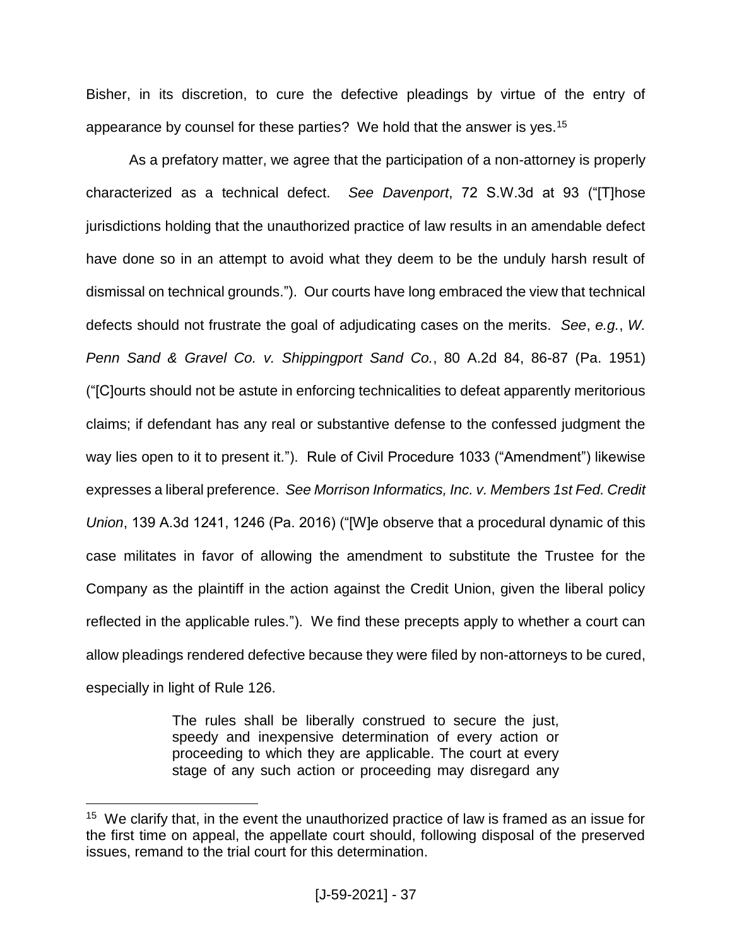Bisher, in its discretion, to cure the defective pleadings by virtue of the entry of appearance by counsel for these parties? We hold that the answer is yes.<sup>15</sup>

As a prefatory matter, we agree that the participation of a non-attorney is properly characterized as a technical defect. *See Davenport*, 72 S.W.3d at 93 ("[T]hose jurisdictions holding that the unauthorized practice of law results in an amendable defect have done so in an attempt to avoid what they deem to be the unduly harsh result of dismissal on technical grounds."). Our courts have long embraced the view that technical defects should not frustrate the goal of adjudicating cases on the merits.*See*, *e.g.*, *W. Penn Sand & Gravel Co. v. Shippingport Sand Co.*, 80 A.2d 84, 86-87 (Pa. 1951) ("[C]ourts should not be astute in enforcing technicalities to defeat apparently meritorious claims; if defendant has any real or substantive defense to the confessed judgment the way lies open to it to present it."). Rule of Civil Procedure 1033 ("Amendment") likewise expresses a liberal preference. *See Morrison Informatics, Inc. v. Members 1st Fed. Credit Union*, 139 A.3d 1241, 1246 (Pa. 2016) ("[W]e observe that a procedural dynamic of this case militates in favor of allowing the amendment to substitute the Trustee for the Company as the plaintiff in the action against the Credit Union, given the liberal policy reflected in the applicable rules."). We find these precepts apply to whether a court can allow pleadings rendered defective because they were filed by non-attorneys to be cured, especially in light of Rule 126.

> The rules shall be liberally construed to secure the just, speedy and inexpensive determination of every action or proceeding to which they are applicable. The court at every stage of any such action or proceeding may disregard any

<sup>&</sup>lt;sup>15</sup> We clarify that, in the event the unauthorized practice of law is framed as an issue for the first time on appeal, the appellate court should, following disposal of the preserved issues, remand to the trial court for this determination.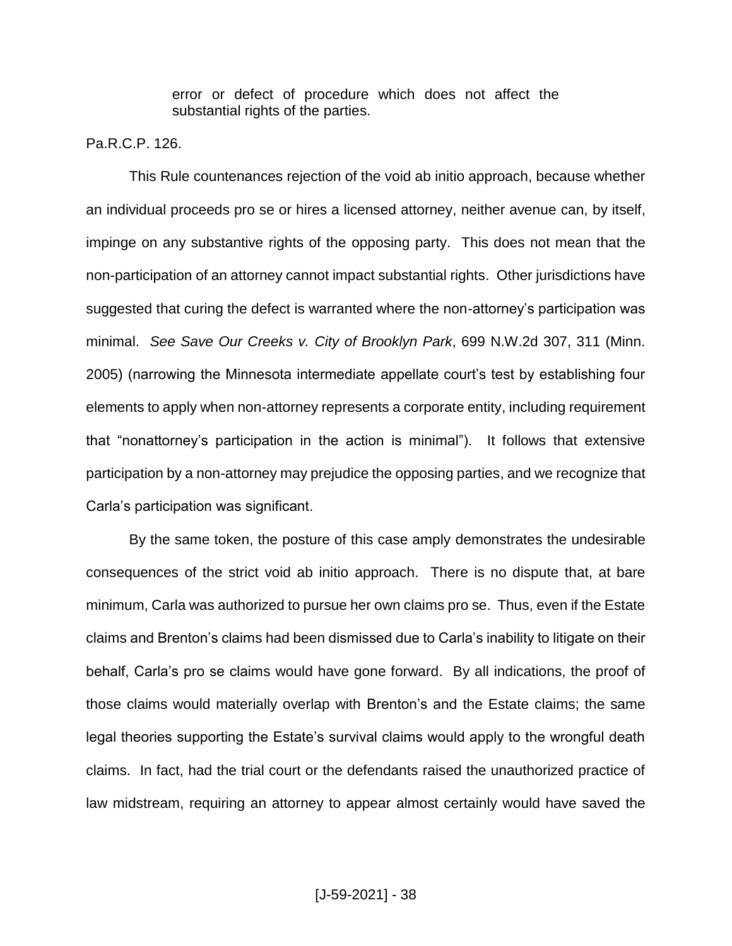error or defect of procedure which does not affect the substantial rights of the parties.

Pa.R.C.P. 126.

This Rule countenances rejection of the void ab initio approach, because whether an individual proceeds pro se or hires a licensed attorney, neither avenue can, by itself, impinge on any substantive rights of the opposing party. This does not mean that the non-participation of an attorney cannot impact substantial rights. Other jurisdictions have suggested that curing the defect is warranted where the non-attorney's participation was minimal. *See Save Our Creeks v. City of Brooklyn Park*, 699 N.W.2d 307, 311 (Minn. 2005) (narrowing the Minnesota intermediate appellate court's test by establishing four elements to apply when non-attorney represents a corporate entity, including requirement that "nonattorney's participation in the action is minimal"). It follows that extensive participation by a non-attorney may prejudice the opposing parties, and we recognize that Carla's participation was significant.

By the same token, the posture of this case amply demonstrates the undesirable consequences of the strict void ab initio approach. There is no dispute that, at bare minimum, Carla was authorized to pursue her own claims pro se. Thus, even if the Estate claims and Brenton's claims had been dismissed due to Carla's inability to litigate on their behalf, Carla's pro se claims would have gone forward. By all indications, the proof of those claims would materially overlap with Brenton's and the Estate claims; the same legal theories supporting the Estate's survival claims would apply to the wrongful death claims. In fact, had the trial court or the defendants raised the unauthorized practice of law midstream, requiring an attorney to appear almost certainly would have saved the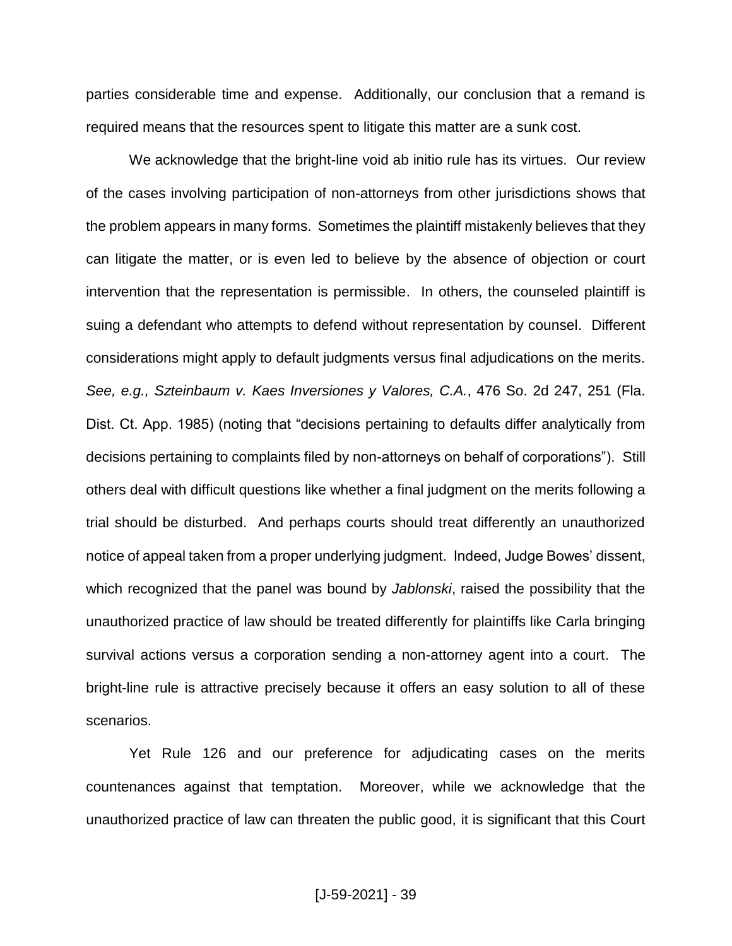parties considerable time and expense. Additionally, our conclusion that a remand is required means that the resources spent to litigate this matter are a sunk cost.

We acknowledge that the bright-line void ab initio rule has its virtues. Our review of the cases involving participation of non-attorneys from other jurisdictions shows that the problem appears in many forms. Sometimes the plaintiff mistakenly believes that they can litigate the matter, or is even led to believe by the absence of objection or court intervention that the representation is permissible. In others, the counseled plaintiff is suing a defendant who attempts to defend without representation by counsel. Different considerations might apply to default judgments versus final adjudications on the merits. *See, e.g., Szteinbaum v. Kaes Inversiones y Valores, C.A.*, 476 So. 2d 247, 251 (Fla. Dist. Ct. App. 1985) (noting that "decisions pertaining to defaults differ analytically from decisions pertaining to complaints filed by non-attorneys on behalf of corporations"). Still others deal with difficult questions like whether a final judgment on the merits following a trial should be disturbed. And perhaps courts should treat differently an unauthorized notice of appeal taken from a proper underlying judgment. Indeed, Judge Bowes' dissent, which recognized that the panel was bound by *Jablonski*, raised the possibility that the unauthorized practice of law should be treated differently for plaintiffs like Carla bringing survival actions versus a corporation sending a non-attorney agent into a court. The bright-line rule is attractive precisely because it offers an easy solution to all of these scenarios.

Yet Rule 126 and our preference for adjudicating cases on the merits countenances against that temptation. Moreover, while we acknowledge that the unauthorized practice of law can threaten the public good, it is significant that this Court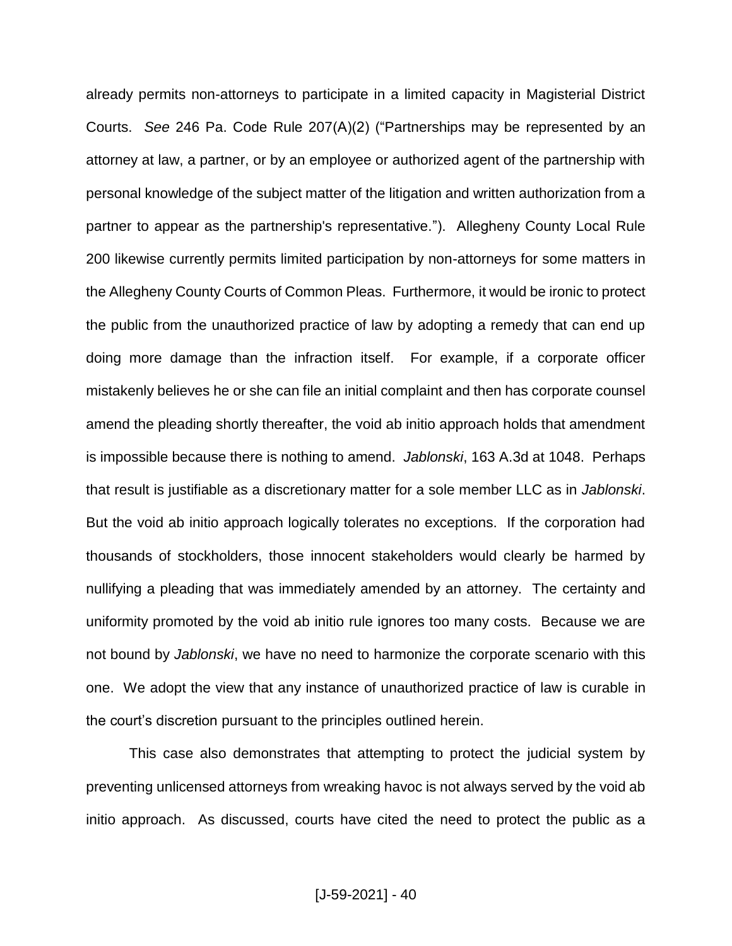already permits non-attorneys to participate in a limited capacity in Magisterial District Courts. *See* 246 Pa. Code Rule 207(A)(2) ("Partnerships may be represented by an attorney at law, a partner, or by an employee or authorized agent of the partnership with personal knowledge of the subject matter of the litigation and written authorization from a partner to appear as the partnership's representative."). Allegheny County Local Rule 200 likewise currently permits limited participation by non-attorneys for some matters in the Allegheny County Courts of Common Pleas. Furthermore, it would be ironic to protect the public from the unauthorized practice of law by adopting a remedy that can end up doing more damage than the infraction itself. For example, if a corporate officer mistakenly believes he or she can file an initial complaint and then has corporate counsel amend the pleading shortly thereafter, the void ab initio approach holds that amendment is impossible because there is nothing to amend. *Jablonski*, 163 A.3d at 1048. Perhaps that result is justifiable as a discretionary matter for a sole member LLC as in *Jablonski*. But the void ab initio approach logically tolerates no exceptions. If the corporation had thousands of stockholders, those innocent stakeholders would clearly be harmed by nullifying a pleading that was immediately amended by an attorney. The certainty and uniformity promoted by the void ab initio rule ignores too many costs. Because we are not bound by *Jablonski*, we have no need to harmonize the corporate scenario with this one. We adopt the view that any instance of unauthorized practice of law is curable in the court's discretion pursuant to the principles outlined herein.

This case also demonstrates that attempting to protect the judicial system by preventing unlicensed attorneys from wreaking havoc is not always served by the void ab initio approach. As discussed, courts have cited the need to protect the public as a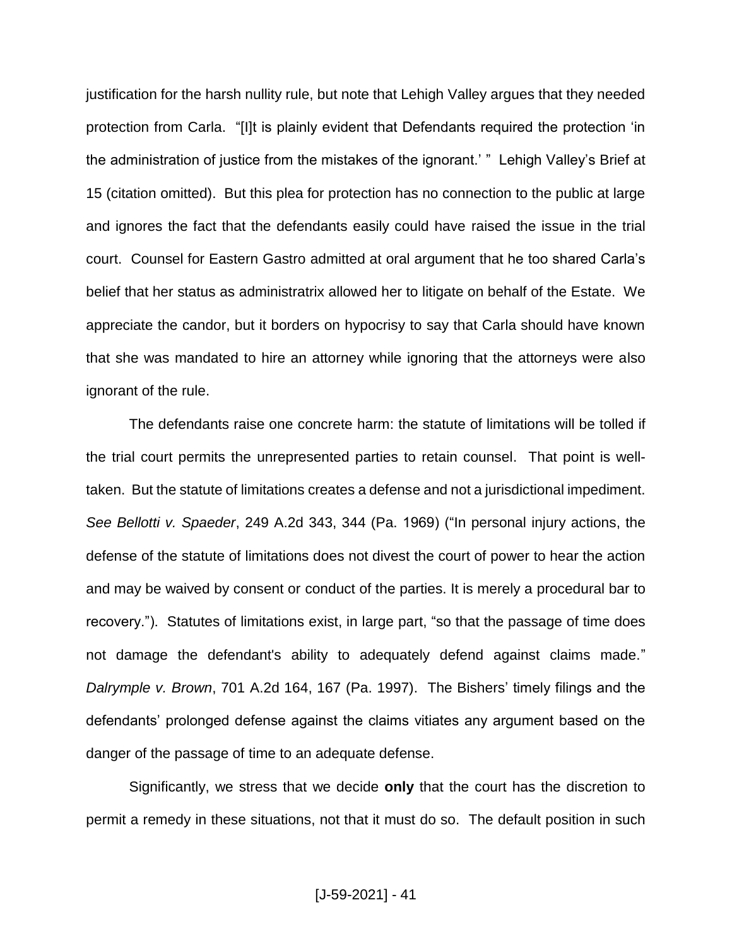justification for the harsh nullity rule, but note that Lehigh Valley argues that they needed protection from Carla. "[I]t is plainly evident that Defendants required the protection 'in the administration of justice from the mistakes of the ignorant.' " Lehigh Valley's Brief at 15 (citation omitted). But this plea for protection has no connection to the public at large and ignores the fact that the defendants easily could have raised the issue in the trial court. Counsel for Eastern Gastro admitted at oral argument that he too shared Carla's belief that her status as administratrix allowed her to litigate on behalf of the Estate. We appreciate the candor, but it borders on hypocrisy to say that Carla should have known that she was mandated to hire an attorney while ignoring that the attorneys were also ignorant of the rule.

The defendants raise one concrete harm: the statute of limitations will be tolled if the trial court permits the unrepresented parties to retain counsel. That point is welltaken. But the statute of limitations creates a defense and not a jurisdictional impediment. *See Bellotti v. Spaeder*, 249 A.2d 343, 344 (Pa. 1969) ("In personal injury actions, the defense of the statute of limitations does not divest the court of power to hear the action and may be waived by consent or conduct of the parties. It is merely a procedural bar to recovery."). Statutes of limitations exist, in large part, "so that the passage of time does not damage the defendant's ability to adequately defend against claims made." *Dalrymple v. Brown*, 701 A.2d 164, 167 (Pa. 1997). The Bishers' timely filings and the defendants' prolonged defense against the claims vitiates any argument based on the danger of the passage of time to an adequate defense.

Significantly, we stress that we decide **only** that the court has the discretion to permit a remedy in these situations, not that it must do so. The default position in such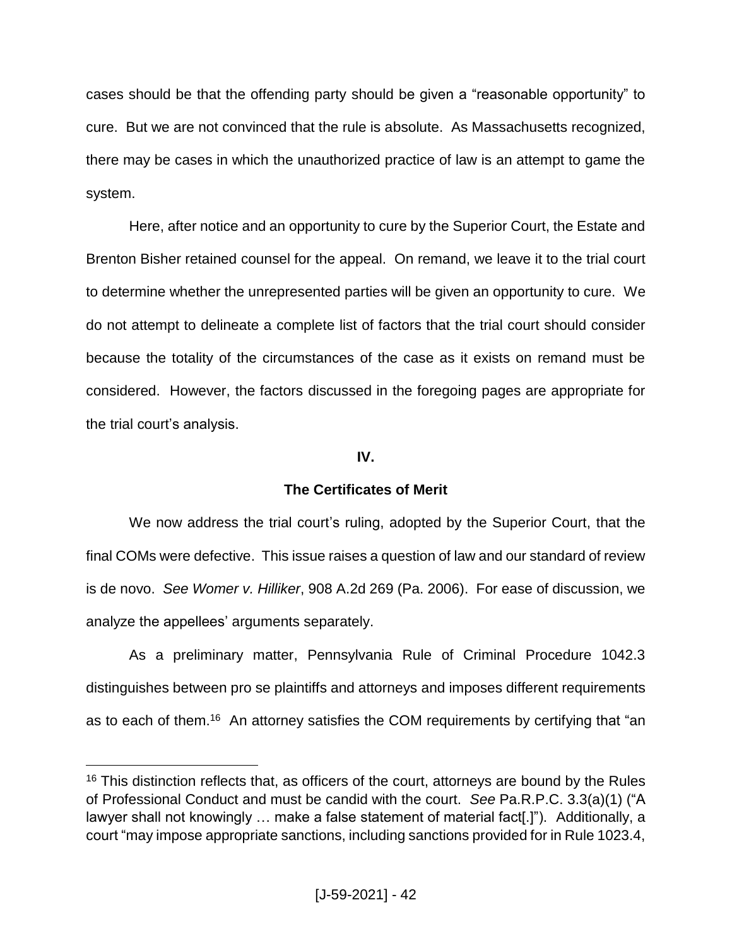cases should be that the offending party should be given a "reasonable opportunity" to cure. But we are not convinced that the rule is absolute. As Massachusetts recognized, there may be cases in which the unauthorized practice of law is an attempt to game the system.

Here, after notice and an opportunity to cure by the Superior Court, the Estate and Brenton Bisher retained counsel for the appeal. On remand, we leave it to the trial court to determine whether the unrepresented parties will be given an opportunity to cure. We do not attempt to delineate a complete list of factors that the trial court should consider because the totality of the circumstances of the case as it exists on remand must be considered. However, the factors discussed in the foregoing pages are appropriate for the trial court's analysis.

# **IV.**

# **The Certificates of Merit**

We now address the trial court's ruling, adopted by the Superior Court, that the final COMs were defective. This issue raises a question of law and our standard of review is de novo. *See Womer v. Hilliker*, 908 A.2d 269 (Pa. 2006). For ease of discussion, we analyze the appellees' arguments separately.

As a preliminary matter, Pennsylvania Rule of Criminal Procedure 1042.3 distinguishes between pro se plaintiffs and attorneys and imposes different requirements as to each of them.<sup>16</sup> An attorney satisfies the COM requirements by certifying that "an

 $16$  This distinction reflects that, as officers of the court, attorneys are bound by the Rules of Professional Conduct and must be candid with the court. *See* Pa.R.P.C. 3.3(a)(1) ("A lawyer shall not knowingly … make a false statement of material fact[.]"). Additionally, a court "may impose appropriate sanctions, including sanctions provided for in Rule 1023.4,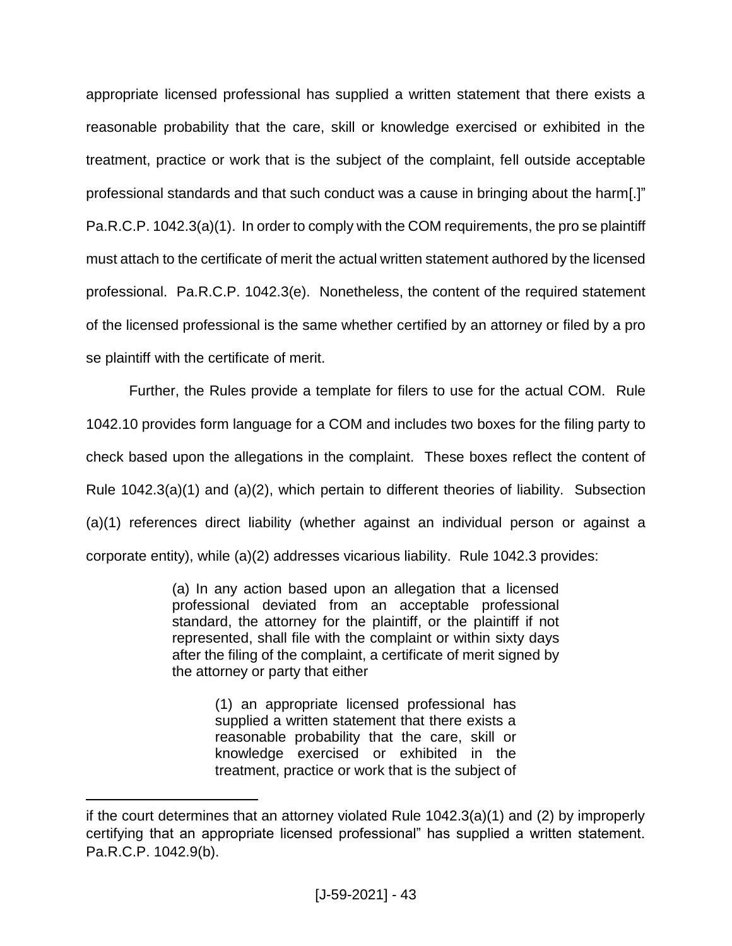appropriate licensed professional has supplied a written statement that there exists a reasonable probability that the care, skill or knowledge exercised or exhibited in the treatment, practice or work that is the subject of the complaint, fell outside acceptable professional standards and that such conduct was a cause in bringing about the harm[.]" Pa.R.C.P. 1042.3(a)(1). In order to comply with the COM requirements, the pro se plaintiff must attach to the certificate of merit the actual written statement authored by the licensed professional. Pa.R.C.P. 1042.3(e). Nonetheless, the content of the required statement of the licensed professional is the same whether certified by an attorney or filed by a pro se plaintiff with the certificate of merit.

Further, the Rules provide a template for filers to use for the actual COM. Rule 1042.10 provides form language for a COM and includes two boxes for the filing party to check based upon the allegations in the complaint. These boxes reflect the content of Rule 1042.3(a)(1) and (a)(2), which pertain to different theories of liability. Subsection (a)(1) references direct liability (whether against an individual person or against a corporate entity), while (a)(2) addresses vicarious liability. Rule 1042.3 provides:

> (a) In any action based upon an allegation that a licensed professional deviated from an acceptable professional standard, the attorney for the plaintiff, or the plaintiff if not represented, shall file with the complaint or within sixty days after the filing of the complaint, a certificate of merit signed by the attorney or party that either

> > (1) an appropriate licensed professional has supplied a written statement that there exists a reasonable probability that the care, skill or knowledge exercised or exhibited in the treatment, practice or work that is the subject of

if the court determines that an attorney violated Rule 1042.3(a)(1) and (2) by improperly certifying that an appropriate licensed professional" has supplied a written statement. Pa.R.C.P. 1042.9(b).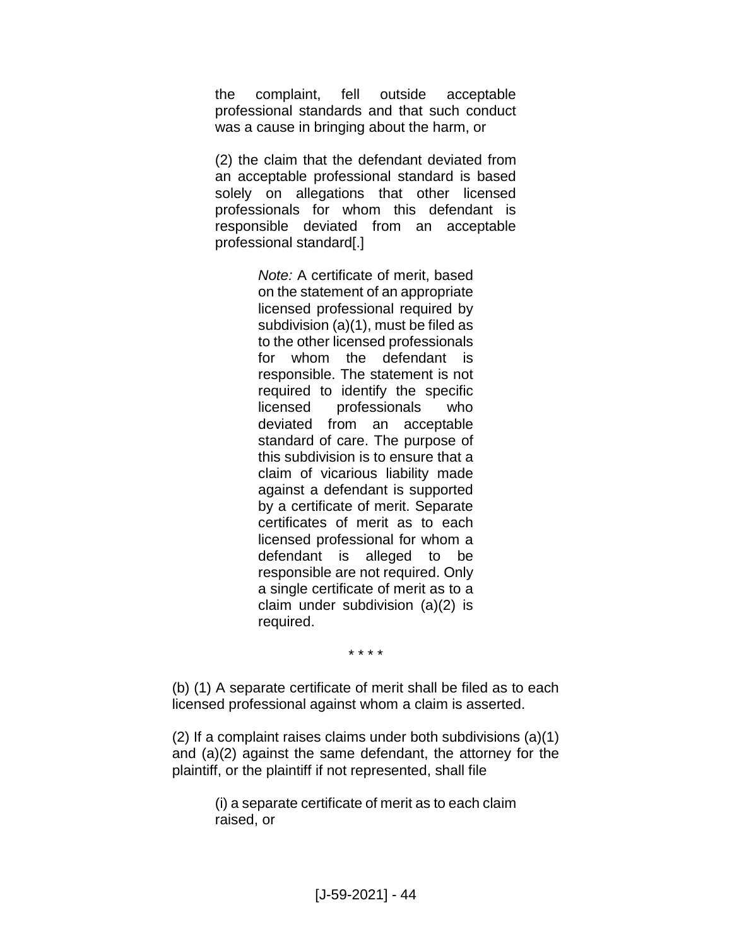the complaint, fell outside acceptable professional standards and that such conduct was a cause in bringing about the harm, or

(2) the claim that the defendant deviated from an acceptable professional standard is based solely on allegations that other licensed professionals for whom this defendant is responsible deviated from an acceptable professional standard[.]

> *Note:* A certificate of merit, based on the statement of an appropriate licensed professional required by subdivision (a)(1), must be filed as to the other licensed professionals for whom the defendant is responsible. The statement is not required to identify the specific licensed professionals who deviated from an acceptable standard of care. The purpose of this subdivision is to ensure that a claim of vicarious liability made against a defendant is supported by a certificate of merit. Separate certificates of merit as to each licensed professional for whom a defendant is alleged to be responsible are not required. Only a single certificate of merit as to a claim under subdivision (a)(2) is required.

> > \* \* \* \*

(b) (1) A separate certificate of merit shall be filed as to each licensed professional against whom a claim is asserted.

(2) If a complaint raises claims under both subdivisions (a)(1) and (a)(2) against the same defendant, the attorney for the plaintiff, or the plaintiff if not represented, shall file

> (i) a separate certificate of merit as to each claim raised, or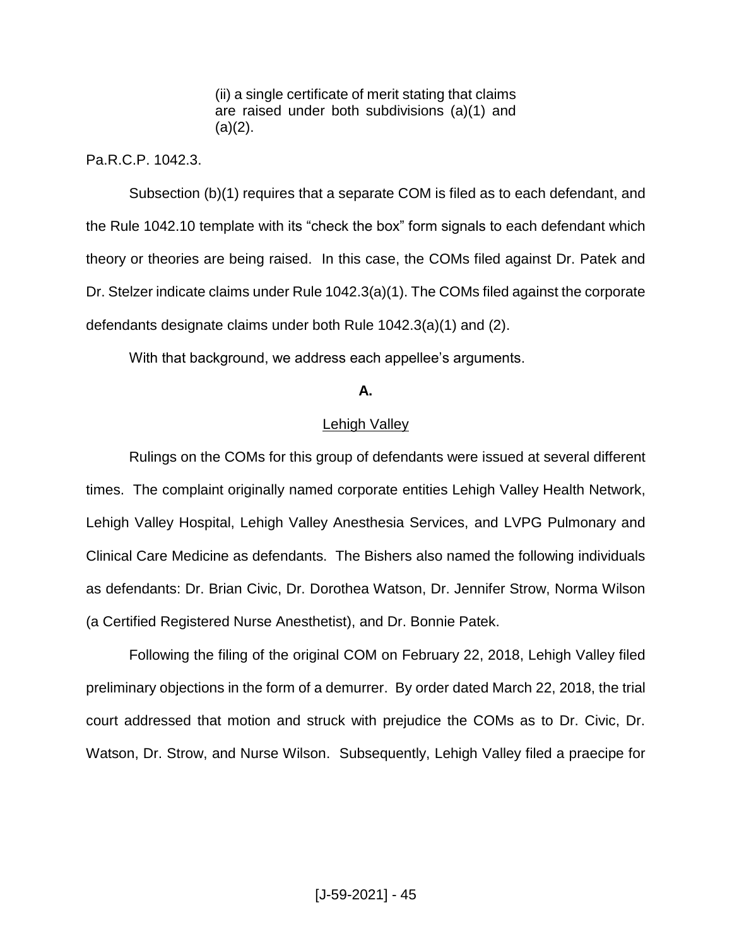(ii) a single certificate of merit stating that claims are raised under both subdivisions (a)(1) and  $(a)(2)$ .

Pa.R.C.P. 1042.3.

Subsection (b)(1) requires that a separate COM is filed as to each defendant, and the Rule 1042.10 template with its "check the box" form signals to each defendant which theory or theories are being raised. In this case, the COMs filed against Dr. Patek and Dr. Stelzer indicate claims under Rule 1042.3(a)(1). The COMs filed against the corporate defendants designate claims under both Rule 1042.3(a)(1) and (2).

With that background, we address each appellee's arguments.

#### **A.**

#### Lehigh Valley

Rulings on the COMs for this group of defendants were issued at several different times. The complaint originally named corporate entities Lehigh Valley Health Network, Lehigh Valley Hospital, Lehigh Valley Anesthesia Services, and LVPG Pulmonary and Clinical Care Medicine as defendants. The Bishers also named the following individuals as defendants: Dr. Brian Civic, Dr. Dorothea Watson, Dr. Jennifer Strow, Norma Wilson (a Certified Registered Nurse Anesthetist), and Dr. Bonnie Patek.

Following the filing of the original COM on February 22, 2018, Lehigh Valley filed preliminary objections in the form of a demurrer. By order dated March 22, 2018, the trial court addressed that motion and struck with prejudice the COMs as to Dr. Civic, Dr. Watson, Dr. Strow, and Nurse Wilson. Subsequently, Lehigh Valley filed a praecipe for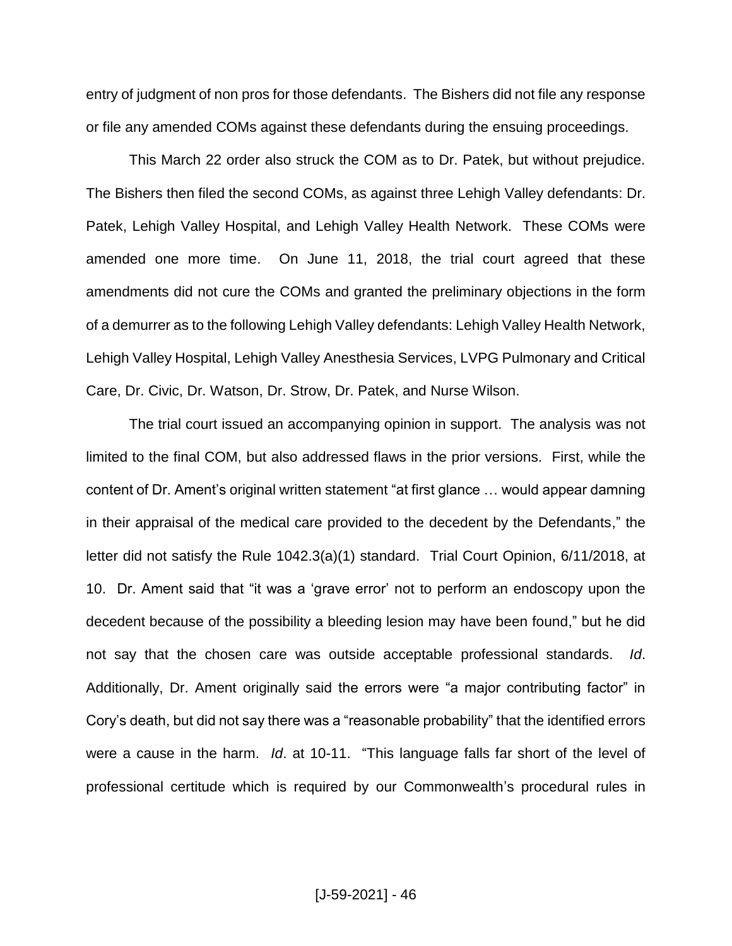entry of judgment of non pros for those defendants. The Bishers did not file any response or file any amended COMs against these defendants during the ensuing proceedings.

This March 22 order also struck the COM as to Dr. Patek, but without prejudice. The Bishers then filed the second COMs, as against three Lehigh Valley defendants: Dr. Patek, Lehigh Valley Hospital, and Lehigh Valley Health Network. These COMs were amended one more time. On June 11, 2018, the trial court agreed that these amendments did not cure the COMs and granted the preliminary objections in the form of a demurrer as to the following Lehigh Valley defendants: Lehigh Valley Health Network, Lehigh Valley Hospital, Lehigh Valley Anesthesia Services, LVPG Pulmonary and Critical Care, Dr. Civic, Dr. Watson, Dr. Strow, Dr. Patek, and Nurse Wilson.

The trial court issued an accompanying opinion in support. The analysis was not limited to the final COM, but also addressed flaws in the prior versions. First, while the content of Dr. Ament's original written statement "at first glance … would appear damning in their appraisal of the medical care provided to the decedent by the Defendants," the letter did not satisfy the Rule 1042.3(a)(1) standard. Trial Court Opinion, 6/11/2018, at 10. Dr. Ament said that "it was a 'grave error' not to perform an endoscopy upon the decedent because of the possibility a bleeding lesion may have been found," but he did not say that the chosen care was outside acceptable professional standards. *Id*. Additionally, Dr. Ament originally said the errors were "a major contributing factor" in Cory's death, but did not say there was a "reasonable probability" that the identified errors were a cause in the harm. *Id*. at 10-11. "This language falls far short of the level of professional certitude which is required by our Commonwealth's procedural rules in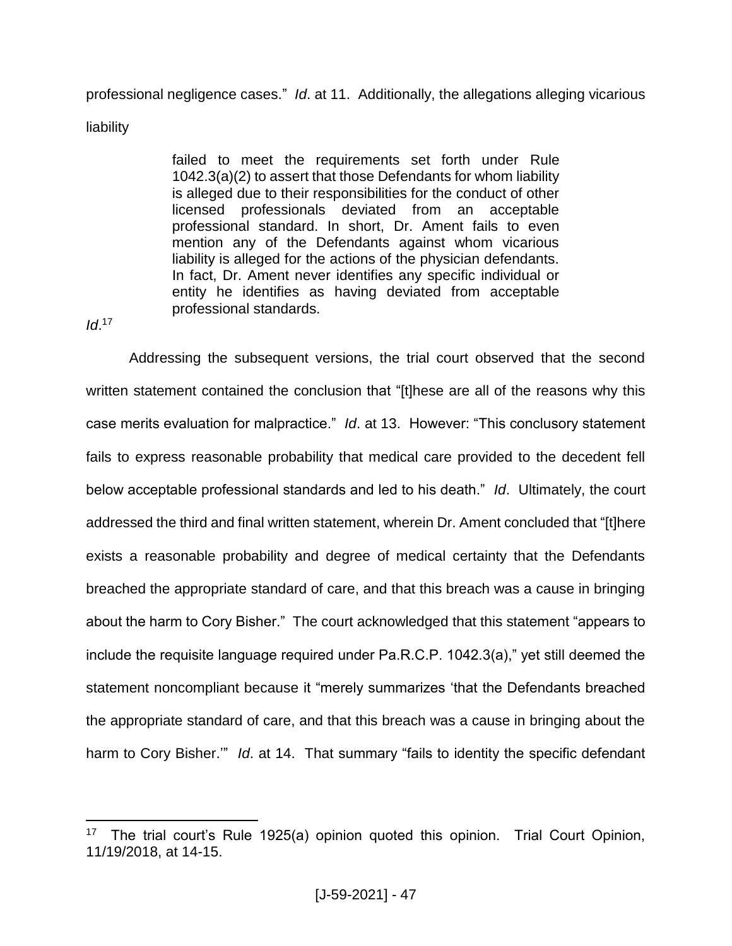professional negligence cases." *Id*. at 11.Additionally, the allegations alleging vicarious

liability

failed to meet the requirements set forth under Rule 1042.3(a)(2) to assert that those Defendants for whom liability is alleged due to their responsibilities for the conduct of other licensed professionals deviated from an acceptable professional standard. In short, Dr. Ament fails to even mention any of the Defendants against whom vicarious liability is alleged for the actions of the physician defendants. In fact, Dr. Ament never identifies any specific individual or entity he identifies as having deviated from acceptable professional standards.

*Id*. 17

 $\overline{a}$ 

Addressing the subsequent versions, the trial court observed that the second written statement contained the conclusion that "[t]hese are all of the reasons why this case merits evaluation for malpractice." *Id*. at 13.However: "This conclusory statement fails to express reasonable probability that medical care provided to the decedent fell below acceptable professional standards and led to his death." *Id*.Ultimately, the court addressed the third and final written statement, wherein Dr. Ament concluded that "[t]here exists a reasonable probability and degree of medical certainty that the Defendants breached the appropriate standard of care, and that this breach was a cause in bringing about the harm to Cory Bisher." The court acknowledged that this statement "appears to include the requisite language required under Pa.R.C.P. 1042.3(a)," yet still deemed the statement noncompliant because it "merely summarizes 'that the Defendants breached the appropriate standard of care, and that this breach was a cause in bringing about the harm to Cory Bisher.'"*Id*. at 14. That summary "fails to identity the specific defendant

<sup>&</sup>lt;sup>17</sup> The trial court's Rule 1925(a) opinion quoted this opinion. Trial Court Opinion, 11/19/2018, at 14-15.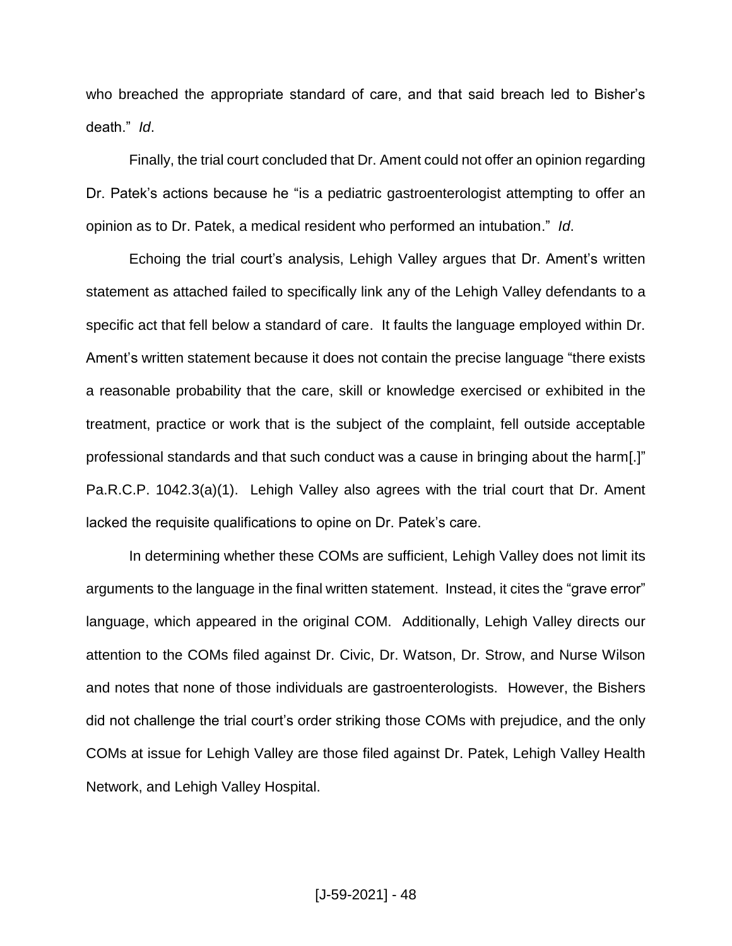who breached the appropriate standard of care, and that said breach led to Bisher's death." *Id*.

Finally, the trial court concluded that Dr. Ament could not offer an opinion regarding Dr. Patek's actions because he "is a pediatric gastroenterologist attempting to offer an opinion as to Dr. Patek, a medical resident who performed an intubation." *Id*.

Echoing the trial court's analysis, Lehigh Valley argues that Dr. Ament's written statement as attached failed to specifically link any of the Lehigh Valley defendants to a specific act that fell below a standard of care. It faults the language employed within Dr. Ament's written statement because it does not contain the precise language "there exists a reasonable probability that the care, skill or knowledge exercised or exhibited in the treatment, practice or work that is the subject of the complaint, fell outside acceptable professional standards and that such conduct was a cause in bringing about the harm[.]" Pa.R.C.P. 1042.3(a)(1). Lehigh Valley also agrees with the trial court that Dr. Ament lacked the requisite qualifications to opine on Dr. Patek's care.

In determining whether these COMs are sufficient, Lehigh Valley does not limit its arguments to the language in the final written statement. Instead, it cites the "grave error" language, which appeared in the original COM. Additionally, Lehigh Valley directs our attention to the COMs filed against Dr. Civic, Dr. Watson, Dr. Strow, and Nurse Wilson and notes that none of those individuals are gastroenterologists. However, the Bishers did not challenge the trial court's order striking those COMs with prejudice, and the only COMs at issue for Lehigh Valley are those filed against Dr. Patek, Lehigh Valley Health Network, and Lehigh Valley Hospital.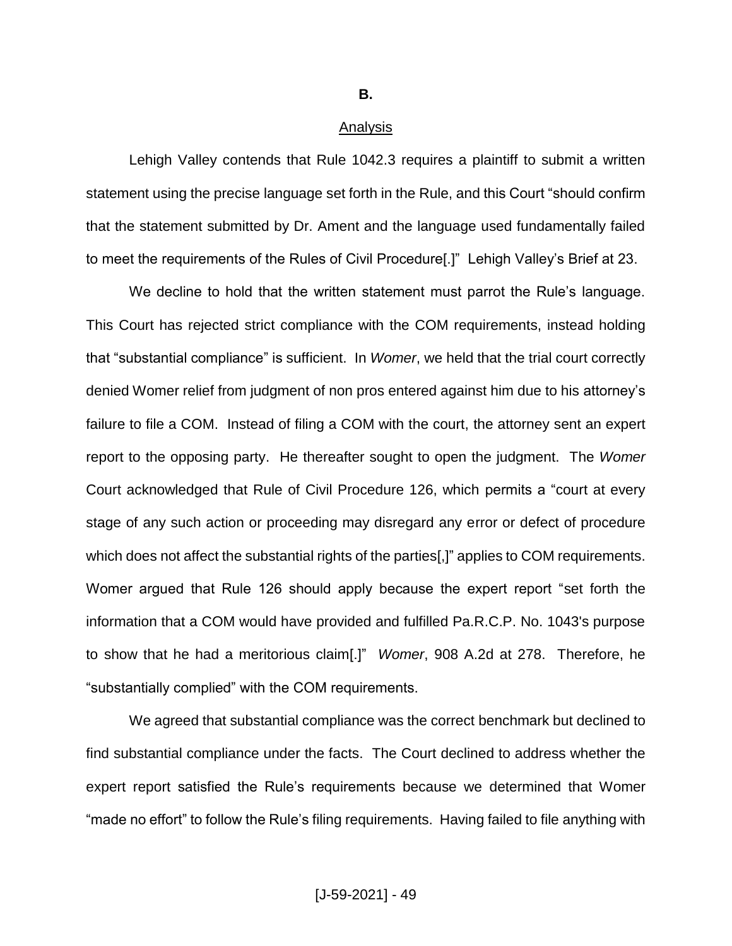**B.**

#### Analysis

Lehigh Valley contends that Rule 1042.3 requires a plaintiff to submit a written statement using the precise language set forth in the Rule, and this Court "should confirm that the statement submitted by Dr. Ament and the language used fundamentally failed to meet the requirements of the Rules of Civil Procedure[.]" Lehigh Valley's Brief at 23.

We decline to hold that the written statement must parrot the Rule's language. This Court has rejected strict compliance with the COM requirements, instead holding that "substantial compliance" is sufficient. In *Womer*, we held that the trial court correctly denied Womer relief from judgment of non pros entered against him due to his attorney's failure to file a COM. Instead of filing a COM with the court, the attorney sent an expert report to the opposing party. He thereafter sought to open the judgment. The *Womer* Court acknowledged that Rule of Civil Procedure 126, which permits a "court at every stage of any such action or proceeding may disregard any error or defect of procedure which does not affect the substantial rights of the parties[,]" applies to COM requirements. Womer argued that Rule 126 should apply because the expert report "set forth the information that a COM would have provided and fulfilled Pa.R.C.P. No. 1043's purpose to show that he had a meritorious claim[.]" *Womer*, 908 A.2d at 278. Therefore, he "substantially complied" with the COM requirements.

We agreed that substantial compliance was the correct benchmark but declined to find substantial compliance under the facts. The Court declined to address whether the expert report satisfied the Rule's requirements because we determined that Womer "made no effort" to follow the Rule's filing requirements. Having failed to file anything with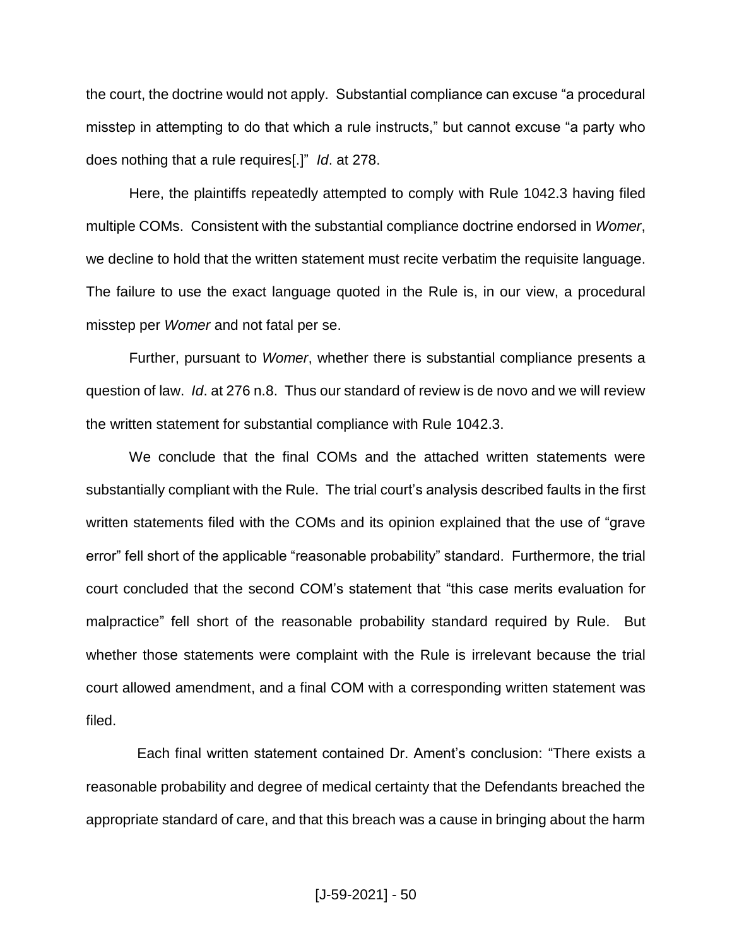the court, the doctrine would not apply. Substantial compliance can excuse "a procedural misstep in attempting to do that which a rule instructs," but cannot excuse "a party who does nothing that a rule requires[.]" *Id*. at 278.

Here, the plaintiffs repeatedly attempted to comply with Rule 1042.3 having filed multiple COMs. Consistent with the substantial compliance doctrine endorsed in *Womer*, we decline to hold that the written statement must recite verbatim the requisite language. The failure to use the exact language quoted in the Rule is, in our view, a procedural misstep per *Womer* and not fatal per se.

Further, pursuant to *Womer*, whether there is substantial compliance presents a question of law. *Id*. at 276 n.8. Thus our standard of review is de novo and we will review the written statement for substantial compliance with Rule 1042.3.

We conclude that the final COMs and the attached written statements were substantially compliant with the Rule. The trial court's analysis described faults in the first written statements filed with the COMs and its opinion explained that the use of "grave error" fell short of the applicable "reasonable probability" standard. Furthermore, the trial court concluded that the second COM's statement that "this case merits evaluation for malpractice" fell short of the reasonable probability standard required by Rule. But whether those statements were complaint with the Rule is irrelevant because the trial court allowed amendment, and a final COM with a corresponding written statement was filed.

 Each final written statement contained Dr. Ament's conclusion: "There exists a reasonable probability and degree of medical certainty that the Defendants breached the appropriate standard of care, and that this breach was a cause in bringing about the harm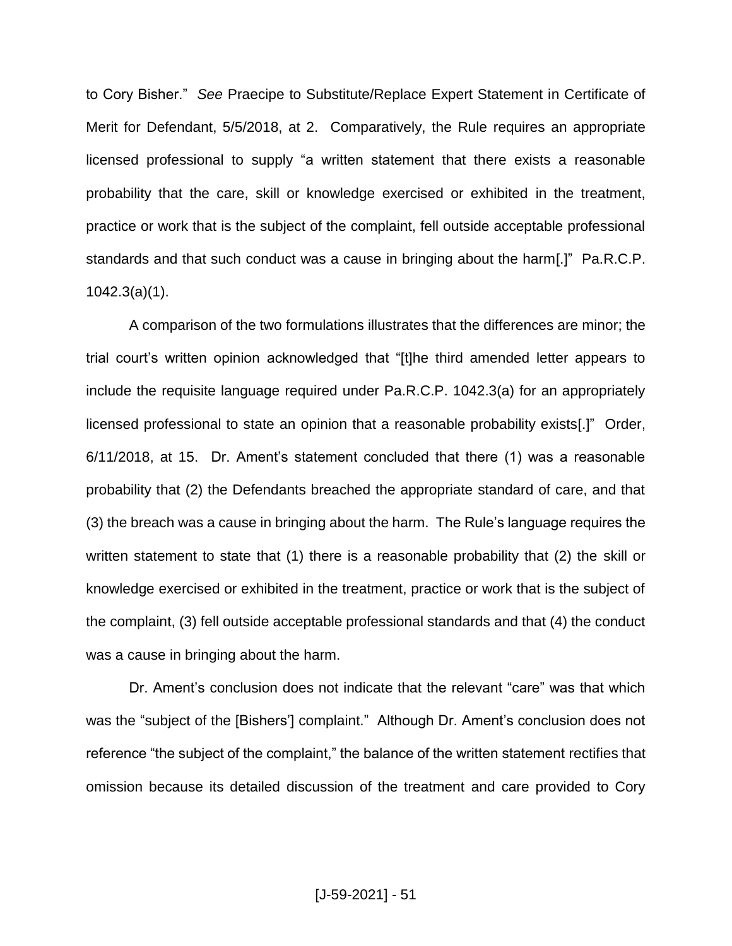to Cory Bisher."*See* Praecipe to Substitute/Replace Expert Statement in Certificate of Merit for Defendant, 5/5/2018, at 2. Comparatively, the Rule requires an appropriate licensed professional to supply "a written statement that there exists a reasonable probability that the care, skill or knowledge exercised or exhibited in the treatment, practice or work that is the subject of the complaint, fell outside acceptable professional standards and that such conduct was a cause in bringing about the harm[.]" Pa.R.C.P. 1042.3(a)(1).

A comparison of the two formulations illustrates that the differences are minor; the trial court's written opinion acknowledged that "[t]he third amended letter appears to include the requisite language required under Pa.R.C.P. 1042.3(a) for an appropriately licensed professional to state an opinion that a reasonable probability exists[.]" Order, 6/11/2018, at 15. Dr. Ament's statement concluded that there (1) was a reasonable probability that (2) the Defendants breached the appropriate standard of care, and that (3) the breach was a cause in bringing about the harm. The Rule's language requires the written statement to state that (1) there is a reasonable probability that (2) the skill or knowledge exercised or exhibited in the treatment, practice or work that is the subject of the complaint, (3) fell outside acceptable professional standards and that (4) the conduct was a cause in bringing about the harm.

Dr. Ament's conclusion does not indicate that the relevant "care" was that which was the "subject of the [Bishers'] complaint." Although Dr. Ament's conclusion does not reference "the subject of the complaint," the balance of the written statement rectifies that omission because its detailed discussion of the treatment and care provided to Cory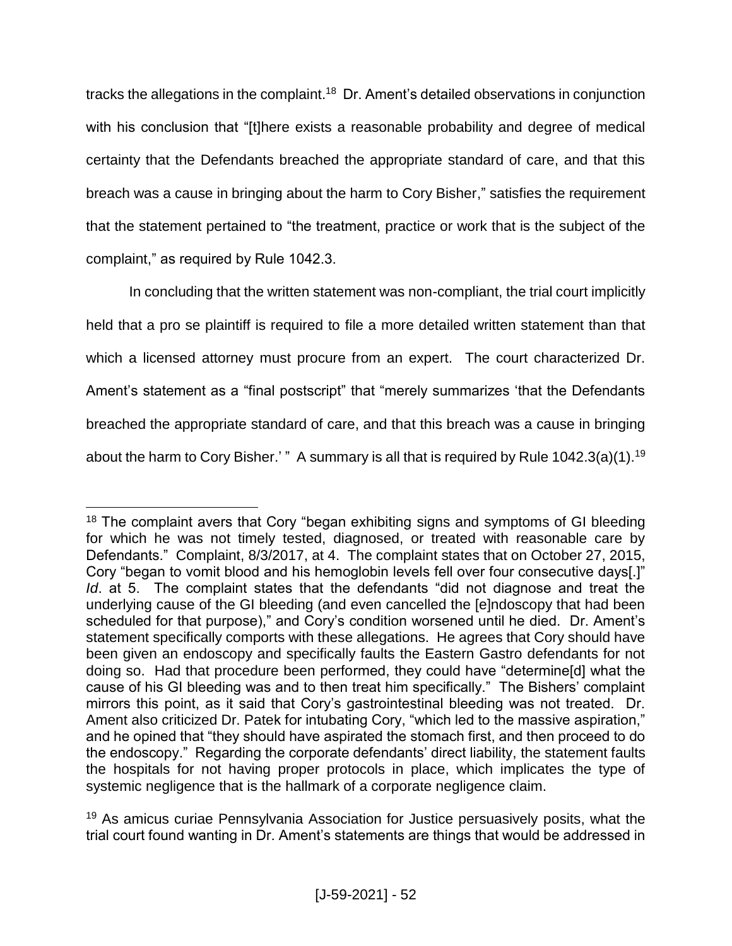tracks the allegations in the complaint.<sup>18</sup> Dr. Ament's detailed observations in conjunction with his conclusion that "[t]here exists a reasonable probability and degree of medical certainty that the Defendants breached the appropriate standard of care, and that this breach was a cause in bringing about the harm to Cory Bisher," satisfies the requirement that the statement pertained to "the treatment, practice or work that is the subject of the complaint," as required by Rule 1042.3.

In concluding that the written statement was non-compliant, the trial court implicitly held that a pro se plaintiff is required to file a more detailed written statement than that which a licensed attorney must procure from an expert. The court characterized Dr. Ament's statement as a "final postscript" that "merely summarizes 'that the Defendants breached the appropriate standard of care, and that this breach was a cause in bringing about the harm to Cory Bisher.' " A summary is all that is required by Rule  $1042.3(a)(1).$ <sup>19</sup>

<sup>&</sup>lt;sup>18</sup> The complaint avers that Cory "began exhibiting signs and symptoms of GI bleeding for which he was not timely tested, diagnosed, or treated with reasonable care by Defendants." Complaint, 8/3/2017, at 4. The complaint states that on October 27, 2015, Cory "began to vomit blood and his hemoglobin levels fell over four consecutive days[.]" *Id*. at 5. The complaint states that the defendants "did not diagnose and treat the underlying cause of the GI bleeding (and even cancelled the [e]ndoscopy that had been scheduled for that purpose)," and Cory's condition worsened until he died. Dr. Ament's statement specifically comports with these allegations. He agrees that Cory should have been given an endoscopy and specifically faults the Eastern Gastro defendants for not doing so. Had that procedure been performed, they could have "determine[d] what the cause of his GI bleeding was and to then treat him specifically." The Bishers' complaint mirrors this point, as it said that Cory's gastrointestinal bleeding was not treated. Dr. Ament also criticized Dr. Patek for intubating Cory, "which led to the massive aspiration," and he opined that "they should have aspirated the stomach first, and then proceed to do the endoscopy." Regarding the corporate defendants' direct liability, the statement faults the hospitals for not having proper protocols in place, which implicates the type of systemic negligence that is the hallmark of a corporate negligence claim.

<sup>&</sup>lt;sup>19</sup> As amicus curiae Pennsylvania Association for Justice persuasively posits, what the trial court found wanting in Dr. Ament's statements are things that would be addressed in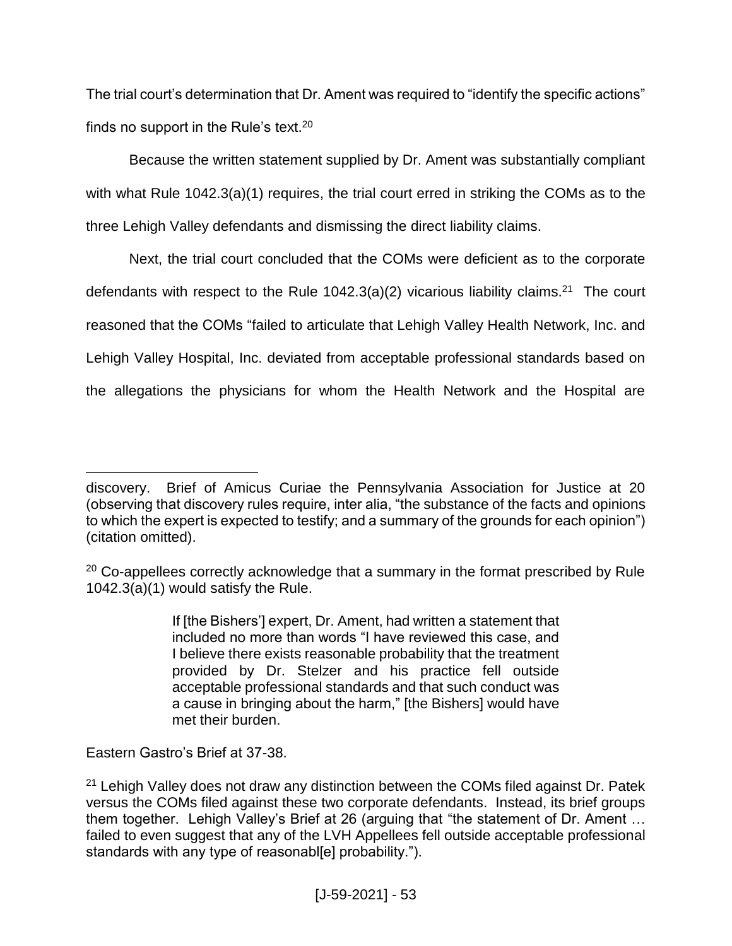The trial court's determination that Dr. Ament was required to "identify the specific actions" finds no support in the Rule's text. $20$ 

Because the written statement supplied by Dr. Ament was substantially compliant with what Rule 1042.3(a)(1) requires, the trial court erred in striking the COMs as to the three Lehigh Valley defendants and dismissing the direct liability claims.

Next, the trial court concluded that the COMs were deficient as to the corporate defendants with respect to the Rule  $1042.3(a)(2)$  vicarious liability claims.<sup>21</sup> The court reasoned that the COMs "failed to articulate that Lehigh Valley Health Network, Inc. and Lehigh Valley Hospital, Inc. deviated from acceptable professional standards based on the allegations the physicians for whom the Health Network and the Hospital are

If [the Bishers'] expert, Dr. Ament, had written a statement that included no more than words "I have reviewed this case, and I believe there exists reasonable probability that the treatment provided by Dr. Stelzer and his practice fell outside acceptable professional standards and that such conduct was a cause in bringing about the harm," [the Bishers] would have met their burden.

Eastern Gastro's Brief at 37-38.

 $\overline{a}$ discovery. Brief of Amicus Curiae the Pennsylvania Association for Justice at 20 (observing that discovery rules require, inter alia, "the substance of the facts and opinions to which the expert is expected to testify; and a summary of the grounds for each opinion") (citation omitted).

 $20$  Co-appellees correctly acknowledge that a summary in the format prescribed by Rule 1042.3(a)(1) would satisfy the Rule.

 $21$  Lehigh Valley does not draw any distinction between the COMs filed against Dr. Patek versus the COMs filed against these two corporate defendants. Instead, its brief groups them together. Lehigh Valley's Brief at 26 (arguing that "the statement of Dr. Ament … failed to even suggest that any of the LVH Appellees fell outside acceptable professional standards with any type of reasonabliel probability.").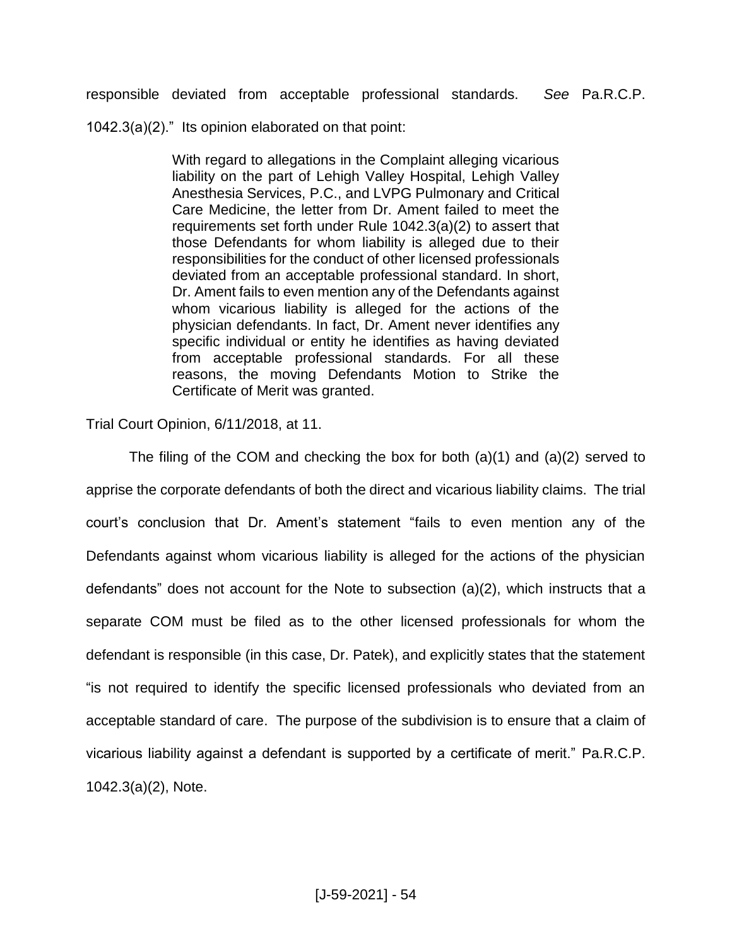responsible deviated from acceptable professional standards. *See* Pa.R.C.P.

1042.3(a)(2)." Its opinion elaborated on that point:

With regard to allegations in the Complaint alleging vicarious liability on the part of Lehigh Valley Hospital, Lehigh Valley Anesthesia Services, P.C., and LVPG Pulmonary and Critical Care Medicine, the letter from Dr. Ament failed to meet the requirements set forth under Rule 1042.3(a)(2) to assert that those Defendants for whom liability is alleged due to their responsibilities for the conduct of other licensed professionals deviated from an acceptable professional standard. In short, Dr. Ament fails to even mention any of the Defendants against whom vicarious liability is alleged for the actions of the physician defendants. In fact, Dr. Ament never identifies any specific individual or entity he identifies as having deviated from acceptable professional standards. For all these reasons, the moving Defendants Motion to Strike the Certificate of Merit was granted.

Trial Court Opinion, 6/11/2018, at 11.

The filing of the COM and checking the box for both (a)(1) and (a)(2) served to apprise the corporate defendants of both the direct and vicarious liability claims. The trial court's conclusion that Dr. Ament's statement "fails to even mention any of the Defendants against whom vicarious liability is alleged for the actions of the physician defendants" does not account for the Note to subsection (a)(2), which instructs that a separate COM must be filed as to the other licensed professionals for whom the defendant is responsible (in this case, Dr. Patek), and explicitly states that the statement "is not required to identify the specific licensed professionals who deviated from an acceptable standard of care. The purpose of the subdivision is to ensure that a claim of vicarious liability against a defendant is supported by a certificate of merit." Pa.R.C.P. 1042.3(a)(2), Note.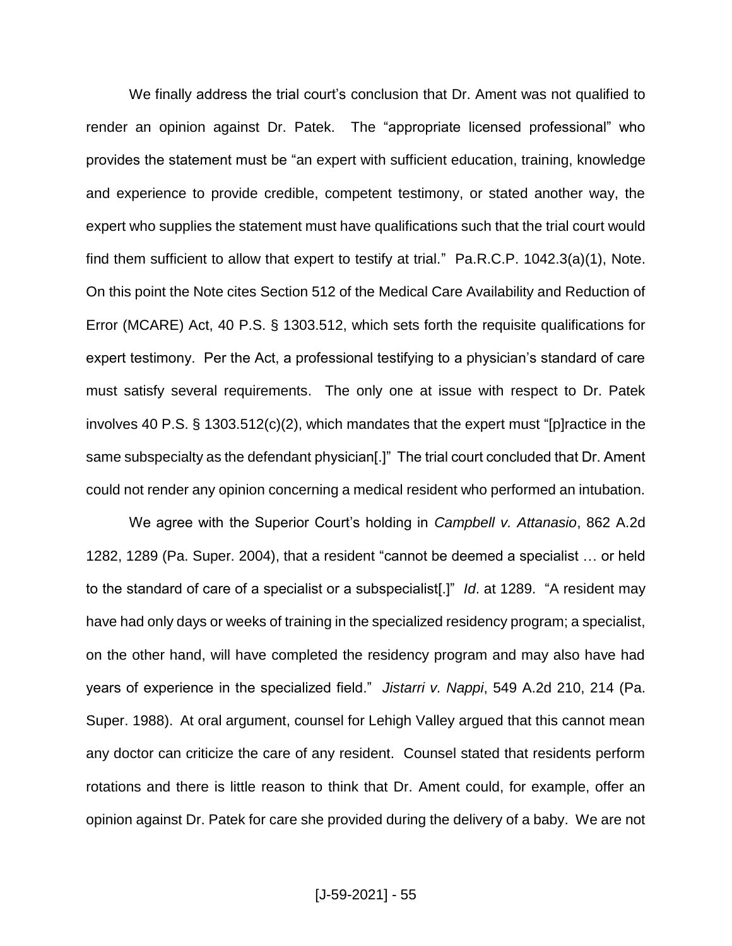We finally address the trial court's conclusion that Dr. Ament was not qualified to render an opinion against Dr. Patek. The "appropriate licensed professional" who provides the statement must be "an expert with sufficient education, training, knowledge and experience to provide credible, competent testimony, or stated another way, the expert who supplies the statement must have qualifications such that the trial court would find them sufficient to allow that expert to testify at trial." Pa.R.C.P. 1042.3(a)(1), Note. On this point the Note cites Section 512 of the Medical Care Availability and Reduction of Error (MCARE) Act, 40 P.S. § 1303.512, which sets forth the requisite qualifications for expert testimony. Per the Act, a professional testifying to a physician's standard of care must satisfy several requirements. The only one at issue with respect to Dr. Patek involves 40 P.S. § 1303.512(c)(2), which mandates that the expert must "[p]ractice in the same subspecialty as the defendant physician[.]" The trial court concluded that Dr. Ament could not render any opinion concerning a medical resident who performed an intubation.

We agree with the Superior Court's holding in *Campbell v. Attanasio*, 862 A.2d 1282, 1289 (Pa. Super. 2004), that a resident "cannot be deemed a specialist … or held to the standard of care of a specialist or a subspecialist[.]" *Id*. at 1289. "A resident may have had only days or weeks of training in the specialized residency program; a specialist, on the other hand, will have completed the residency program and may also have had years of experience in the specialized field." *Jistarri v. Nappi*, 549 A.2d 210, 214 (Pa. Super. 1988). At oral argument, counsel for Lehigh Valley argued that this cannot mean any doctor can criticize the care of any resident. Counsel stated that residents perform rotations and there is little reason to think that Dr. Ament could, for example, offer an opinion against Dr. Patek for care she provided during the delivery of a baby. We are not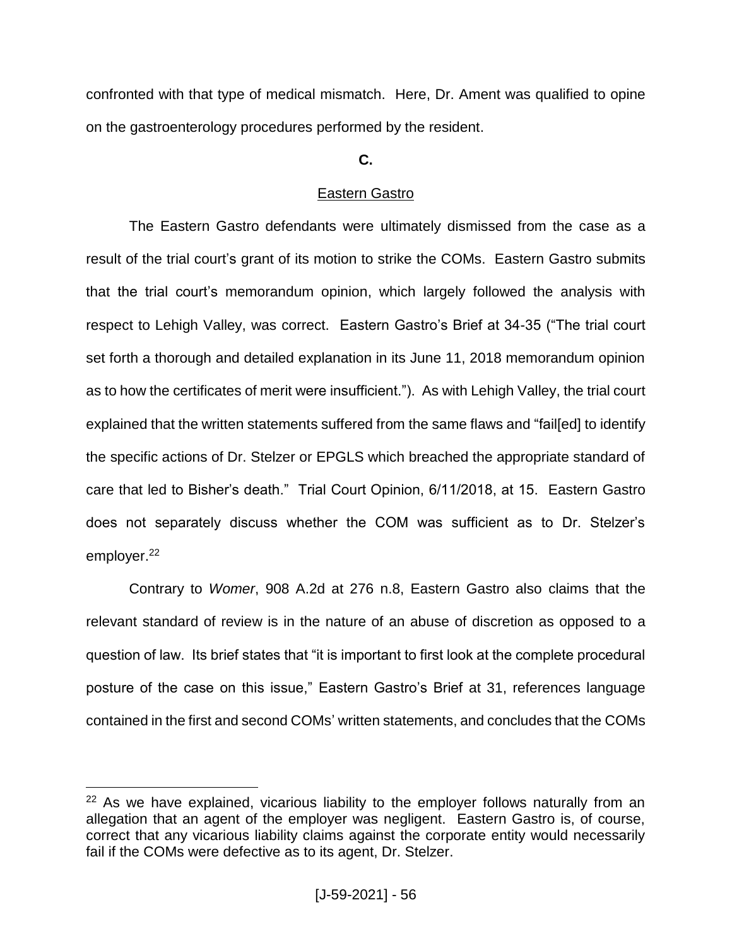confronted with that type of medical mismatch. Here, Dr. Ament was qualified to opine on the gastroenterology procedures performed by the resident.

# **C.**

# Eastern Gastro

The Eastern Gastro defendants were ultimately dismissed from the case as a result of the trial court's grant of its motion to strike the COMs.Eastern Gastro submits that the trial court's memorandum opinion, which largely followed the analysis with respect to Lehigh Valley, was correct. Eastern Gastro's Brief at 34-35 ("The trial court set forth a thorough and detailed explanation in its June 11, 2018 memorandum opinion as to how the certificates of merit were insufficient."). As with Lehigh Valley, the trial court explained that the written statements suffered from the same flaws and "fail[ed] to identify the specific actions of Dr. Stelzer or EPGLS which breached the appropriate standard of care that led to Bisher's death." Trial Court Opinion, 6/11/2018, at 15. Eastern Gastro does not separately discuss whether the COM was sufficient as to Dr. Stelzer's employer.<sup>22</sup>

Contrary to *Womer*, 908 A.2d at 276 n.8, Eastern Gastro also claims that the relevant standard of review is in the nature of an abuse of discretion as opposed to a question of law. Its brief states that "it is important to first look at the complete procedural posture of the case on this issue," Eastern Gastro's Brief at 31, references language contained in the first and second COMs' written statements, and concludes that the COMs

 $22$  As we have explained, vicarious liability to the employer follows naturally from an allegation that an agent of the employer was negligent. Eastern Gastro is, of course, correct that any vicarious liability claims against the corporate entity would necessarily fail if the COMs were defective as to its agent, Dr. Stelzer.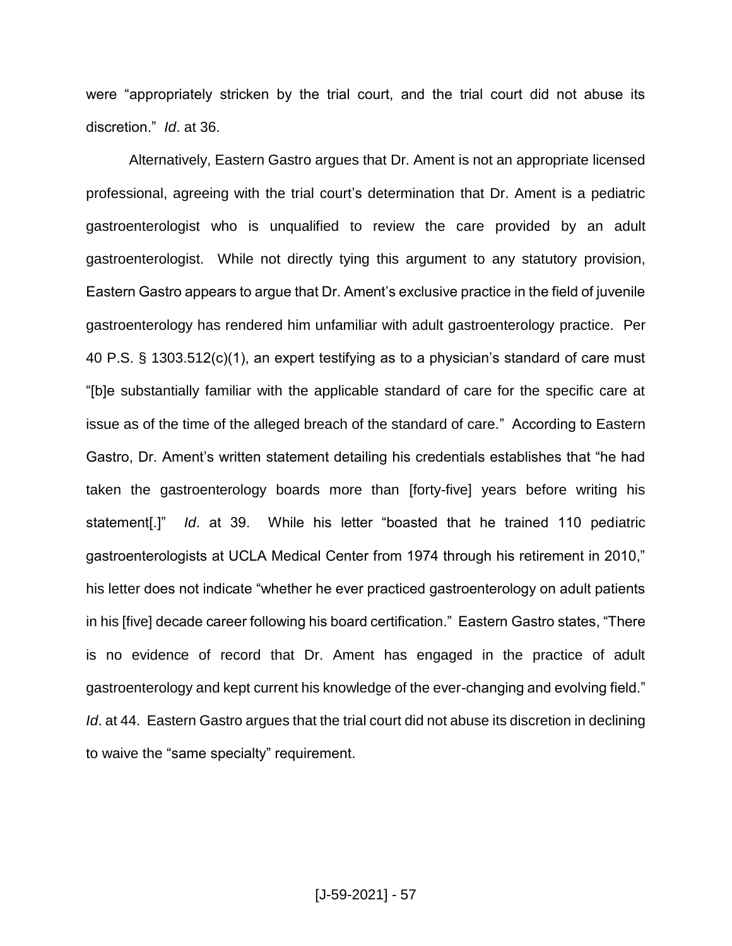were "appropriately stricken by the trial court, and the trial court did not abuse its discretion." *Id*. at 36.

Alternatively, Eastern Gastro argues that Dr. Ament is not an appropriate licensed professional, agreeing with the trial court's determination that Dr. Ament is a pediatric gastroenterologist who is unqualified to review the care provided by an adult gastroenterologist. While not directly tying this argument to any statutory provision, Eastern Gastro appears to argue that Dr. Ament's exclusive practice in the field of juvenile gastroenterology has rendered him unfamiliar with adult gastroenterology practice. Per 40 P.S. § 1303.512(c)(1), an expert testifying as to a physician's standard of care must "[b]e substantially familiar with the applicable standard of care for the specific care at issue as of the time of the alleged breach of the standard of care." According to Eastern Gastro, Dr. Ament's written statement detailing his credentials establishes that "he had taken the gastroenterology boards more than [forty-five] years before writing his statement[.]" *Id*. at 39. While his letter "boasted that he trained 110 pediatric gastroenterologists at UCLA Medical Center from 1974 through his retirement in 2010," his letter does not indicate "whether he ever practiced gastroenterology on adult patients in his [five] decade career following his board certification." Eastern Gastro states, "There is no evidence of record that Dr. Ament has engaged in the practice of adult gastroenterology and kept current his knowledge of the ever-changing and evolving field." *Id.* at 44. Eastern Gastro argues that the trial court did not abuse its discretion in declining to waive the "same specialty" requirement.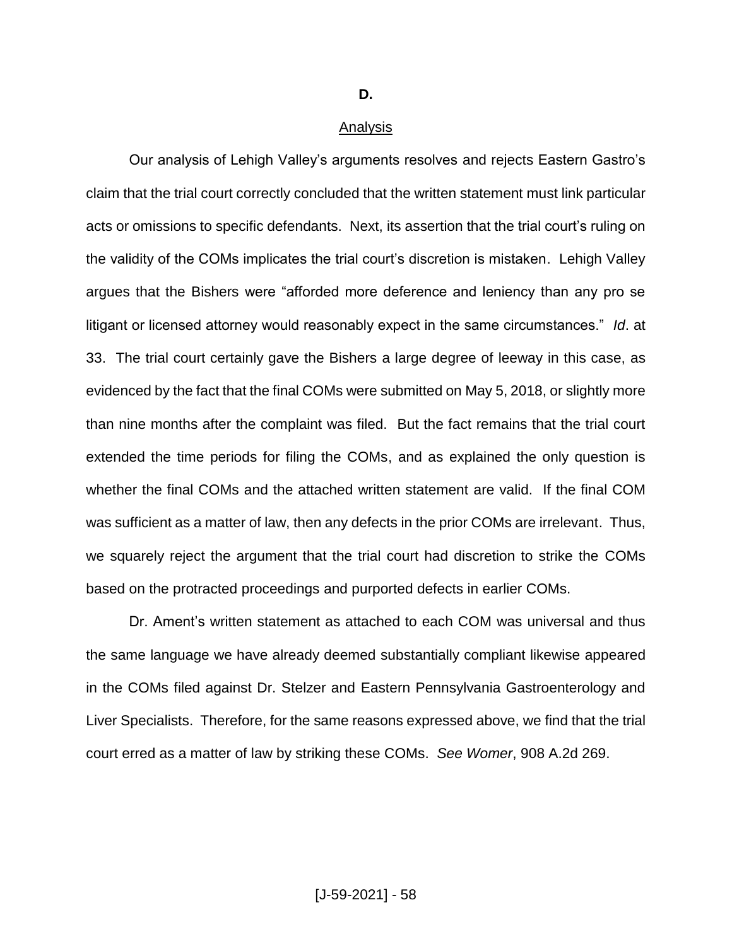## **D.**

#### Analysis

Our analysis of Lehigh Valley's arguments resolves and rejects Eastern Gastro's claim that the trial court correctly concluded that the written statement must link particular acts or omissions to specific defendants. Next, its assertion that the trial court's ruling on the validity of the COMs implicates the trial court's discretion is mistaken. Lehigh Valley argues that the Bishers were "afforded more deference and leniency than any pro se litigant or licensed attorney would reasonably expect in the same circumstances." *Id*. at 33. The trial court certainly gave the Bishers a large degree of leeway in this case, as evidenced by the fact that the final COMs were submitted on May 5, 2018, or slightly more than nine months after the complaint was filed. But the fact remains that the trial court extended the time periods for filing the COMs, and as explained the only question is whether the final COMs and the attached written statement are valid. If the final COM was sufficient as a matter of law, then any defects in the prior COMs are irrelevant. Thus, we squarely reject the argument that the trial court had discretion to strike the COMs based on the protracted proceedings and purported defects in earlier COMs.

Dr. Ament's written statement as attached to each COM was universal and thus the same language we have already deemed substantially compliant likewise appeared in the COMs filed against Dr. Stelzer and Eastern Pennsylvania Gastroenterology and Liver Specialists.Therefore, for the same reasons expressed above, we find that the trial court erred as a matter of law by striking these COMs. *See Womer*, 908 A.2d 269.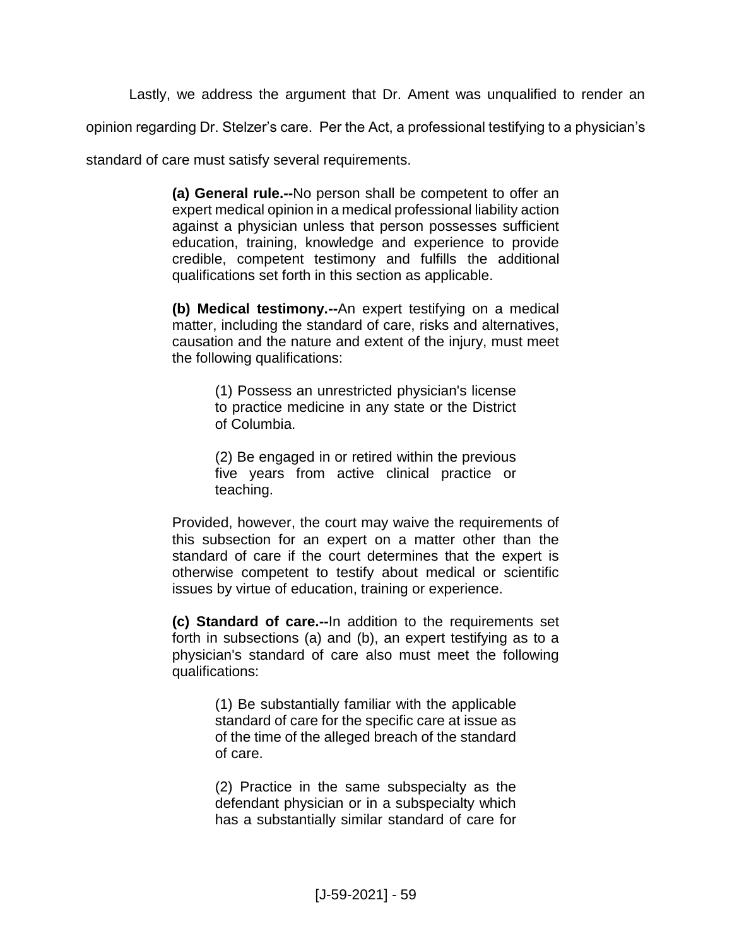Lastly, we address the argument that Dr. Ament was unqualified to render an

opinion regarding Dr. Stelzer's care. Per the Act, a professional testifying to a physician's

standard of care must satisfy several requirements.

**(a) General rule.--**No person shall be competent to offer an expert medical opinion in a medical professional liability action against a physician unless that person possesses sufficient education, training, knowledge and experience to provide credible, competent testimony and fulfills the additional qualifications set forth in this section as applicable.

**(b) Medical testimony.--**An expert testifying on a medical matter, including the standard of care, risks and alternatives, causation and the nature and extent of the injury, must meet the following qualifications:

> (1) Possess an unrestricted physician's license to practice medicine in any state or the District of Columbia.

> (2) Be engaged in or retired within the previous five years from active clinical practice or teaching.

Provided, however, the court may waive the requirements of this subsection for an expert on a matter other than the standard of care if the court determines that the expert is otherwise competent to testify about medical or scientific issues by virtue of education, training or experience.

**(c) Standard of care.--**In addition to the requirements set forth in subsections (a) and (b), an expert testifying as to a physician's standard of care also must meet the following qualifications:

> (1) Be substantially familiar with the applicable standard of care for the specific care at issue as of the time of the alleged breach of the standard of care.

> (2) Practice in the same subspecialty as the defendant physician or in a subspecialty which has a substantially similar standard of care for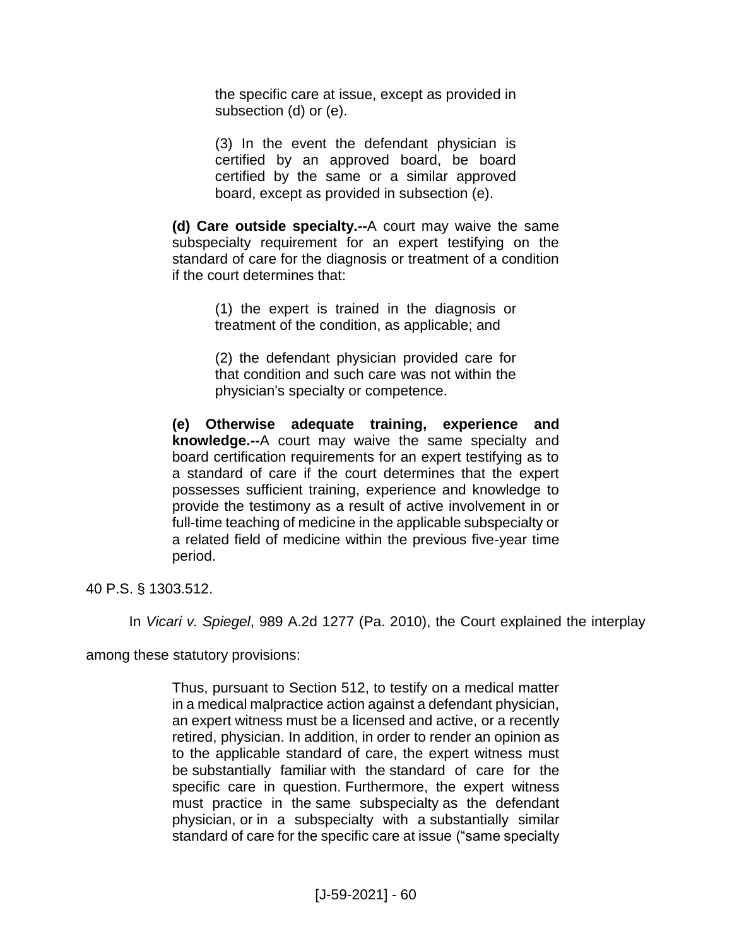the specific care at issue, except as provided in subsection (d) or (e).

(3) In the event the defendant physician is certified by an approved board, be board certified by the same or a similar approved board, except as provided in subsection (e).

**(d) Care outside specialty.--**A court may waive the same subspecialty requirement for an expert testifying on the standard of care for the diagnosis or treatment of a condition if the court determines that:

> (1) the expert is trained in the diagnosis or treatment of the condition, as applicable; and

> (2) the defendant physician provided care for that condition and such care was not within the physician's specialty or competence.

**(e) Otherwise adequate training, experience and knowledge.--**A court may waive the same specialty and board certification requirements for an expert testifying as to a standard of care if the court determines that the expert possesses sufficient training, experience and knowledge to provide the testimony as a result of active involvement in or full-time teaching of medicine in the applicable subspecialty or a related field of medicine within the previous five-year time period.

40 P.S. § 1303.512.

In *Vicari v. Spiegel*, 989 A.2d 1277 (Pa. 2010), the Court explained the interplay

among these statutory provisions:

Thus, pursuant to Section 512, to testify on a medical matter in a medical malpractice action against a defendant physician, an expert witness must be a licensed and active, or a recently retired, physician. In addition, in order to render an opinion as to the applicable standard of care, the expert witness must be substantially familiar with the standard of care for the specific care in question. Furthermore, the expert witness must practice in the same subspecialty as the defendant physician, or in a subspecialty with a substantially similar standard of care for the specific care at issue ("same specialty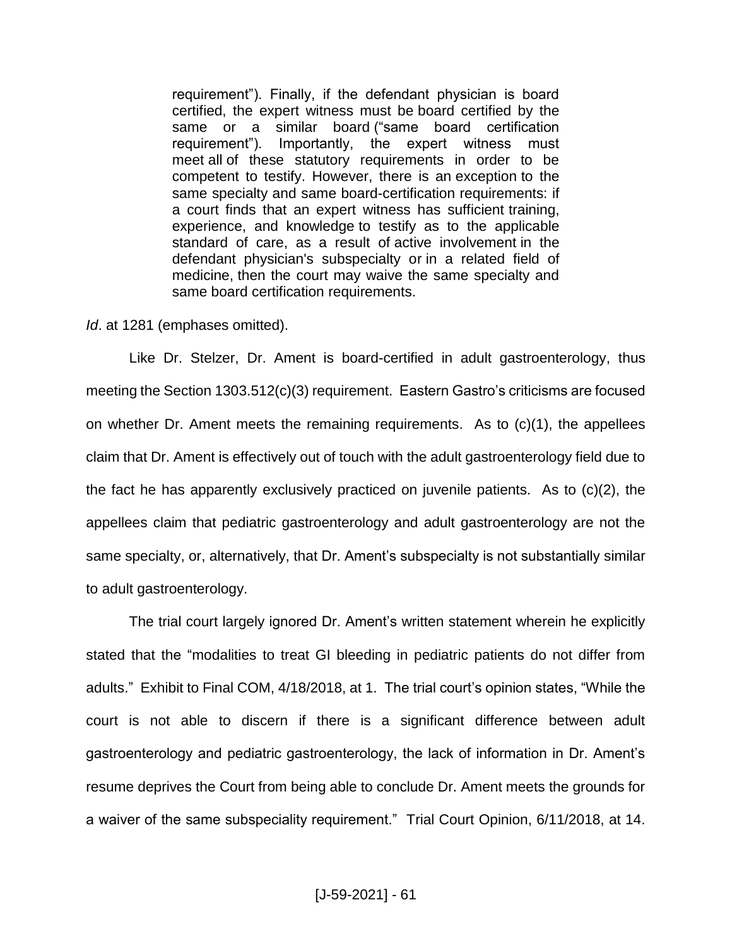requirement"). Finally, if the defendant physician is board certified, the expert witness must be board certified by the same or a similar board ("same board certification requirement"). Importantly, the expert witness must meet all of these statutory requirements in order to be competent to testify. However, there is an exception to the same specialty and same board-certification requirements: if a court finds that an expert witness has sufficient training, experience, and knowledge to testify as to the applicable standard of care, as a result of active involvement in the defendant physician's subspecialty or in a related field of medicine, then the court may waive the same specialty and same board certification requirements.

*Id*. at 1281 (emphases omitted).

Like Dr. Stelzer, Dr. Ament is board-certified in adult gastroenterology, thus meeting the Section 1303.512(c)(3) requirement. Eastern Gastro's criticisms are focused on whether Dr. Ament meets the remaining requirements. As to (c)(1), the appellees claim that Dr. Ament is effectively out of touch with the adult gastroenterology field due to the fact he has apparently exclusively practiced on juvenile patients. As to (c)(2), the appellees claim that pediatric gastroenterology and adult gastroenterology are not the same specialty, or, alternatively, that Dr. Ament's subspecialty is not substantially similar to adult gastroenterology.

The trial court largely ignored Dr. Ament's written statement wherein he explicitly stated that the "modalities to treat GI bleeding in pediatric patients do not differ from adults." Exhibit to Final COM, 4/18/2018, at 1. The trial court's opinion states, "While the court is not able to discern if there is a significant difference between adult gastroenterology and pediatric gastroenterology, the lack of information in Dr. Ament's resume deprives the Court from being able to conclude Dr. Ament meets the grounds for a waiver of the same subspeciality requirement." Trial Court Opinion, 6/11/2018, at 14.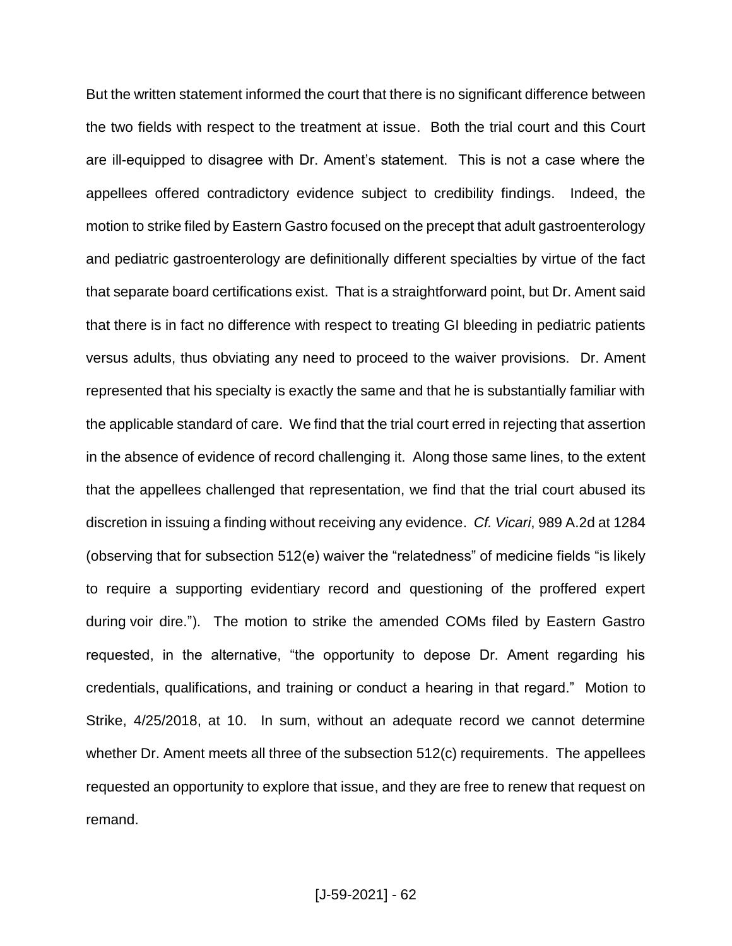But the written statement informed the court that there is no significant difference between the two fields with respect to the treatment at issue. Both the trial court and this Court are ill-equipped to disagree with Dr. Ament's statement. This is not a case where the appellees offered contradictory evidence subject to credibility findings. Indeed, the motion to strike filed by Eastern Gastro focused on the precept that adult gastroenterology and pediatric gastroenterology are definitionally different specialties by virtue of the fact that separate board certifications exist. That is a straightforward point, but Dr. Ament said that there is in fact no difference with respect to treating GI bleeding in pediatric patients versus adults, thus obviating any need to proceed to the waiver provisions. Dr. Ament represented that his specialty is exactly the same and that he is substantially familiar with the applicable standard of care. We find that the trial court erred in rejecting that assertion in the absence of evidence of record challenging it. Along those same lines, to the extent that the appellees challenged that representation, we find that the trial court abused its discretion in issuing a finding without receiving any evidence. *Cf. Vicari*, 989 A.2d at 1284 (observing that for subsection 512(e) waiver the "relatedness" of medicine fields "is likely to require a supporting evidentiary record and questioning of the proffered expert during voir dire."). The motion to strike the amended COMs filed by Eastern Gastro requested, in the alternative, "the opportunity to depose Dr. Ament regarding his credentials, qualifications, and training or conduct a hearing in that regard." Motion to Strike, 4/25/2018, at 10. In sum, without an adequate record we cannot determine whether Dr. Ament meets all three of the subsection 512(c) requirements. The appellees requested an opportunity to explore that issue, and they are free to renew that request on remand.